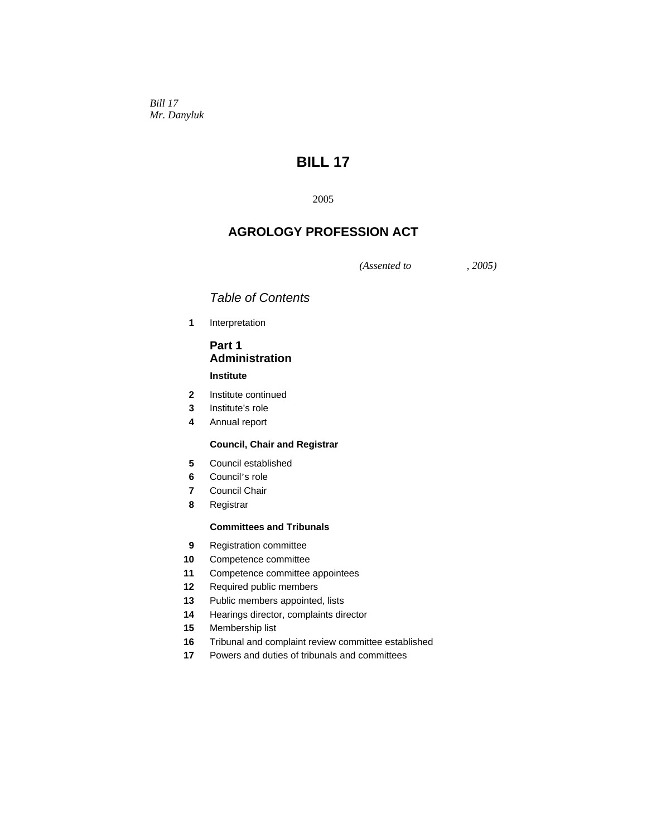*Bill 17 Mr. Danyluk* 

# **BILL 17**

2005

# **AGROLOGY PROFESSION ACT**

*(Assented to , 2005)* 

# *Table of Contents*

**1** Interpretation

# **Part 1 Administration**

# **Institute**

- **2** Institute continued
- **3** Institute's role
- **4** Annual report

# **Council, Chair and Registrar**

- **5** Council established
- **6** Council's role
- **7** Council Chair
- **8** Registrar

#### **Committees and Tribunals**

- **9** Registration committee
- **10** Competence committee
- **11** Competence committee appointees
- **12** Required public members
- 13 Public members appointed, lists
- **14** Hearings director, complaints director
- **15** Membership list
- **16** Tribunal and complaint review committee established
- **17** Powers and duties of tribunals and committees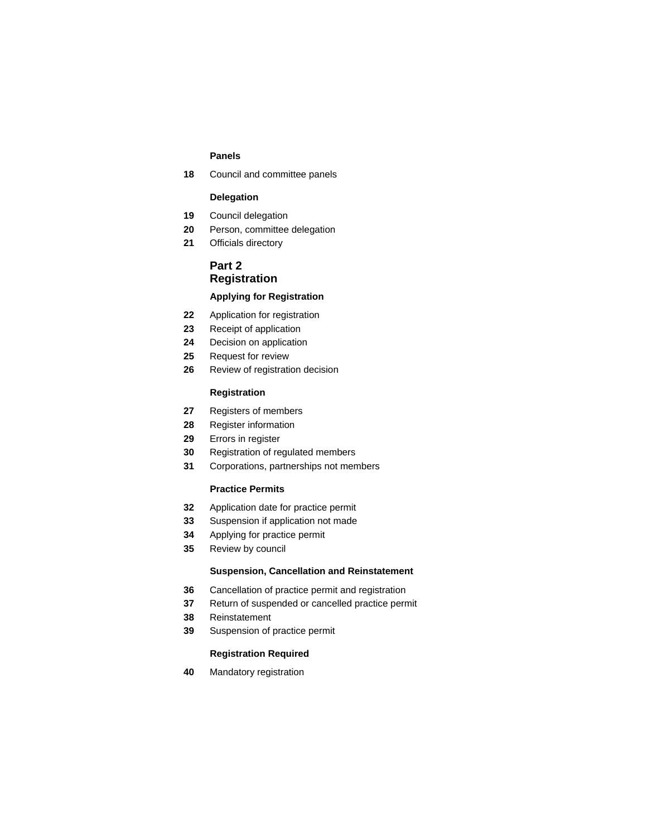### **Panels**

Council and committee panels

# **Delegation**

- Council delegation
- Person, committee delegation
- Officials directory

# **Part 2 Registration**

# **Applying for Registration**

- Application for registration
- Receipt of application
- Decision on application
- Request for review
- Review of registration decision

### **Registration**

- Registers of members
- Register information
- Errors in register
- Registration of regulated members
- Corporations, partnerships not members

# **Practice Permits**

- Application date for practice permit
- Suspension if application not made
- Applying for practice permit
- Review by council

#### **Suspension, Cancellation and Reinstatement**

- Cancellation of practice permit and registration
- Return of suspended or cancelled practice permit
- Reinstatement
- Suspension of practice permit

# **Registration Required**

Mandatory registration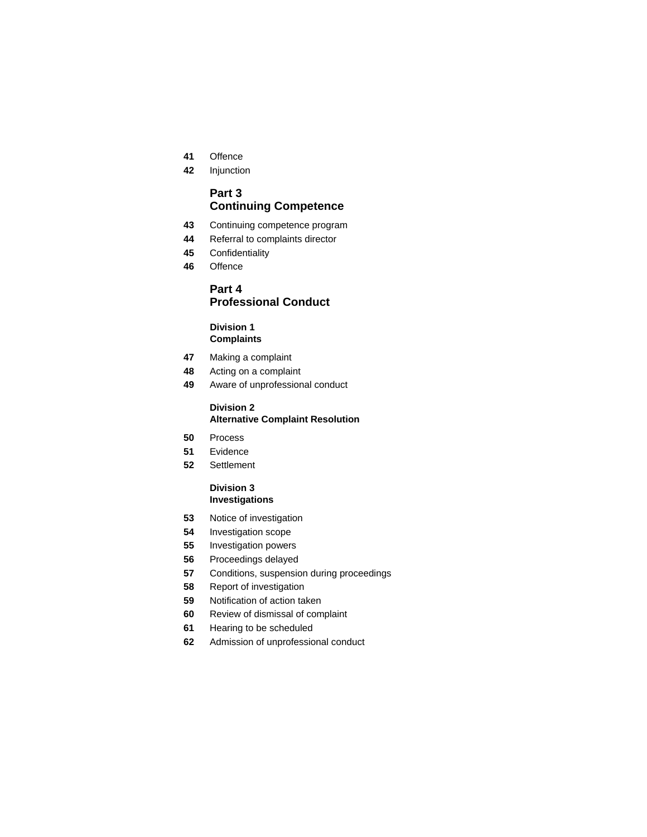- Offence
- Injunction

# **Part 3 Continuing Competence**

- Continuing competence program
- Referral to complaints director
- Confidentiality
- Offence

# **Part 4 Professional Conduct**

# **Division 1 Complaints**

- Making a complaint
- Acting on a complaint
- Aware of unprofessional conduct

#### **Division 2 Alternative Complaint Resolution**

- Process
- Evidence
- Settlement

#### **Division 3 Investigations**

- Notice of investigation
- Investigation scope
- Investigation powers
- Proceedings delayed
- Conditions, suspension during proceedings
- Report of investigation
- Notification of action taken
- Review of dismissal of complaint
- Hearing to be scheduled
- Admission of unprofessional conduct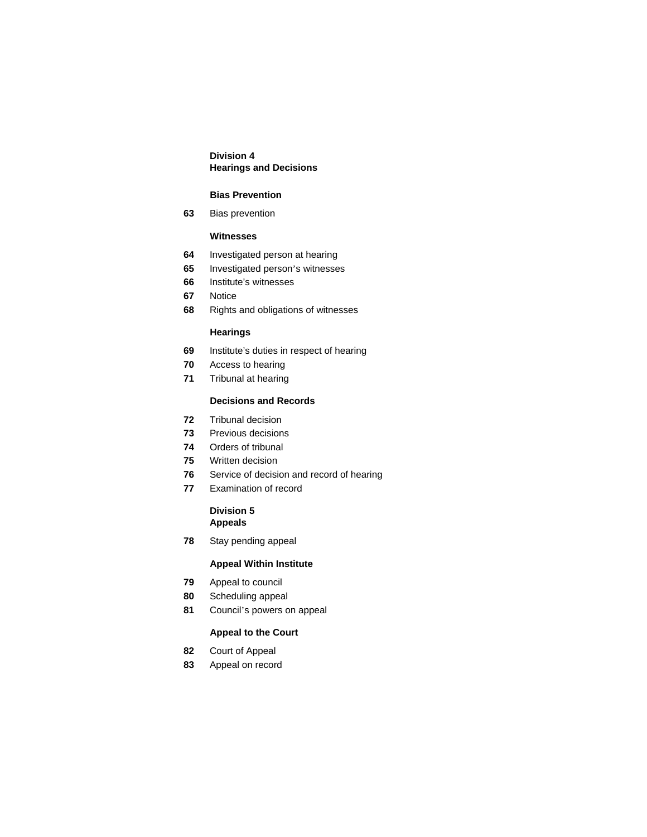# **Division 4 Hearings and Decisions**

## **Bias Prevention**

Bias prevention

# **Witnesses**

- Investigated person at hearing
- Investigated person's witnesses
- Institute's witnesses
- Notice
- Rights and obligations of witnesses

# **Hearings**

- Institute's duties in respect of hearing
- Access to hearing
- Tribunal at hearing

# **Decisions and Records**

- Tribunal decision
- Previous decisions
- Orders of tribunal
- Written decision
- Service of decision and record of hearing
- Examination of record

# **Division 5 Appeals**

Stay pending appeal

# **Appeal Within Institute**

- Appeal to council
- Scheduling appeal
- Council's powers on appeal

# **Appeal to the Court**

- Court of Appeal
- Appeal on record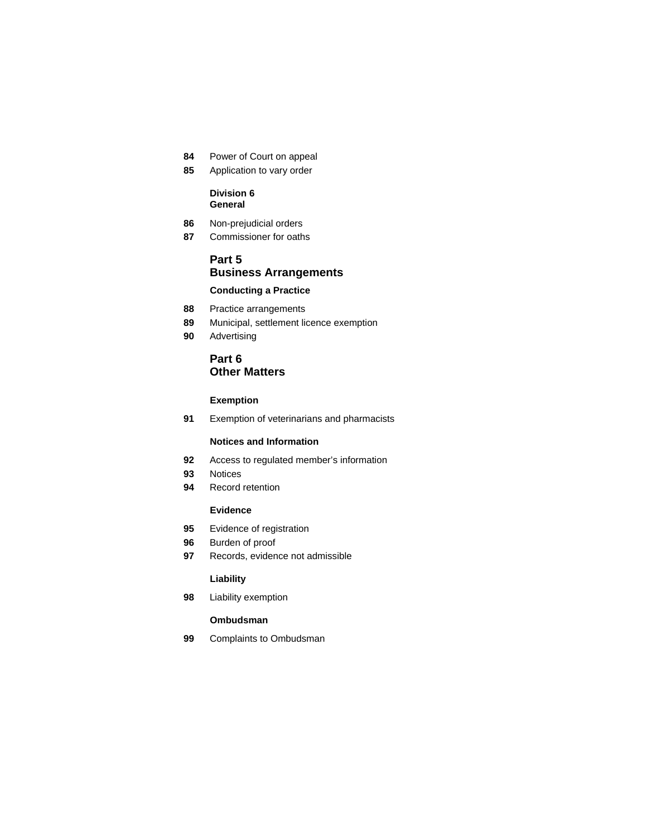- **84** Power of Court on appeal
- **85** Application to vary order

### **Division 6 General**

- **86** Non-prejudicial orders
- **87** Commissioner for oaths

# **Part 5 Business Arrangements Conducting a Practice**

- **88** Practice arrangements
- **89** Municipal, settlement licence exemption
- **90** Advertising

# **Part 6 Other Matters**

# **Exemption**

 **91** Exemption of veterinarians and pharmacists

# **Notices and Information**

- **92** Access to regulated member's information
- **93** Notices
- **94** Record retention

#### **Evidence**

- **95** Evidence of registration
- **96** Burden of proof
- **97** Records, evidence not admissible

### **Liability**

 **98** Liability exemption

# **Ombudsman**

 **99** Complaints to Ombudsman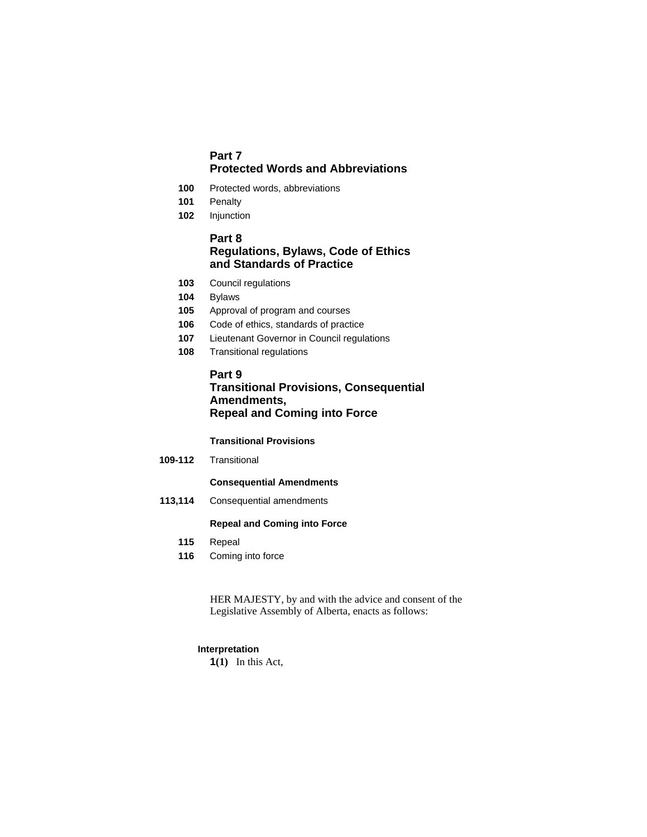# **Part 7 Protected Words and Abbreviations**

- **100** Protected words, abbreviations
- **101** Penalty
- **102** Injunction

# **Part 8 Regulations, Bylaws, Code of Ethics and Standards of Practice**

- **103** Council regulations
- **104** Bylaws
- **105** Approval of program and courses
- **106** Code of ethics, standards of practice
- **107** Lieutenant Governor in Council regulations
- **108** Transitional regulations

# **Part 9**

# **Transitional Provisions, Consequential Amendments, Repeal and Coming into Force**

#### **Transitional Provisions**

**109-112** Transitional

# **Consequential Amendments**

 **113,114** Consequential amendments

# **Repeal and Coming into Force**

- **115** Repeal
- **116** Coming into force

HER MAJESTY, by and with the advice and consent of the Legislative Assembly of Alberta, enacts as follows:

#### **Interpretation**

**1(1)** In this Act,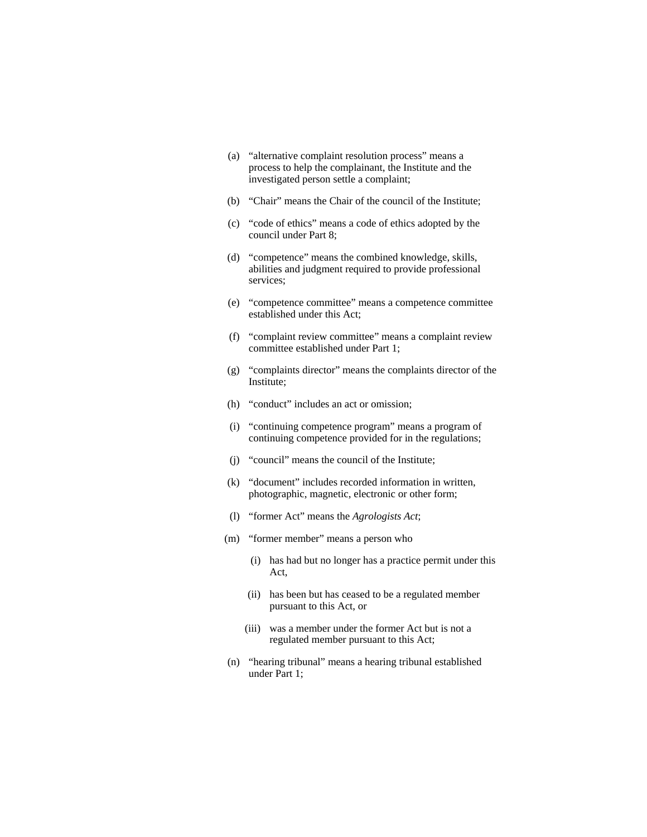- (a) "alternative complaint resolution process" means a process to help the complainant, the Institute and the investigated person settle a complaint;
- (b) "Chair" means the Chair of the council of the Institute;
- (c) "code of ethics" means a code of ethics adopted by the council under Part 8;
- (d) "competence" means the combined knowledge, skills, abilities and judgment required to provide professional services;
- (e) "competence committee" means a competence committee established under this Act;
- (f) "complaint review committee" means a complaint review committee established under Part 1;
- (g) "complaints director" means the complaints director of the Institute;
- (h) "conduct" includes an act or omission;
- (i) "continuing competence program" means a program of continuing competence provided for in the regulations;
- (j) "council" means the council of the Institute;
- (k) "document" includes recorded information in written, photographic, magnetic, electronic or other form;
- (l) "former Act" means the *Agrologists Act*;
- (m) "former member" means a person who
	- (i) has had but no longer has a practice permit under this Act,
	- (ii) has been but has ceased to be a regulated member pursuant to this Act, or
	- (iii) was a member under the former Act but is not a regulated member pursuant to this Act;
- (n) "hearing tribunal" means a hearing tribunal established under Part 1;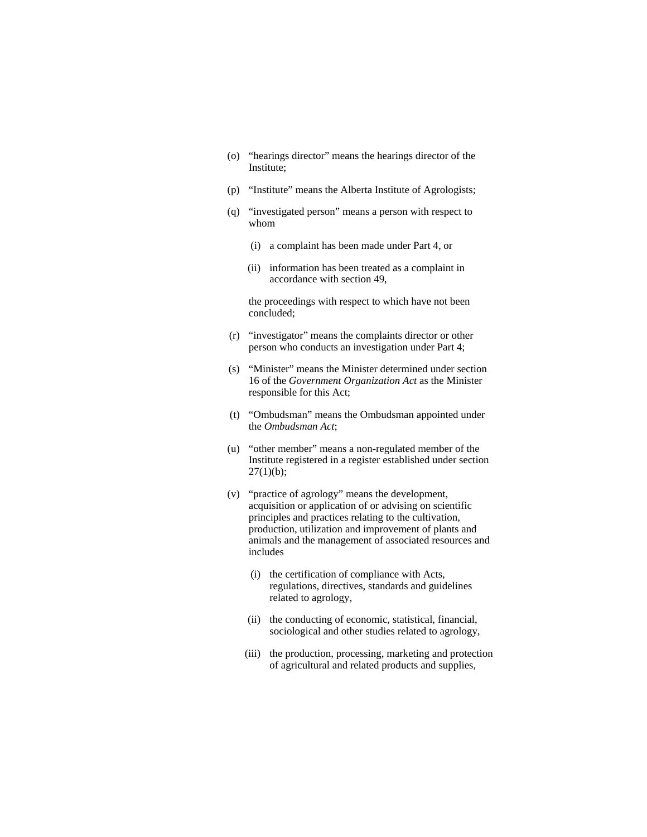- (o) "hearings director" means the hearings director of the Institute;
- (p) "Institute" means the Alberta Institute of Agrologists;
- (q) "investigated person" means a person with respect to whom
	- (i) a complaint has been made under Part 4, or
	- (ii) information has been treated as a complaint in accordance with section 49,

 the proceedings with respect to which have not been concluded;

- (r) "investigator" means the complaints director or other person who conducts an investigation under Part 4;
- (s) "Minister" means the Minister determined under section 16 of the *Government Organization Act* as the Minister responsible for this Act;
- (t) "Ombudsman" means the Ombudsman appointed under the *Ombudsman Act*;
- (u) "other member" means a non-regulated member of the Institute registered in a register established under section  $27(1)(b)$ ;
- (v) "practice of agrology" means the development, acquisition or application of or advising on scientific principles and practices relating to the cultivation, production, utilization and improvement of plants and animals and the management of associated resources and includes
	- (i) the certification of compliance with Acts, regulations, directives, standards and guidelines related to agrology,
	- (ii) the conducting of economic, statistical, financial, sociological and other studies related to agrology,
	- (iii) the production, processing, marketing and protection of agricultural and related products and supplies,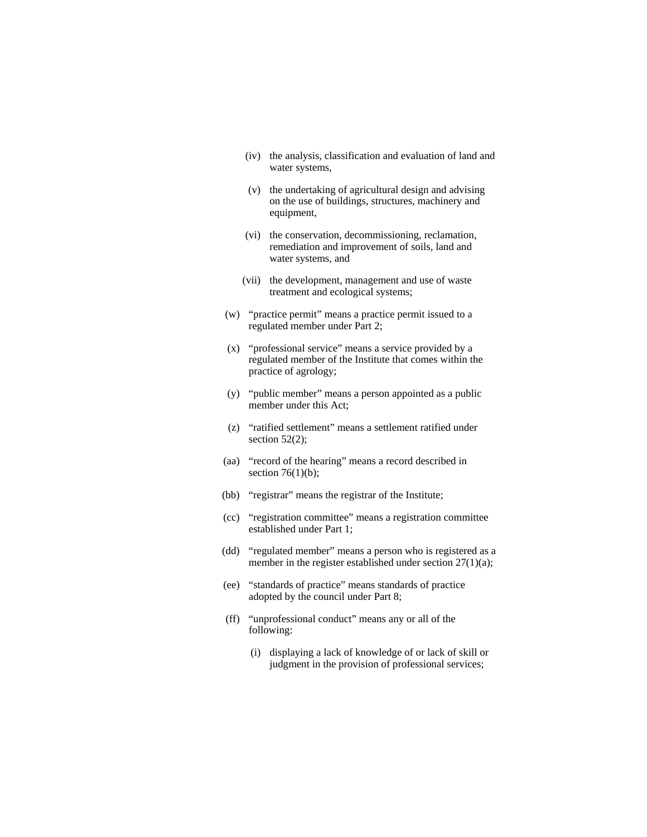- (iv) the analysis, classification and evaluation of land and water systems,
- (v) the undertaking of agricultural design and advising on the use of buildings, structures, machinery and equipment,
- (vi) the conservation, decommissioning, reclamation, remediation and improvement of soils, land and water systems, and
- (vii) the development, management and use of waste treatment and ecological systems;
- (w) "practice permit" means a practice permit issued to a regulated member under Part 2;
- (x) "professional service" means a service provided by a regulated member of the Institute that comes within the practice of agrology;
- (y) "public member" means a person appointed as a public member under this Act;
- (z) "ratified settlement" means a settlement ratified under section  $52(2)$ ;
- (aa) "record of the hearing" means a record described in section  $76(1)(b)$ ;
- (bb) "registrar" means the registrar of the Institute;
- (cc) "registration committee" means a registration committee established under Part 1;
- (dd) "regulated member" means a person who is registered as a member in the register established under section 27(1)(a);
- (ee) "standards of practice" means standards of practice adopted by the council under Part 8;
- (ff) "unprofessional conduct" means any or all of the following:
	- (i) displaying a lack of knowledge of or lack of skill or judgment in the provision of professional services;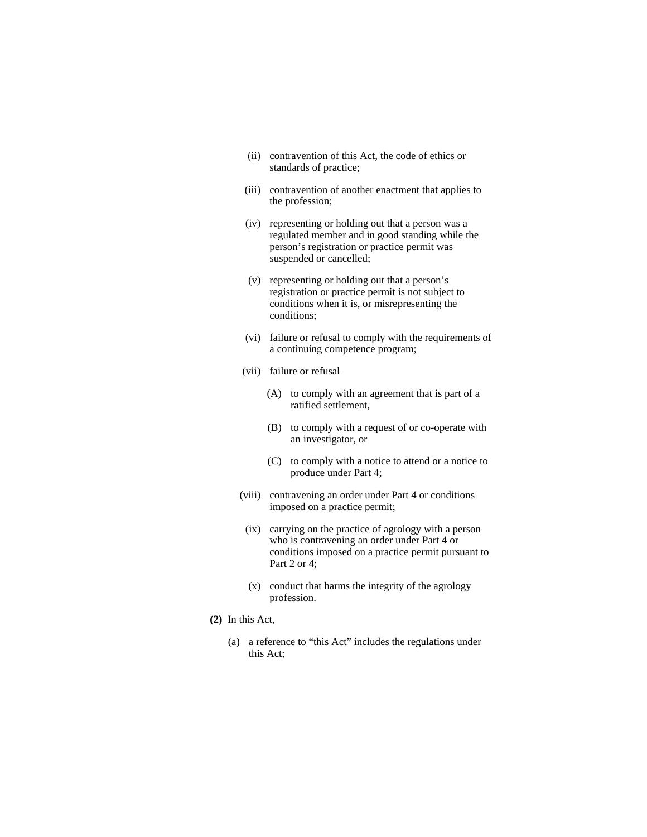- (ii) contravention of this Act, the code of ethics or standards of practice;
- (iii) contravention of another enactment that applies to the profession;
- (iv) representing or holding out that a person was a regulated member and in good standing while the person's registration or practice permit was suspended or cancelled;
- (v) representing or holding out that a person's registration or practice permit is not subject to conditions when it is, or misrepresenting the conditions;
- (vi) failure or refusal to comply with the requirements of a continuing competence program;
- (vii) failure or refusal
	- (A) to comply with an agreement that is part of a ratified settlement,
	- (B) to comply with a request of or co-operate with an investigator, or
	- (C) to comply with a notice to attend or a notice to produce under Part 4;
- (viii) contravening an order under Part 4 or conditions imposed on a practice permit;
- (ix) carrying on the practice of agrology with a person who is contravening an order under Part 4 or conditions imposed on a practice permit pursuant to Part 2 or 4;
- (x) conduct that harms the integrity of the agrology profession.
- **(2)** In this Act,
	- (a) a reference to "this Act" includes the regulations under this Act;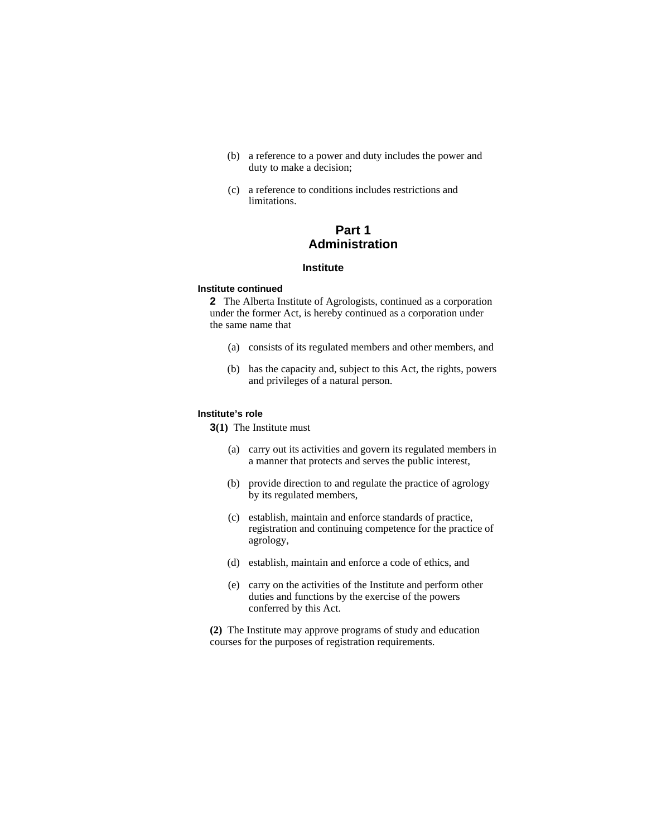- (b) a reference to a power and duty includes the power and duty to make a decision;
- (c) a reference to conditions includes restrictions and limitations.

# **Part 1 Administration**

#### **Institute**

#### **Institute continued**

**2** The Alberta Institute of Agrologists, continued as a corporation under the former Act, is hereby continued as a corporation under the same name that

- (a) consists of its regulated members and other members, and
- (b) has the capacity and, subject to this Act, the rights, powers and privileges of a natural person.

# **Institute's role**

**3(1)** The Institute must

- (a) carry out its activities and govern its regulated members in a manner that protects and serves the public interest,
- (b) provide direction to and regulate the practice of agrology by its regulated members,
- (c) establish, maintain and enforce standards of practice, registration and continuing competence for the practice of agrology,
- (d) establish, maintain and enforce a code of ethics, and
- (e) carry on the activities of the Institute and perform other duties and functions by the exercise of the powers conferred by this Act.

**(2)** The Institute may approve programs of study and education courses for the purposes of registration requirements.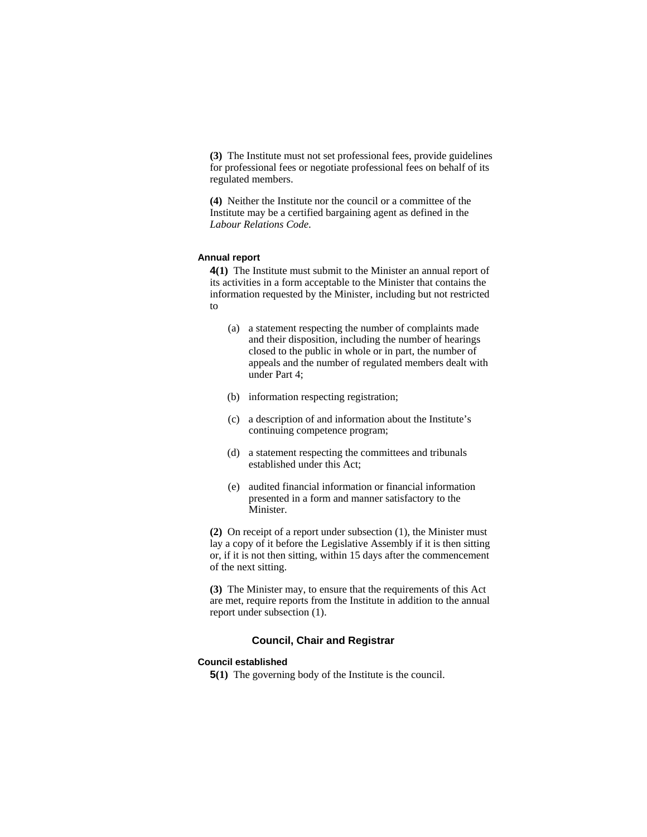**(3)** The Institute must not set professional fees, provide guidelines for professional fees or negotiate professional fees on behalf of its regulated members.

**(4)** Neither the Institute nor the council or a committee of the Institute may be a certified bargaining agent as defined in the *Labour Relations Code*.

# **Annual report**

**4(1)** The Institute must submit to the Minister an annual report of its activities in a form acceptable to the Minister that contains the information requested by the Minister, including but not restricted to

- (a) a statement respecting the number of complaints made and their disposition, including the number of hearings closed to the public in whole or in part, the number of appeals and the number of regulated members dealt with under Part 4;
- (b) information respecting registration;
- (c) a description of and information about the Institute's continuing competence program;
- (d) a statement respecting the committees and tribunals established under this Act;
- (e) audited financial information or financial information presented in a form and manner satisfactory to the Minister.

**(2)** On receipt of a report under subsection (1), the Minister must lay a copy of it before the Legislative Assembly if it is then sitting or, if it is not then sitting, within 15 days after the commencement of the next sitting.

**(3)** The Minister may, to ensure that the requirements of this Act are met, require reports from the Institute in addition to the annual report under subsection (1).

#### **Council, Chair and Registrar**

# **Council established**

**5(1)** The governing body of the Institute is the council.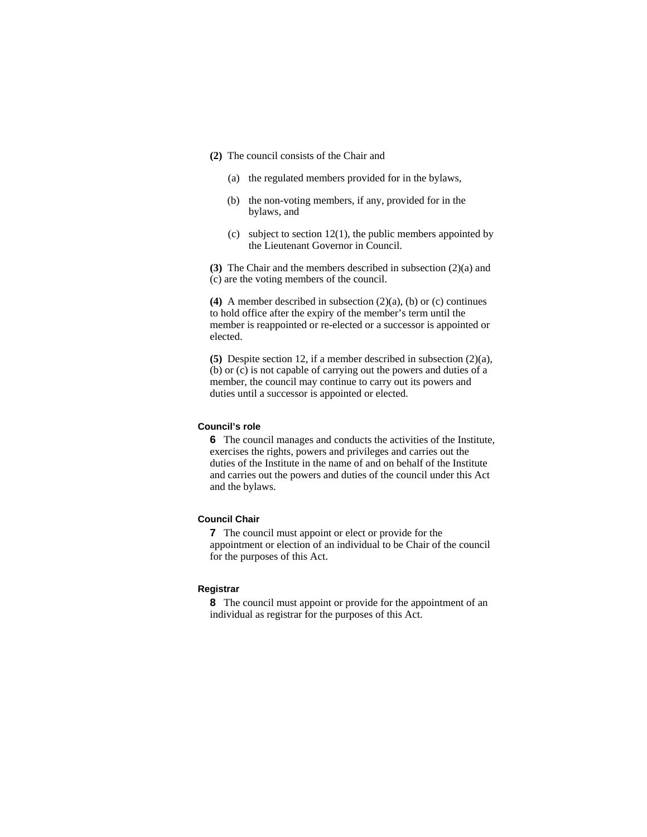- **(2)** The council consists of the Chair and
	- (a) the regulated members provided for in the bylaws,
	- (b) the non-voting members, if any, provided for in the bylaws, and
	- (c) subject to section  $12(1)$ , the public members appointed by the Lieutenant Governor in Council.

**(3)** The Chair and the members described in subsection (2)(a) and (c) are the voting members of the council.

**(4)** A member described in subsection (2)(a), (b) or (c) continues to hold office after the expiry of the member's term until the member is reappointed or re-elected or a successor is appointed or elected.

**(5)** Despite section 12, if a member described in subsection (2)(a), (b) or (c) is not capable of carrying out the powers and duties of a member, the council may continue to carry out its powers and duties until a successor is appointed or elected.

#### **Council's role**

**6** The council manages and conducts the activities of the Institute, exercises the rights, powers and privileges and carries out the duties of the Institute in the name of and on behalf of the Institute and carries out the powers and duties of the council under this Act and the bylaws.

# **Council Chair**

**7** The council must appoint or elect or provide for the appointment or election of an individual to be Chair of the council for the purposes of this Act.

#### **Registrar**

**8** The council must appoint or provide for the appointment of an individual as registrar for the purposes of this Act.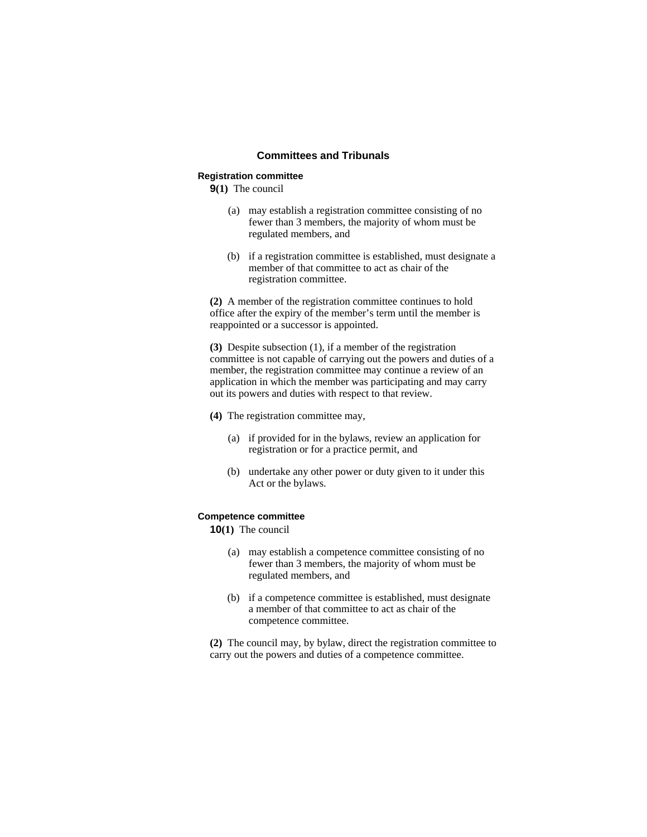## **Committees and Tribunals**

#### **Registration committee**

**9(1)** The council

- (a) may establish a registration committee consisting of no fewer than 3 members, the majority of whom must be regulated members, and
- (b) if a registration committee is established, must designate a member of that committee to act as chair of the registration committee.

**(2)** A member of the registration committee continues to hold office after the expiry of the member's term until the member is reappointed or a successor is appointed.

**(3)** Despite subsection (1), if a member of the registration committee is not capable of carrying out the powers and duties of a member, the registration committee may continue a review of an application in which the member was participating and may carry out its powers and duties with respect to that review.

**(4)** The registration committee may,

- (a) if provided for in the bylaws, review an application for registration or for a practice permit, and
- (b) undertake any other power or duty given to it under this Act or the bylaws.

### **Competence committee**

**10(1)** The council

- (a) may establish a competence committee consisting of no fewer than 3 members, the majority of whom must be regulated members, and
- (b) if a competence committee is established, must designate a member of that committee to act as chair of the competence committee.

**(2)** The council may, by bylaw, direct the registration committee to carry out the powers and duties of a competence committee.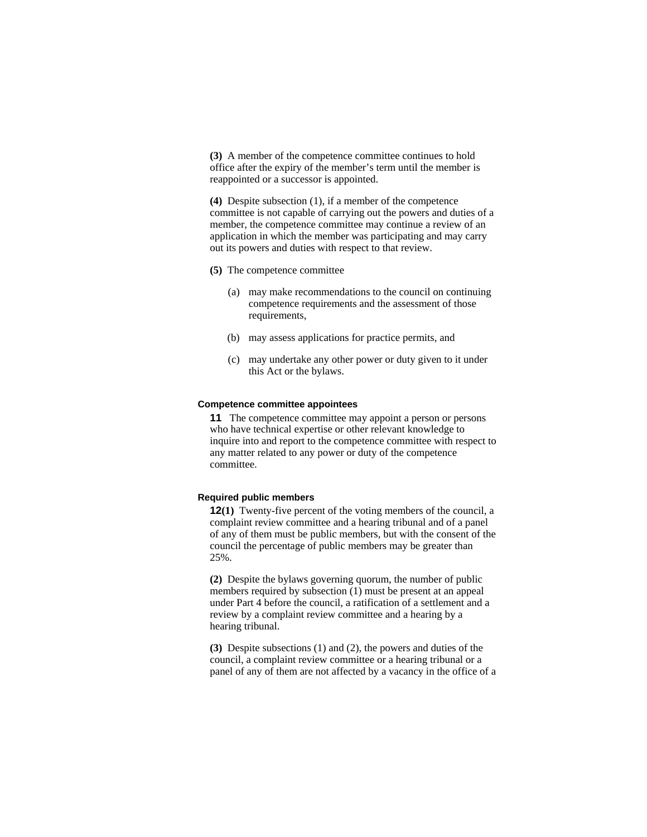**(3)** A member of the competence committee continues to hold office after the expiry of the member's term until the member is reappointed or a successor is appointed.

**(4)** Despite subsection (1), if a member of the competence committee is not capable of carrying out the powers and duties of a member, the competence committee may continue a review of an application in which the member was participating and may carry out its powers and duties with respect to that review.

- **(5)** The competence committee
	- (a) may make recommendations to the council on continuing competence requirements and the assessment of those requirements,
	- (b) may assess applications for practice permits, and
	- (c) may undertake any other power or duty given to it under this Act or the bylaws.

#### **Competence committee appointees**

**11** The competence committee may appoint a person or persons who have technical expertise or other relevant knowledge to inquire into and report to the competence committee with respect to any matter related to any power or duty of the competence committee.

#### **Required public members**

**12(1)** Twenty-five percent of the voting members of the council, a complaint review committee and a hearing tribunal and of a panel of any of them must be public members, but with the consent of the council the percentage of public members may be greater than 25%.

**(2)** Despite the bylaws governing quorum, the number of public members required by subsection (1) must be present at an appeal under Part 4 before the council, a ratification of a settlement and a review by a complaint review committee and a hearing by a hearing tribunal.

**(3)** Despite subsections (1) and (2), the powers and duties of the council, a complaint review committee or a hearing tribunal or a panel of any of them are not affected by a vacancy in the office of a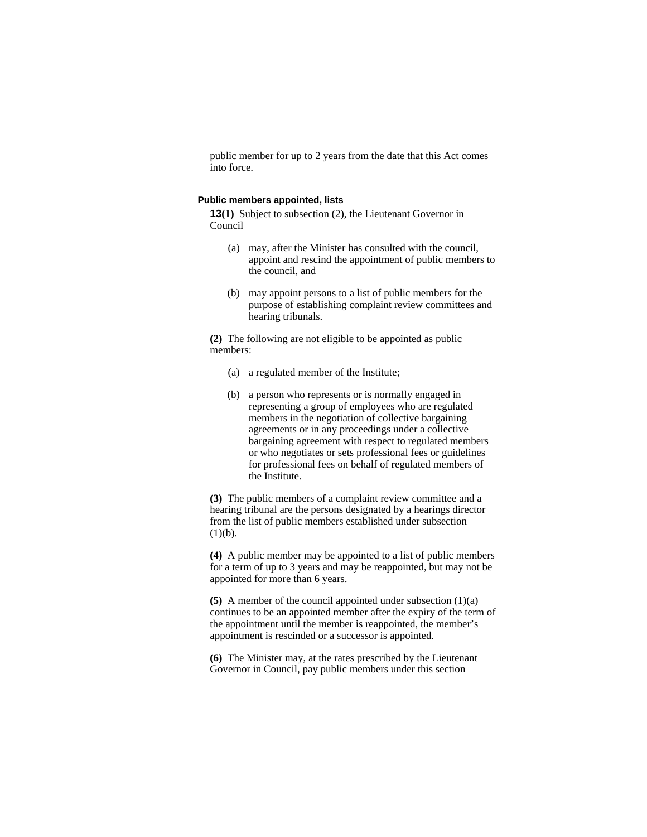public member for up to 2 years from the date that this Act comes into force.

#### **Public members appointed, lists**

**13(1)** Subject to subsection (2), the Lieutenant Governor in Council

- (a) may, after the Minister has consulted with the council, appoint and rescind the appointment of public members to the council, and
- (b) may appoint persons to a list of public members for the purpose of establishing complaint review committees and hearing tribunals.

**(2)** The following are not eligible to be appointed as public members:

- (a) a regulated member of the Institute;
- (b) a person who represents or is normally engaged in representing a group of employees who are regulated members in the negotiation of collective bargaining agreements or in any proceedings under a collective bargaining agreement with respect to regulated members or who negotiates or sets professional fees or guidelines for professional fees on behalf of regulated members of the Institute.

**(3)** The public members of a complaint review committee and a hearing tribunal are the persons designated by a hearings director from the list of public members established under subsection  $(1)(b).$ 

**(4)** A public member may be appointed to a list of public members for a term of up to 3 years and may be reappointed, but may not be appointed for more than 6 years.

**(5)** A member of the council appointed under subsection (1)(a) continues to be an appointed member after the expiry of the term of the appointment until the member is reappointed, the member's appointment is rescinded or a successor is appointed.

**(6)** The Minister may, at the rates prescribed by the Lieutenant Governor in Council, pay public members under this section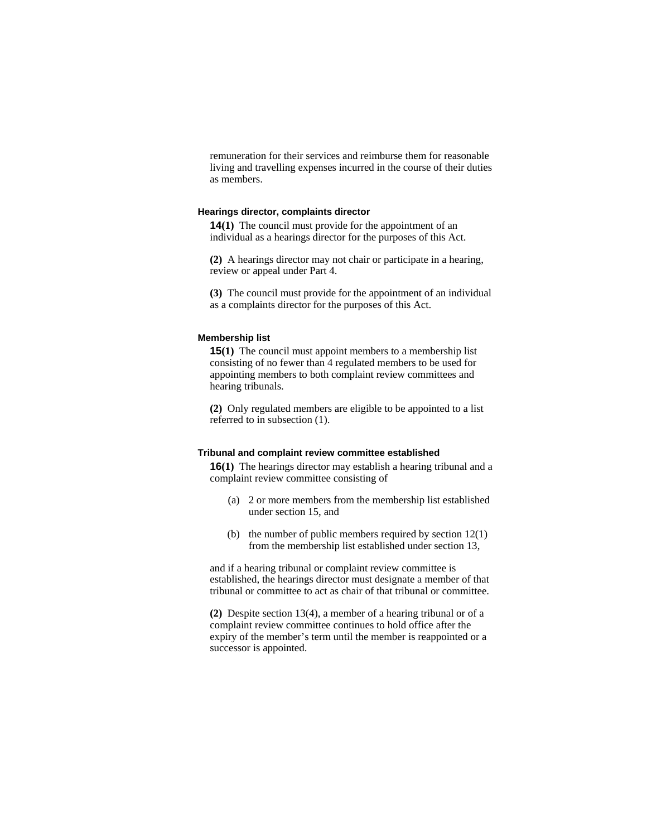remuneration for their services and reimburse them for reasonable living and travelling expenses incurred in the course of their duties as members.

#### **Hearings director, complaints director**

**14(1)** The council must provide for the appointment of an individual as a hearings director for the purposes of this Act.

**(2)** A hearings director may not chair or participate in a hearing, review or appeal under Part 4.

**(3)** The council must provide for the appointment of an individual as a complaints director for the purposes of this Act.

#### **Membership list**

**15(1)** The council must appoint members to a membership list consisting of no fewer than 4 regulated members to be used for appointing members to both complaint review committees and hearing tribunals.

**(2)** Only regulated members are eligible to be appointed to a list referred to in subsection (1).

## **Tribunal and complaint review committee established**

**16(1)** The hearings director may establish a hearing tribunal and a complaint review committee consisting of

- (a) 2 or more members from the membership list established under section 15, and
- (b) the number of public members required by section 12(1) from the membership list established under section 13,

and if a hearing tribunal or complaint review committee is established, the hearings director must designate a member of that tribunal or committee to act as chair of that tribunal or committee.

**(2)** Despite section 13(4), a member of a hearing tribunal or of a complaint review committee continues to hold office after the expiry of the member's term until the member is reappointed or a successor is appointed.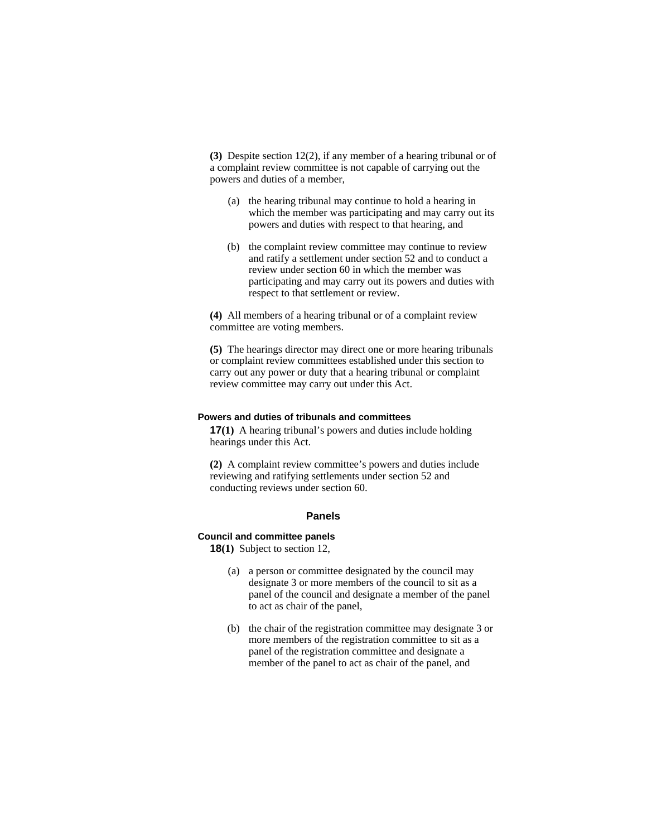**(3)** Despite section 12(2), if any member of a hearing tribunal or of a complaint review committee is not capable of carrying out the powers and duties of a member,

- (a) the hearing tribunal may continue to hold a hearing in which the member was participating and may carry out its powers and duties with respect to that hearing, and
- (b) the complaint review committee may continue to review and ratify a settlement under section 52 and to conduct a review under section 60 in which the member was participating and may carry out its powers and duties with respect to that settlement or review.

**(4)** All members of a hearing tribunal or of a complaint review committee are voting members.

**(5)** The hearings director may direct one or more hearing tribunals or complaint review committees established under this section to carry out any power or duty that a hearing tribunal or complaint review committee may carry out under this Act.

#### **Powers and duties of tribunals and committees**

**17(1)** A hearing tribunal's powers and duties include holding hearings under this Act.

**(2)** A complaint review committee's powers and duties include reviewing and ratifying settlements under section 52 and conducting reviews under section 60.

# **Panels**

# **Council and committee panels**

**18(1)** Subject to section 12,

- (a) a person or committee designated by the council may designate 3 or more members of the council to sit as a panel of the council and designate a member of the panel to act as chair of the panel,
- (b) the chair of the registration committee may designate 3 or more members of the registration committee to sit as a panel of the registration committee and designate a member of the panel to act as chair of the panel, and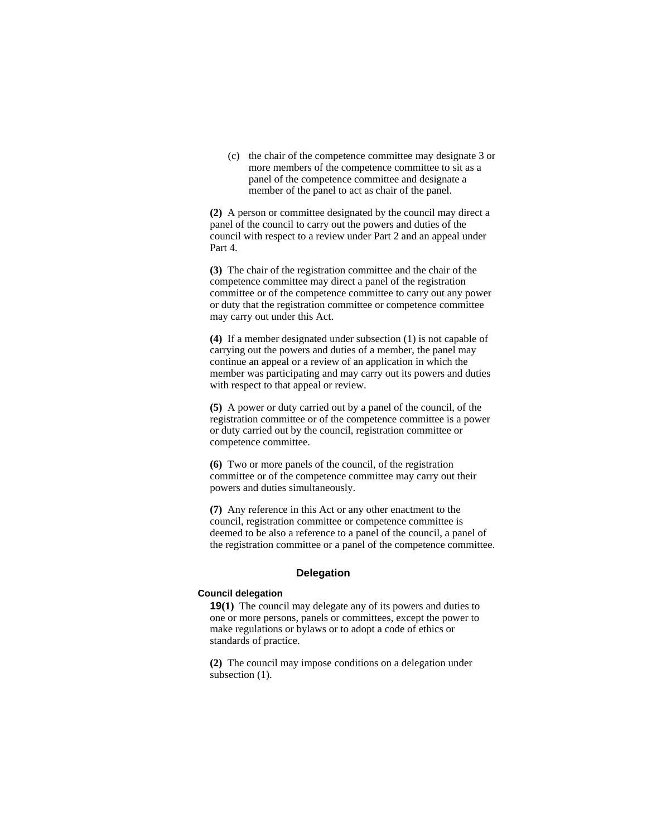(c) the chair of the competence committee may designate 3 or more members of the competence committee to sit as a panel of the competence committee and designate a member of the panel to act as chair of the panel.

**(2)** A person or committee designated by the council may direct a panel of the council to carry out the powers and duties of the council with respect to a review under Part 2 and an appeal under Part 4.

**(3)** The chair of the registration committee and the chair of the competence committee may direct a panel of the registration committee or of the competence committee to carry out any power or duty that the registration committee or competence committee may carry out under this Act.

**(4)** If a member designated under subsection (1) is not capable of carrying out the powers and duties of a member, the panel may continue an appeal or a review of an application in which the member was participating and may carry out its powers and duties with respect to that appeal or review.

**(5)** A power or duty carried out by a panel of the council, of the registration committee or of the competence committee is a power or duty carried out by the council, registration committee or competence committee.

**(6)** Two or more panels of the council, of the registration committee or of the competence committee may carry out their powers and duties simultaneously.

**(7)** Any reference in this Act or any other enactment to the council, registration committee or competence committee is deemed to be also a reference to a panel of the council, a panel of the registration committee or a panel of the competence committee.

# **Delegation**

#### **Council delegation**

**19(1)** The council may delegate any of its powers and duties to one or more persons, panels or committees, except the power to make regulations or bylaws or to adopt a code of ethics or standards of practice.

**(2)** The council may impose conditions on a delegation under subsection  $(1)$ .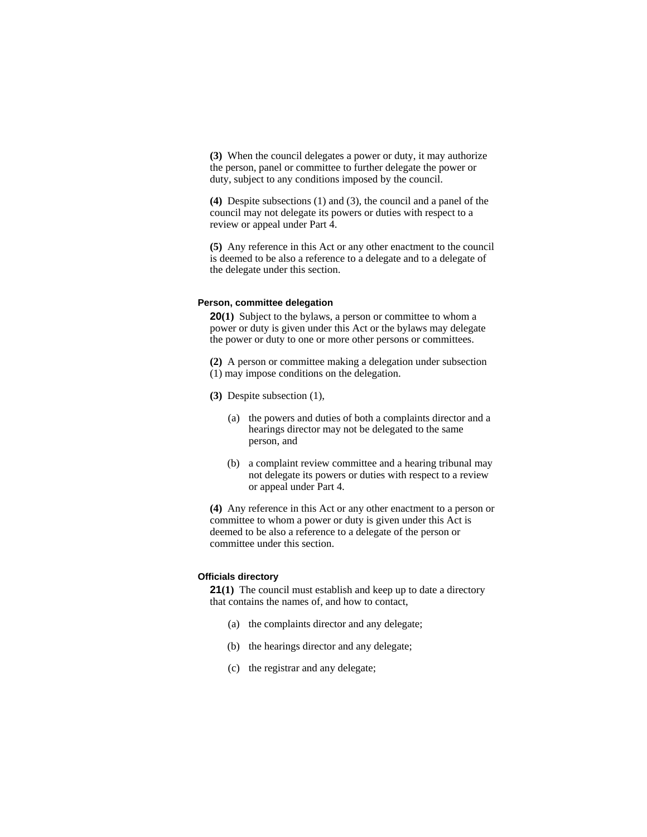**(3)** When the council delegates a power or duty, it may authorize the person, panel or committee to further delegate the power or duty, subject to any conditions imposed by the council.

**(4)** Despite subsections (1) and (3), the council and a panel of the council may not delegate its powers or duties with respect to a review or appeal under Part 4.

**(5)** Any reference in this Act or any other enactment to the council is deemed to be also a reference to a delegate and to a delegate of the delegate under this section.

#### **Person, committee delegation**

**20(1)** Subject to the bylaws, a person or committee to whom a power or duty is given under this Act or the bylaws may delegate the power or duty to one or more other persons or committees.

**(2)** A person or committee making a delegation under subsection (1) may impose conditions on the delegation.

- **(3)** Despite subsection (1),
	- (a) the powers and duties of both a complaints director and a hearings director may not be delegated to the same person, and
	- (b) a complaint review committee and a hearing tribunal may not delegate its powers or duties with respect to a review or appeal under Part 4.

**(4)** Any reference in this Act or any other enactment to a person or committee to whom a power or duty is given under this Act is deemed to be also a reference to a delegate of the person or committee under this section.

#### **Officials directory**

**21(1)** The council must establish and keep up to date a directory that contains the names of, and how to contact,

- (a) the complaints director and any delegate;
- (b) the hearings director and any delegate;
- (c) the registrar and any delegate;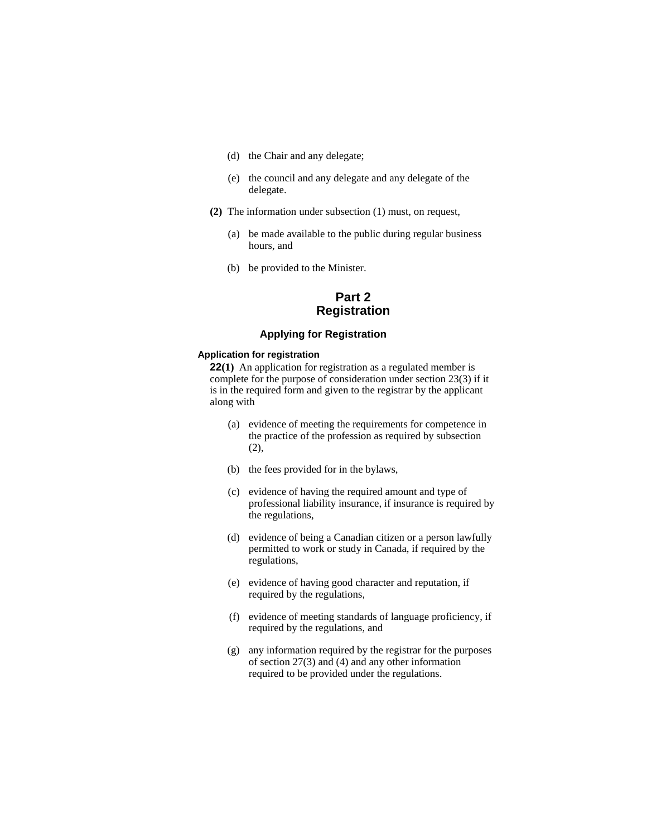- (d) the Chair and any delegate;
- (e) the council and any delegate and any delegate of the delegate.
- **(2)** The information under subsection (1) must, on request,
	- (a) be made available to the public during regular business hours, and
	- (b) be provided to the Minister.

# **Part 2 Registration**

# **Applying for Registration**

# **Application for registration**

**22(1)** An application for registration as a regulated member is complete for the purpose of consideration under section 23(3) if it is in the required form and given to the registrar by the applicant along with

- (a) evidence of meeting the requirements for competence in the practice of the profession as required by subsection (2),
- (b) the fees provided for in the bylaws,
- (c) evidence of having the required amount and type of professional liability insurance, if insurance is required by the regulations,
- (d) evidence of being a Canadian citizen or a person lawfully permitted to work or study in Canada, if required by the regulations,
- (e) evidence of having good character and reputation, if required by the regulations,
- (f) evidence of meeting standards of language proficiency, if required by the regulations, and
- (g) any information required by the registrar for the purposes of section 27(3) and (4) and any other information required to be provided under the regulations.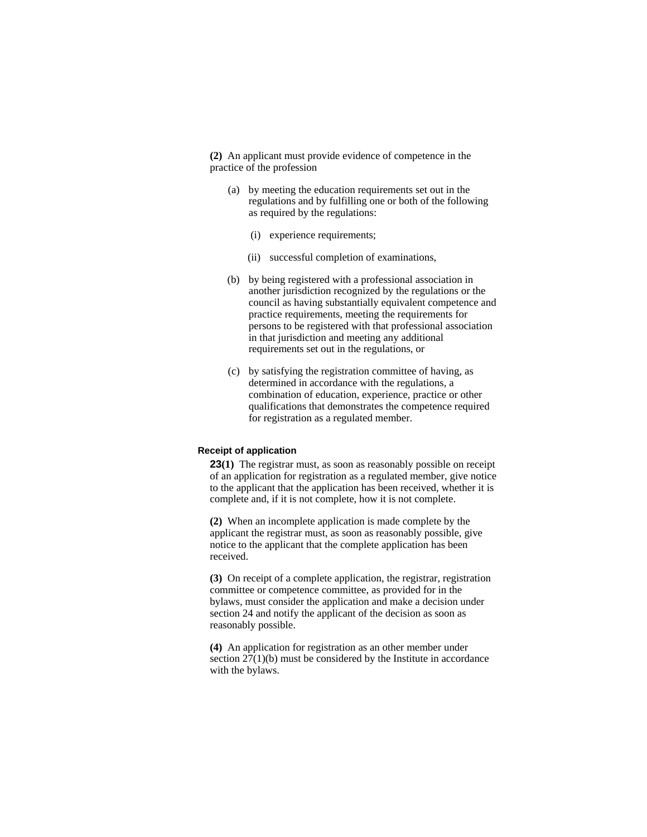**(2)** An applicant must provide evidence of competence in the practice of the profession

- (a) by meeting the education requirements set out in the regulations and by fulfilling one or both of the following as required by the regulations:
	- (i) experience requirements;
	- (ii) successful completion of examinations,
- (b) by being registered with a professional association in another jurisdiction recognized by the regulations or the council as having substantially equivalent competence and practice requirements, meeting the requirements for persons to be registered with that professional association in that jurisdiction and meeting any additional requirements set out in the regulations, or
- (c) by satisfying the registration committee of having, as determined in accordance with the regulations, a combination of education, experience, practice or other qualifications that demonstrates the competence required for registration as a regulated member.

### **Receipt of application**

**23(1)** The registrar must, as soon as reasonably possible on receipt of an application for registration as a regulated member, give notice to the applicant that the application has been received, whether it is complete and, if it is not complete, how it is not complete.

**(2)** When an incomplete application is made complete by the applicant the registrar must, as soon as reasonably possible, give notice to the applicant that the complete application has been received.

**(3)** On receipt of a complete application, the registrar, registration committee or competence committee, as provided for in the bylaws, must consider the application and make a decision under section 24 and notify the applicant of the decision as soon as reasonably possible.

**(4)** An application for registration as an other member under section 27(1)(b) must be considered by the Institute in accordance with the bylaws.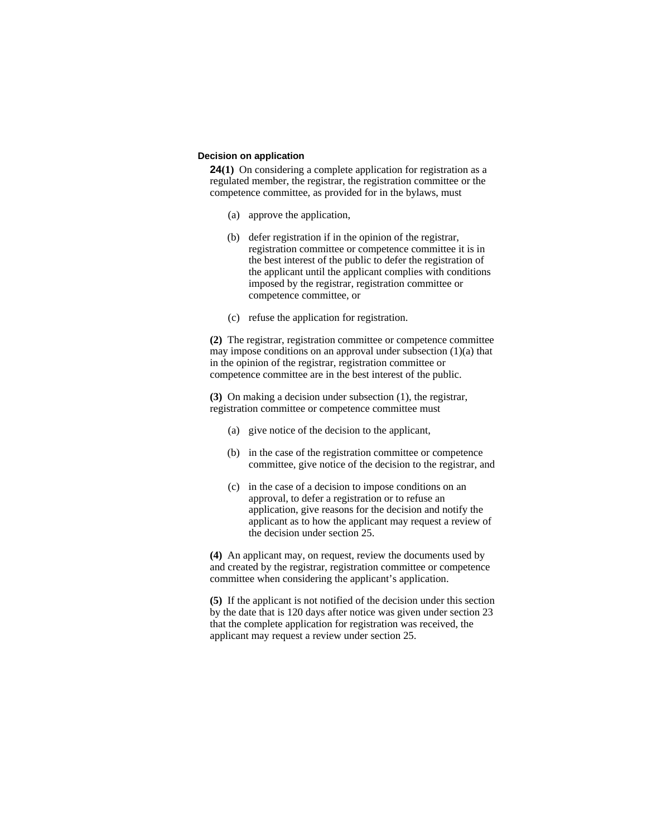#### **Decision on application**

**24(1)** On considering a complete application for registration as a regulated member, the registrar, the registration committee or the competence committee, as provided for in the bylaws, must

- (a) approve the application,
- (b) defer registration if in the opinion of the registrar, registration committee or competence committee it is in the best interest of the public to defer the registration of the applicant until the applicant complies with conditions imposed by the registrar, registration committee or competence committee, or
- (c) refuse the application for registration.

**(2)** The registrar, registration committee or competence committee may impose conditions on an approval under subsection (1)(a) that in the opinion of the registrar, registration committee or competence committee are in the best interest of the public.

**(3)** On making a decision under subsection (1), the registrar, registration committee or competence committee must

- (a) give notice of the decision to the applicant,
- (b) in the case of the registration committee or competence committee, give notice of the decision to the registrar, and
- (c) in the case of a decision to impose conditions on an approval, to defer a registration or to refuse an application, give reasons for the decision and notify the applicant as to how the applicant may request a review of the decision under section 25.

**(4)** An applicant may, on request, review the documents used by and created by the registrar, registration committee or competence committee when considering the applicant's application.

**(5)** If the applicant is not notified of the decision under this section by the date that is 120 days after notice was given under section 23 that the complete application for registration was received, the applicant may request a review under section 25.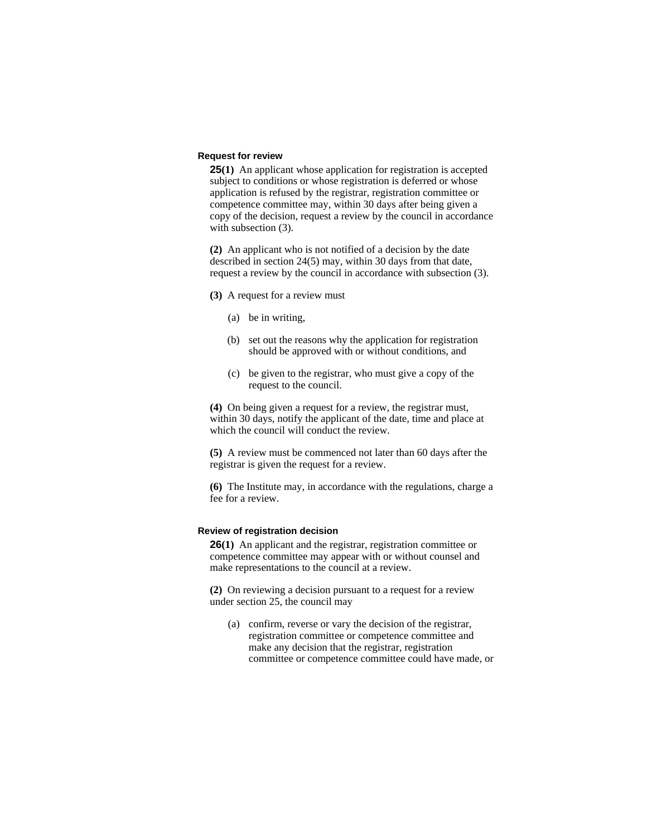#### **Request for review**

**25(1)** An applicant whose application for registration is accepted subject to conditions or whose registration is deferred or whose application is refused by the registrar, registration committee or competence committee may, within 30 days after being given a copy of the decision, request a review by the council in accordance with subsection  $(3)$ .

**(2)** An applicant who is not notified of a decision by the date described in section 24(5) may, within 30 days from that date, request a review by the council in accordance with subsection (3).

**(3)** A request for a review must

- (a) be in writing,
- (b) set out the reasons why the application for registration should be approved with or without conditions, and
- (c) be given to the registrar, who must give a copy of the request to the council.

**(4)** On being given a request for a review, the registrar must, within 30 days, notify the applicant of the date, time and place at which the council will conduct the review.

**(5)** A review must be commenced not later than 60 days after the registrar is given the request for a review.

**(6)** The Institute may, in accordance with the regulations, charge a fee for a review.

#### **Review of registration decision**

**26(1)** An applicant and the registrar, registration committee or competence committee may appear with or without counsel and make representations to the council at a review.

**(2)** On reviewing a decision pursuant to a request for a review under section 25, the council may

(a) confirm, reverse or vary the decision of the registrar, registration committee or competence committee and make any decision that the registrar, registration committee or competence committee could have made, or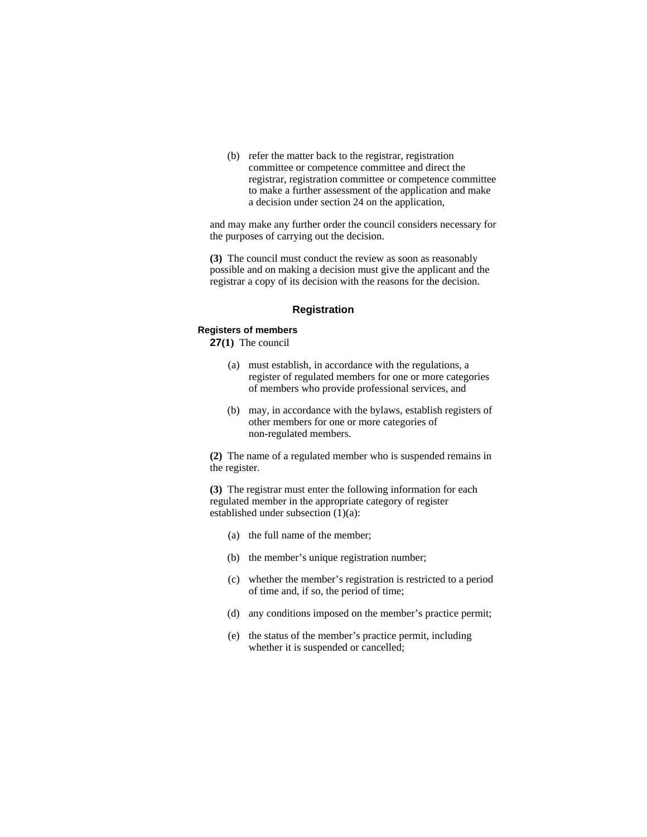(b) refer the matter back to the registrar, registration committee or competence committee and direct the registrar, registration committee or competence committee to make a further assessment of the application and make a decision under section 24 on the application,

and may make any further order the council considers necessary for the purposes of carrying out the decision.

**(3)** The council must conduct the review as soon as reasonably possible and on making a decision must give the applicant and the registrar a copy of its decision with the reasons for the decision.

#### **Registration**

#### **Registers of members**

**27(1)** The council

- (a) must establish, in accordance with the regulations, a register of regulated members for one or more categories of members who provide professional services, and
- (b) may, in accordance with the bylaws, establish registers of other members for one or more categories of non-regulated members.

**(2)** The name of a regulated member who is suspended remains in the register.

**(3)** The registrar must enter the following information for each regulated member in the appropriate category of register established under subsection (1)(a):

- (a) the full name of the member;
- (b) the member's unique registration number;
- (c) whether the member's registration is restricted to a period of time and, if so, the period of time;
- (d) any conditions imposed on the member's practice permit;
- (e) the status of the member's practice permit, including whether it is suspended or cancelled;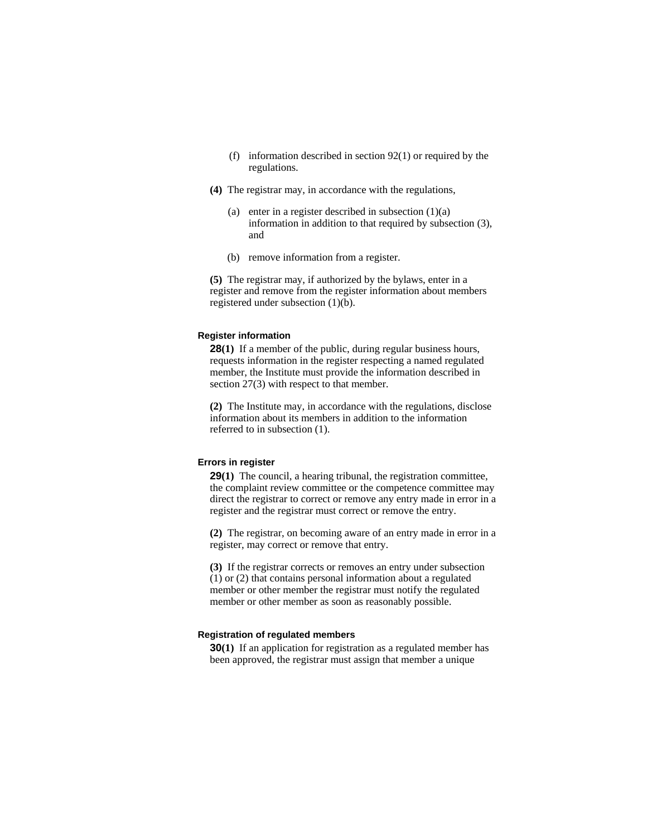- (f) information described in section 92(1) or required by the regulations.
- **(4)** The registrar may, in accordance with the regulations,
	- (a) enter in a register described in subsection  $(1)(a)$ information in addition to that required by subsection (3), and
	- (b) remove information from a register.

**(5)** The registrar may, if authorized by the bylaws, enter in a register and remove from the register information about members registered under subsection (1)(b).

#### **Register information**

**28(1)** If a member of the public, during regular business hours, requests information in the register respecting a named regulated member, the Institute must provide the information described in section 27(3) with respect to that member.

**(2)** The Institute may, in accordance with the regulations, disclose information about its members in addition to the information referred to in subsection (1).

#### **Errors in register**

**29(1)** The council, a hearing tribunal, the registration committee, the complaint review committee or the competence committee may direct the registrar to correct or remove any entry made in error in a register and the registrar must correct or remove the entry.

**(2)** The registrar, on becoming aware of an entry made in error in a register, may correct or remove that entry.

**(3)** If the registrar corrects or removes an entry under subsection (1) or (2) that contains personal information about a regulated member or other member the registrar must notify the regulated member or other member as soon as reasonably possible.

### **Registration of regulated members**

**30(1)** If an application for registration as a regulated member has been approved, the registrar must assign that member a unique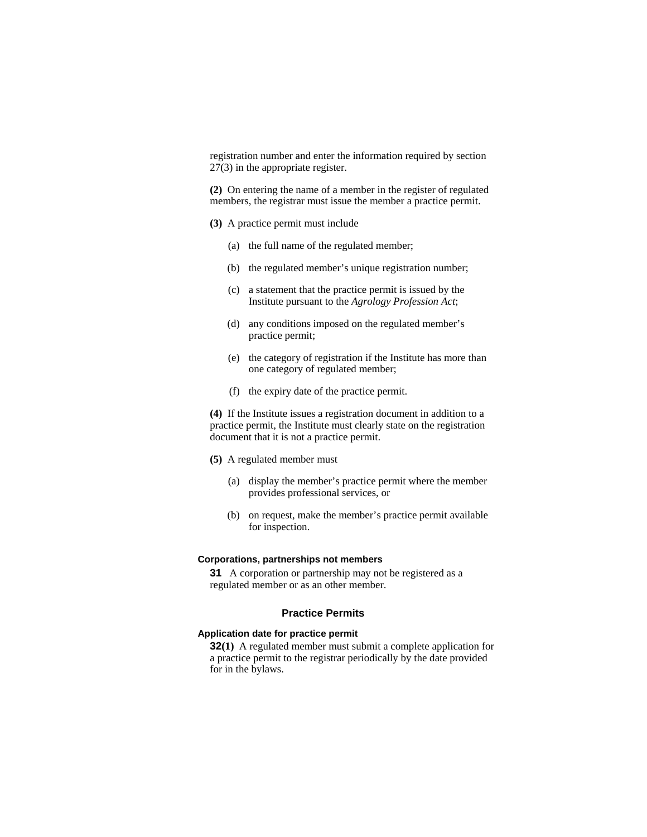registration number and enter the information required by section 27(3) in the appropriate register.

**(2)** On entering the name of a member in the register of regulated members, the registrar must issue the member a practice permit.

- **(3)** A practice permit must include
	- (a) the full name of the regulated member;
	- (b) the regulated member's unique registration number;
	- (c) a statement that the practice permit is issued by the Institute pursuant to the *Agrology Profession Act*;
	- (d) any conditions imposed on the regulated member's practice permit;
	- (e) the category of registration if the Institute has more than one category of regulated member;
	- (f) the expiry date of the practice permit.

**(4)** If the Institute issues a registration document in addition to a practice permit, the Institute must clearly state on the registration document that it is not a practice permit.

- **(5)** A regulated member must
	- (a) display the member's practice permit where the member provides professional services, or
	- (b) on request, make the member's practice permit available for inspection.

#### **Corporations, partnerships not members**

**31** A corporation or partnership may not be registered as a regulated member or as an other member.

# **Practice Permits**

### **Application date for practice permit**

**32(1)** A regulated member must submit a complete application for a practice permit to the registrar periodically by the date provided for in the bylaws.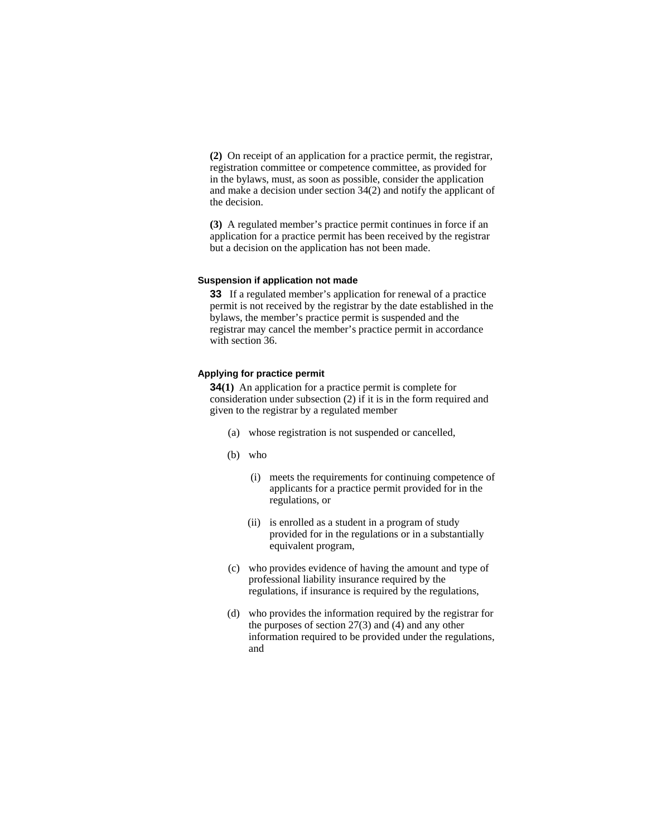**(2)** On receipt of an application for a practice permit, the registrar, registration committee or competence committee, as provided for in the bylaws, must, as soon as possible, consider the application and make a decision under section 34(2) and notify the applicant of the decision.

**(3)** A regulated member's practice permit continues in force if an application for a practice permit has been received by the registrar but a decision on the application has not been made.

#### **Suspension if application not made**

**33** If a regulated member's application for renewal of a practice permit is not received by the registrar by the date established in the bylaws, the member's practice permit is suspended and the registrar may cancel the member's practice permit in accordance with section 36.

#### **Applying for practice permit**

**34(1)** An application for a practice permit is complete for consideration under subsection (2) if it is in the form required and given to the registrar by a regulated member

- (a) whose registration is not suspended or cancelled,
- (b) who
	- (i) meets the requirements for continuing competence of applicants for a practice permit provided for in the regulations, or
	- (ii) is enrolled as a student in a program of study provided for in the regulations or in a substantially equivalent program,
- (c) who provides evidence of having the amount and type of professional liability insurance required by the regulations, if insurance is required by the regulations,
- (d) who provides the information required by the registrar for the purposes of section  $27(3)$  and (4) and any other information required to be provided under the regulations, and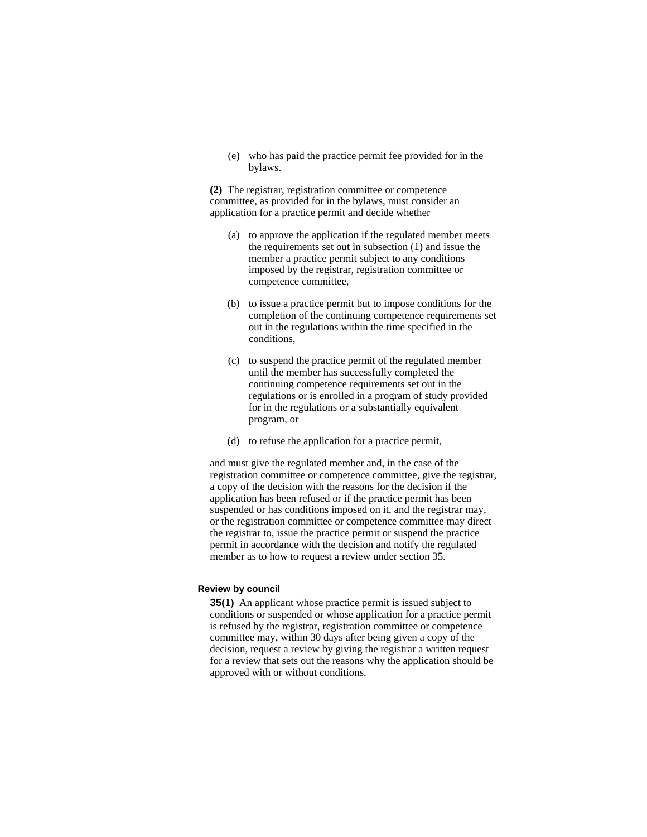(e) who has paid the practice permit fee provided for in the bylaws.

**(2)** The registrar, registration committee or competence committee, as provided for in the bylaws, must consider an application for a practice permit and decide whether

- (a) to approve the application if the regulated member meets the requirements set out in subsection (1) and issue the member a practice permit subject to any conditions imposed by the registrar, registration committee or competence committee,
- (b) to issue a practice permit but to impose conditions for the completion of the continuing competence requirements set out in the regulations within the time specified in the conditions,
- (c) to suspend the practice permit of the regulated member until the member has successfully completed the continuing competence requirements set out in the regulations or is enrolled in a program of study provided for in the regulations or a substantially equivalent program, or
- (d) to refuse the application for a practice permit,

and must give the regulated member and, in the case of the registration committee or competence committee, give the registrar, a copy of the decision with the reasons for the decision if the application has been refused or if the practice permit has been suspended or has conditions imposed on it, and the registrar may, or the registration committee or competence committee may direct the registrar to, issue the practice permit or suspend the practice permit in accordance with the decision and notify the regulated member as to how to request a review under section 35.

#### **Review by council**

**35(1)** An applicant whose practice permit is issued subject to conditions or suspended or whose application for a practice permit is refused by the registrar, registration committee or competence committee may, within 30 days after being given a copy of the decision, request a review by giving the registrar a written request for a review that sets out the reasons why the application should be approved with or without conditions.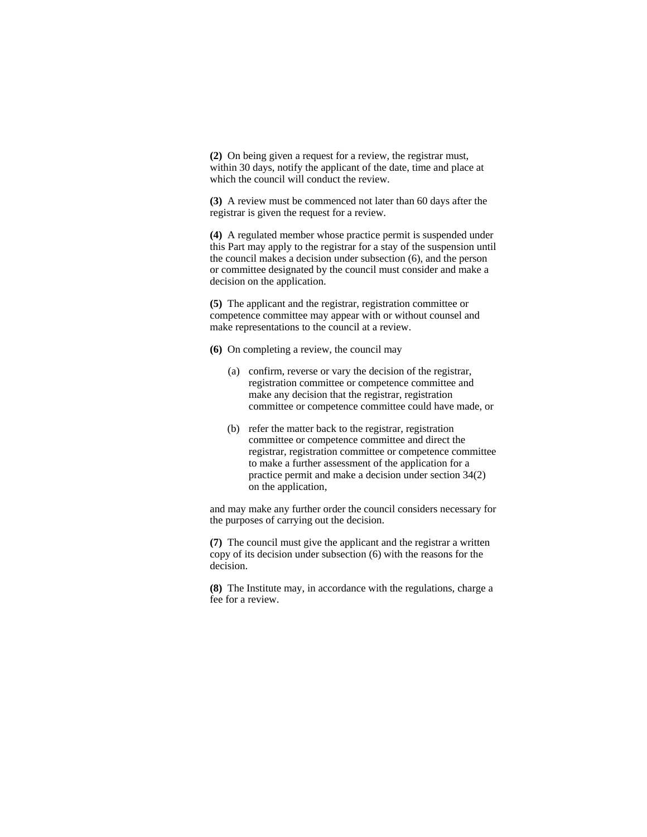**(2)** On being given a request for a review, the registrar must, within 30 days, notify the applicant of the date, time and place at which the council will conduct the review.

**(3)** A review must be commenced not later than 60 days after the registrar is given the request for a review.

**(4)** A regulated member whose practice permit is suspended under this Part may apply to the registrar for a stay of the suspension until the council makes a decision under subsection (6), and the person or committee designated by the council must consider and make a decision on the application.

**(5)** The applicant and the registrar, registration committee or competence committee may appear with or without counsel and make representations to the council at a review.

**(6)** On completing a review, the council may

- (a) confirm, reverse or vary the decision of the registrar, registration committee or competence committee and make any decision that the registrar, registration committee or competence committee could have made, or
- (b) refer the matter back to the registrar, registration committee or competence committee and direct the registrar, registration committee or competence committee to make a further assessment of the application for a practice permit and make a decision under section 34(2) on the application,

and may make any further order the council considers necessary for the purposes of carrying out the decision.

**(7)** The council must give the applicant and the registrar a written copy of its decision under subsection (6) with the reasons for the decision.

**(8)** The Institute may, in accordance with the regulations, charge a fee for a review.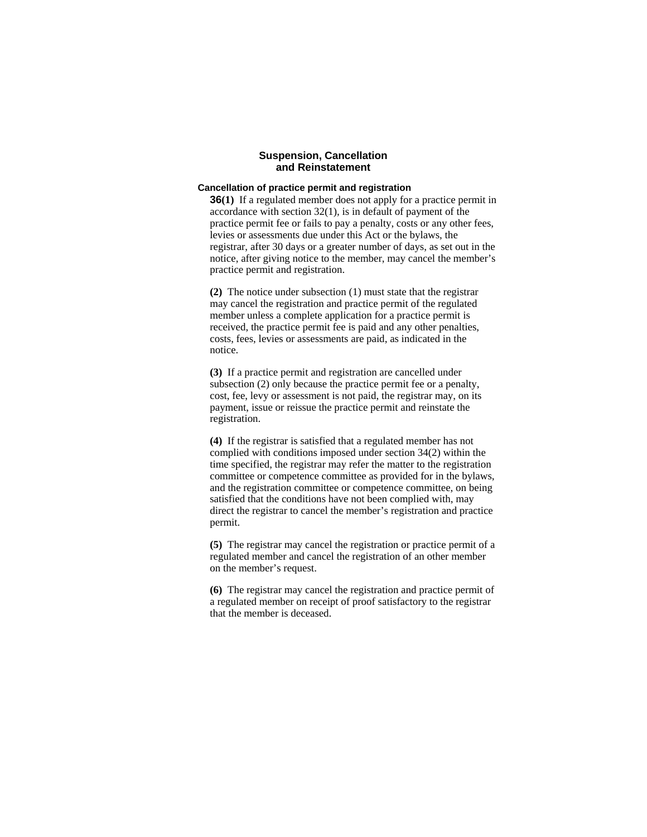### **Suspension, Cancellation and Reinstatement**

#### **Cancellation of practice permit and registration**

**36(1)** If a regulated member does not apply for a practice permit in accordance with section 32(1), is in default of payment of the practice permit fee or fails to pay a penalty, costs or any other fees, levies or assessments due under this Act or the bylaws, the registrar, after 30 days or a greater number of days, as set out in the notice, after giving notice to the member, may cancel the member's practice permit and registration.

**(2)** The notice under subsection (1) must state that the registrar may cancel the registration and practice permit of the regulated member unless a complete application for a practice permit is received, the practice permit fee is paid and any other penalties, costs, fees, levies or assessments are paid, as indicated in the notice.

**(3)** If a practice permit and registration are cancelled under subsection (2) only because the practice permit fee or a penalty, cost, fee, levy or assessment is not paid, the registrar may, on its payment, issue or reissue the practice permit and reinstate the registration.

**(4)** If the registrar is satisfied that a regulated member has not complied with conditions imposed under section 34(2) within the time specified, the registrar may refer the matter to the registration committee or competence committee as provided for in the bylaws, and the registration committee or competence committee, on being satisfied that the conditions have not been complied with, may direct the registrar to cancel the member's registration and practice permit.

**(5)** The registrar may cancel the registration or practice permit of a regulated member and cancel the registration of an other member on the member's request.

**(6)** The registrar may cancel the registration and practice permit of a regulated member on receipt of proof satisfactory to the registrar that the member is deceased.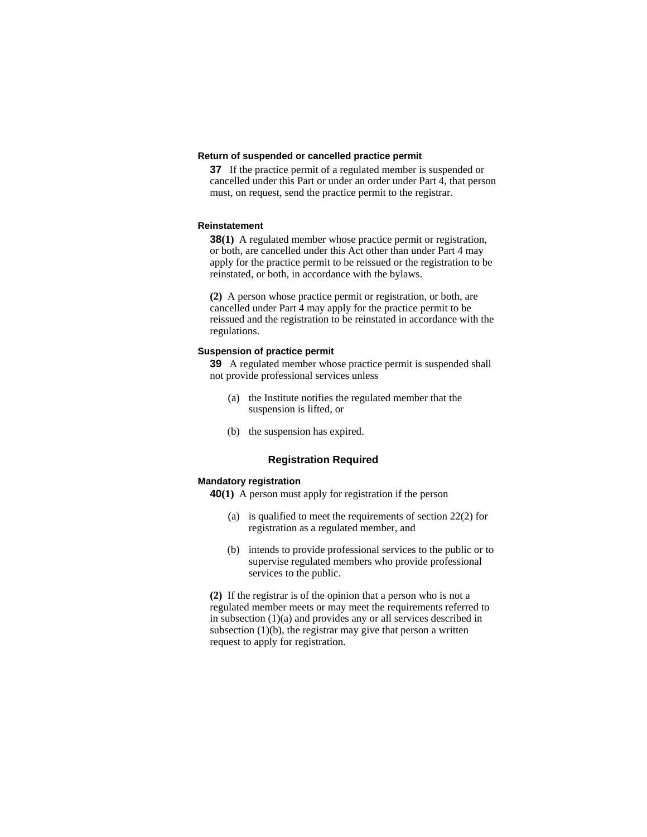# **Return of suspended or cancelled practice permit**

**37** If the practice permit of a regulated member is suspended or cancelled under this Part or under an order under Part 4, that person must, on request, send the practice permit to the registrar.

#### **Reinstatement**

**38(1)** A regulated member whose practice permit or registration, or both, are cancelled under this Act other than under Part 4 may apply for the practice permit to be reissued or the registration to be reinstated, or both, in accordance with the bylaws.

**(2)** A person whose practice permit or registration, or both, are cancelled under Part 4 may apply for the practice permit to be reissued and the registration to be reinstated in accordance with the regulations.

#### **Suspension of practice permit**

**39** A regulated member whose practice permit is suspended shall not provide professional services unless

- (a) the Institute notifies the regulated member that the suspension is lifted, or
- (b) the suspension has expired.

# **Registration Required**

#### **Mandatory registration**

**40(1)** A person must apply for registration if the person

- (a) is qualified to meet the requirements of section 22(2) for registration as a regulated member, and
- (b) intends to provide professional services to the public or to supervise regulated members who provide professional services to the public.

**(2)** If the registrar is of the opinion that a person who is not a regulated member meets or may meet the requirements referred to in subsection (1)(a) and provides any or all services described in subsection  $(1)(b)$ , the registrar may give that person a written request to apply for registration.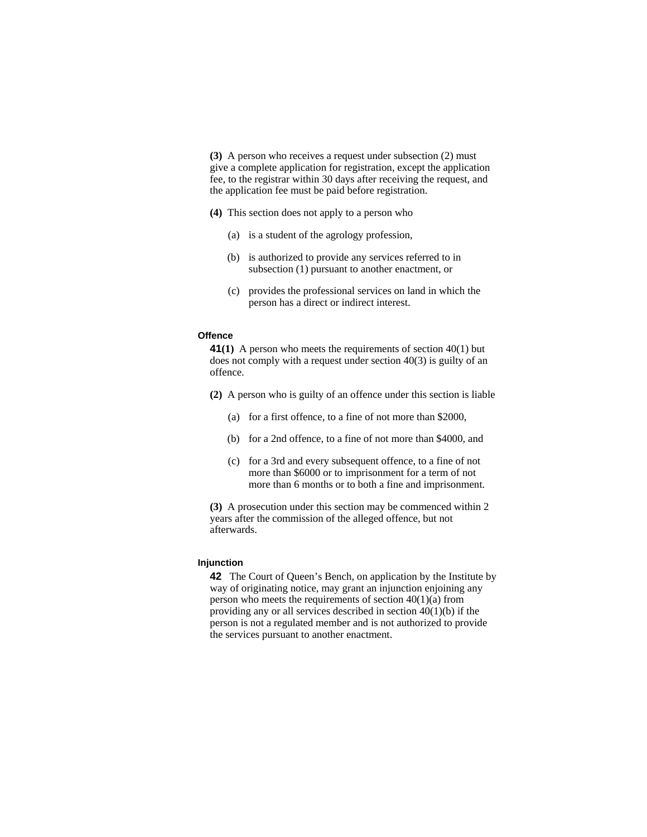**(3)** A person who receives a request under subsection (2) must give a complete application for registration, except the application fee, to the registrar within 30 days after receiving the request, and the application fee must be paid before registration.

- **(4)** This section does not apply to a person who
	- (a) is a student of the agrology profession,
	- (b) is authorized to provide any services referred to in subsection (1) pursuant to another enactment, or
	- (c) provides the professional services on land in which the person has a direct or indirect interest.

#### **Offence**

**41(1)** A person who meets the requirements of section 40(1) but does not comply with a request under section 40(3) is guilty of an offence.

- **(2)** A person who is guilty of an offence under this section is liable
	- (a) for a first offence, to a fine of not more than \$2000,
	- (b) for a 2nd offence, to a fine of not more than \$4000, and
	- (c) for a 3rd and every subsequent offence, to a fine of not more than \$6000 or to imprisonment for a term of not more than 6 months or to both a fine and imprisonment.

**(3)** A prosecution under this section may be commenced within 2 years after the commission of the alleged offence, but not afterwards.

#### **Injunction**

**42** The Court of Queen's Bench, on application by the Institute by way of originating notice, may grant an injunction enjoining any person who meets the requirements of section  $40(1)(a)$  from providing any or all services described in section 40(1)(b) if the person is not a regulated member and is not authorized to provide the services pursuant to another enactment.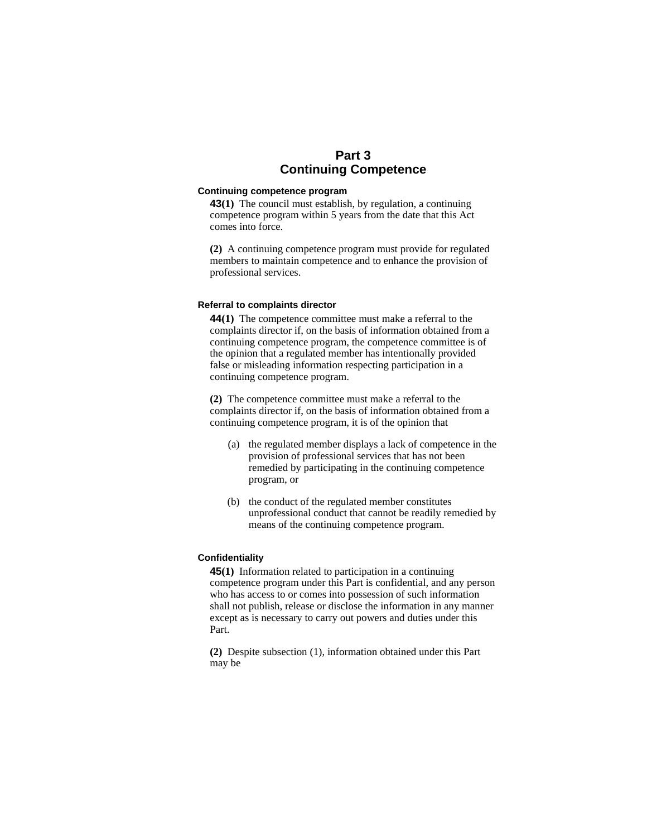# **Part 3 Continuing Competence**

# **Continuing competence program**

**43(1)** The council must establish, by regulation, a continuing competence program within 5 years from the date that this Act comes into force.

**(2)** A continuing competence program must provide for regulated members to maintain competence and to enhance the provision of professional services.

#### **Referral to complaints director**

**44(1)** The competence committee must make a referral to the complaints director if, on the basis of information obtained from a continuing competence program, the competence committee is of the opinion that a regulated member has intentionally provided false or misleading information respecting participation in a continuing competence program.

**(2)** The competence committee must make a referral to the complaints director if, on the basis of information obtained from a continuing competence program, it is of the opinion that

- (a) the regulated member displays a lack of competence in the provision of professional services that has not been remedied by participating in the continuing competence program, or
- (b) the conduct of the regulated member constitutes unprofessional conduct that cannot be readily remedied by means of the continuing competence program.

## **Confidentiality**

**45(1)** Information related to participation in a continuing competence program under this Part is confidential, and any person who has access to or comes into possession of such information shall not publish, release or disclose the information in any manner except as is necessary to carry out powers and duties under this Part.

**(2)** Despite subsection (1), information obtained under this Part may be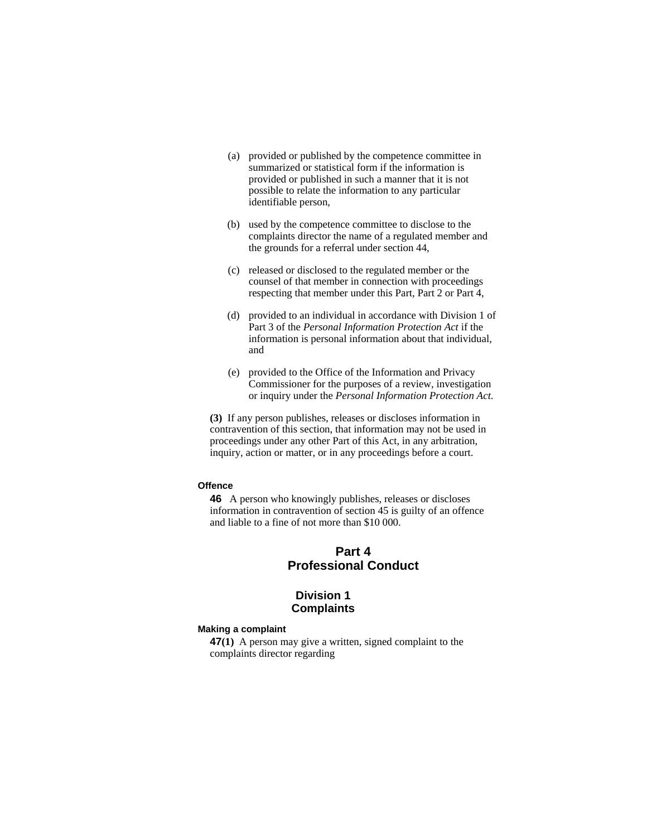- (a) provided or published by the competence committee in summarized or statistical form if the information is provided or published in such a manner that it is not possible to relate the information to any particular identifiable person,
- (b) used by the competence committee to disclose to the complaints director the name of a regulated member and the grounds for a referral under section 44,
- (c) released or disclosed to the regulated member or the counsel of that member in connection with proceedings respecting that member under this Part, Part 2 or Part 4,
- (d) provided to an individual in accordance with Division 1 of Part 3 of the *Personal Information Protection Act* if the information is personal information about that individual, and
- (e) provided to the Office of the Information and Privacy Commissioner for the purposes of a review, investigation or inquiry under the *Personal Information Protection Act*.

**(3)** If any person publishes, releases or discloses information in contravention of this section, that information may not be used in proceedings under any other Part of this Act, in any arbitration, inquiry, action or matter, or in any proceedings before a court.

#### **Offence**

**46** A person who knowingly publishes, releases or discloses information in contravention of section 45 is guilty of an offence and liable to a fine of not more than \$10 000.

# **Part 4 Professional Conduct**

# **Division 1 Complaints**

#### **Making a complaint**

**47(1)** A person may give a written, signed complaint to the complaints director regarding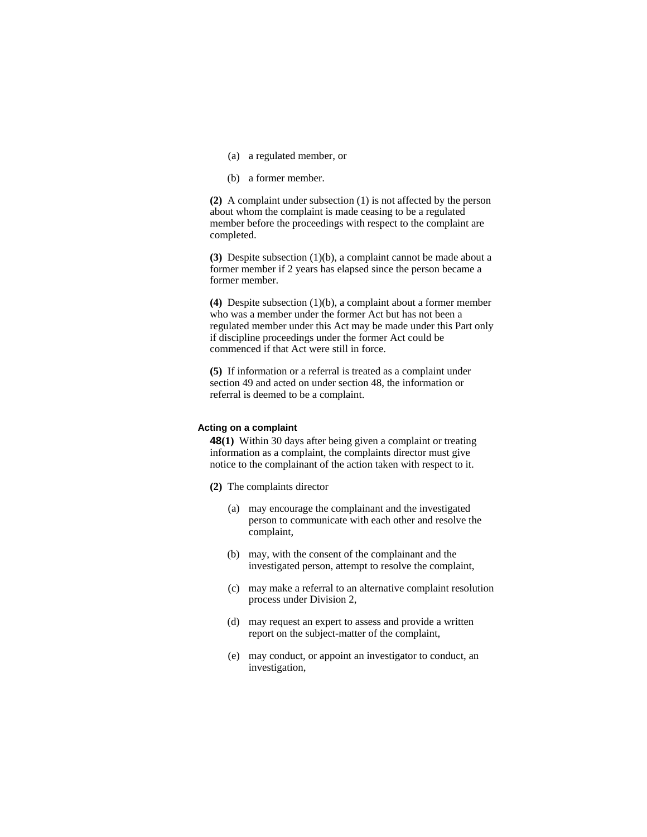- (a) a regulated member, or
- (b) a former member.

**(2)** A complaint under subsection (1) is not affected by the person about whom the complaint is made ceasing to be a regulated member before the proceedings with respect to the complaint are completed.

**(3)** Despite subsection (1)(b), a complaint cannot be made about a former member if 2 years has elapsed since the person became a former member.

**(4)** Despite subsection (1)(b), a complaint about a former member who was a member under the former Act but has not been a regulated member under this Act may be made under this Part only if discipline proceedings under the former Act could be commenced if that Act were still in force.

**(5)** If information or a referral is treated as a complaint under section 49 and acted on under section 48, the information or referral is deemed to be a complaint.

#### **Acting on a complaint**

**48(1)** Within 30 days after being given a complaint or treating information as a complaint, the complaints director must give notice to the complainant of the action taken with respect to it.

- **(2)** The complaints director
	- (a) may encourage the complainant and the investigated person to communicate with each other and resolve the complaint,
	- (b) may, with the consent of the complainant and the investigated person, attempt to resolve the complaint,
	- (c) may make a referral to an alternative complaint resolution process under Division 2,
	- (d) may request an expert to assess and provide a written report on the subject-matter of the complaint,
	- (e) may conduct, or appoint an investigator to conduct, an investigation,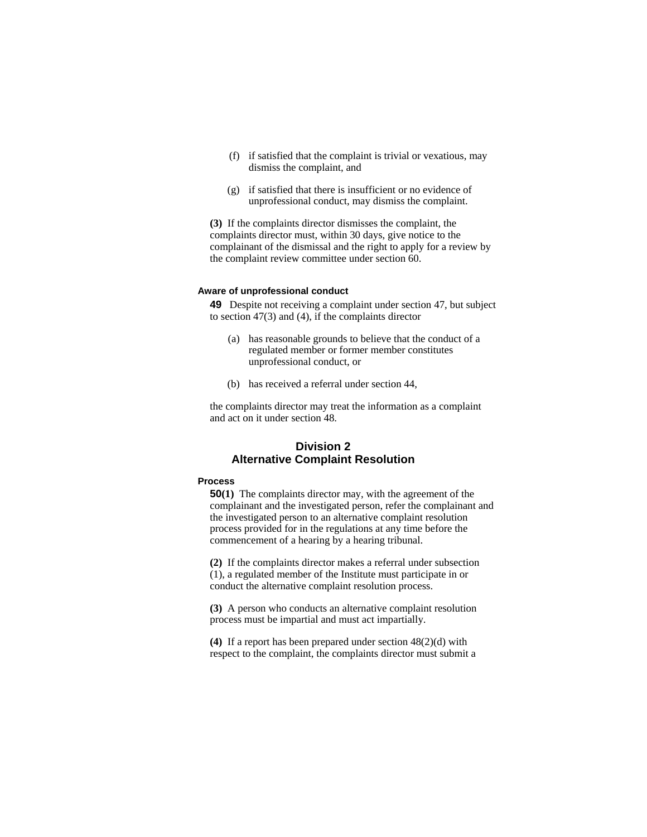- (f) if satisfied that the complaint is trivial or vexatious, may dismiss the complaint, and
- (g) if satisfied that there is insufficient or no evidence of unprofessional conduct, may dismiss the complaint.

**(3)** If the complaints director dismisses the complaint, the complaints director must, within 30 days, give notice to the complainant of the dismissal and the right to apply for a review by the complaint review committee under section 60.

#### **Aware of unprofessional conduct**

**49** Despite not receiving a complaint under section 47, but subject to section 47(3) and (4), if the complaints director

- (a) has reasonable grounds to believe that the conduct of a regulated member or former member constitutes unprofessional conduct, or
- (b) has received a referral under section 44,

the complaints director may treat the information as a complaint and act on it under section 48.

# **Division 2 Alternative Complaint Resolution**

#### **Process**

**50(1)** The complaints director may, with the agreement of the complainant and the investigated person, refer the complainant and the investigated person to an alternative complaint resolution process provided for in the regulations at any time before the commencement of a hearing by a hearing tribunal.

**(2)** If the complaints director makes a referral under subsection (1), a regulated member of the Institute must participate in or conduct the alternative complaint resolution process.

**(3)** A person who conducts an alternative complaint resolution process must be impartial and must act impartially.

**(4)** If a report has been prepared under section 48(2)(d) with respect to the complaint, the complaints director must submit a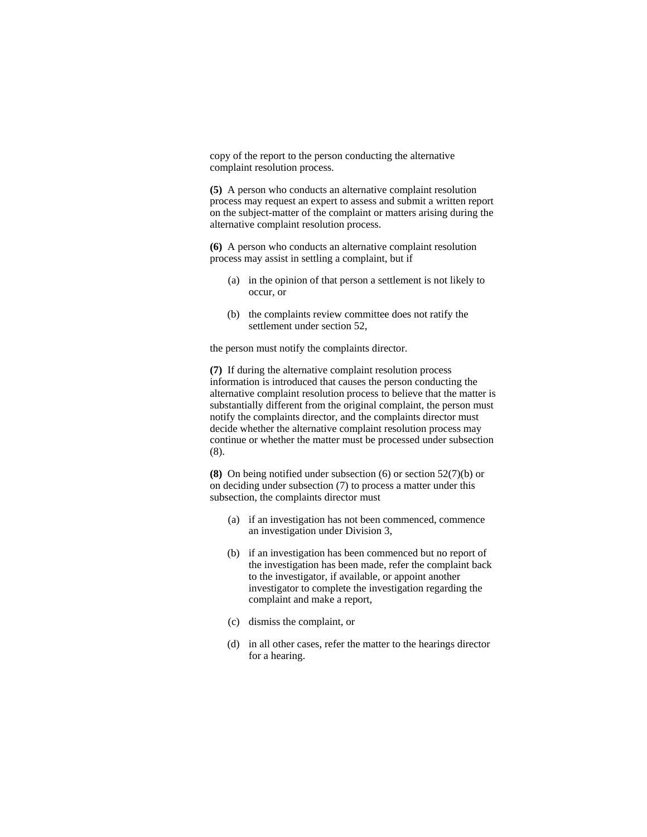copy of the report to the person conducting the alternative complaint resolution process.

**(5)** A person who conducts an alternative complaint resolution process may request an expert to assess and submit a written report on the subject-matter of the complaint or matters arising during the alternative complaint resolution process.

**(6)** A person who conducts an alternative complaint resolution process may assist in settling a complaint, but if

- (a) in the opinion of that person a settlement is not likely to occur, or
- (b) the complaints review committee does not ratify the settlement under section 52,

the person must notify the complaints director.

**(7)** If during the alternative complaint resolution process information is introduced that causes the person conducting the alternative complaint resolution process to believe that the matter is substantially different from the original complaint, the person must notify the complaints director, and the complaints director must decide whether the alternative complaint resolution process may continue or whether the matter must be processed under subsection (8).

**(8)** On being notified under subsection (6) or section 52(7)(b) or on deciding under subsection (7) to process a matter under this subsection, the complaints director must

- (a) if an investigation has not been commenced, commence an investigation under Division 3,
- (b) if an investigation has been commenced but no report of the investigation has been made, refer the complaint back to the investigator, if available, or appoint another investigator to complete the investigation regarding the complaint and make a report,
- (c) dismiss the complaint, or
- (d) in all other cases, refer the matter to the hearings director for a hearing.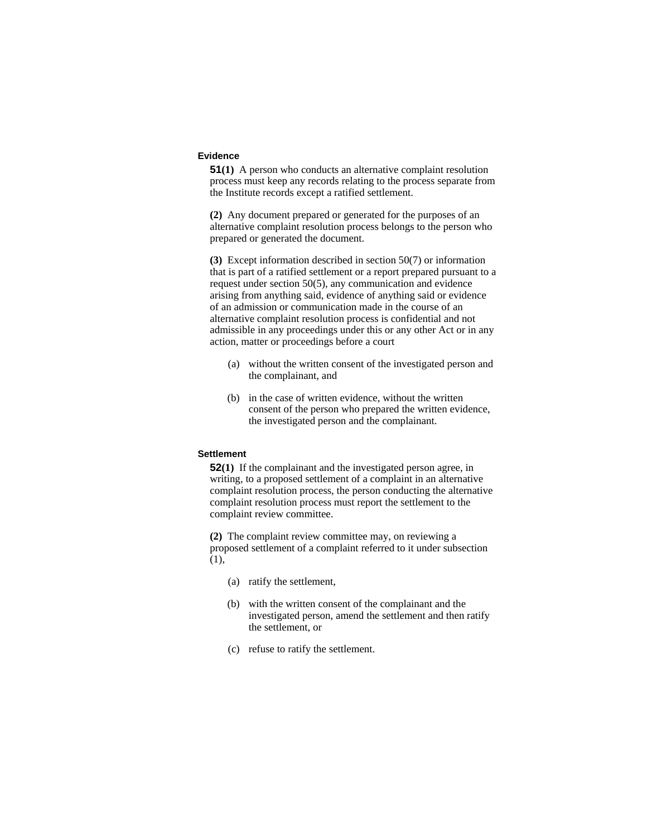### **Evidence**

**51(1)** A person who conducts an alternative complaint resolution process must keep any records relating to the process separate from the Institute records except a ratified settlement.

**(2)** Any document prepared or generated for the purposes of an alternative complaint resolution process belongs to the person who prepared or generated the document.

**(3)** Except information described in section 50(7) or information that is part of a ratified settlement or a report prepared pursuant to a request under section 50(5), any communication and evidence arising from anything said, evidence of anything said or evidence of an admission or communication made in the course of an alternative complaint resolution process is confidential and not admissible in any proceedings under this or any other Act or in any action, matter or proceedings before a court

- (a) without the written consent of the investigated person and the complainant, and
- (b) in the case of written evidence, without the written consent of the person who prepared the written evidence, the investigated person and the complainant.

# **Settlement**

**52(1)** If the complainant and the investigated person agree, in writing, to a proposed settlement of a complaint in an alternative complaint resolution process, the person conducting the alternative complaint resolution process must report the settlement to the complaint review committee.

**(2)** The complaint review committee may, on reviewing a proposed settlement of a complaint referred to it under subsection (1),

- (a) ratify the settlement,
- (b) with the written consent of the complainant and the investigated person, amend the settlement and then ratify the settlement, or
- (c) refuse to ratify the settlement.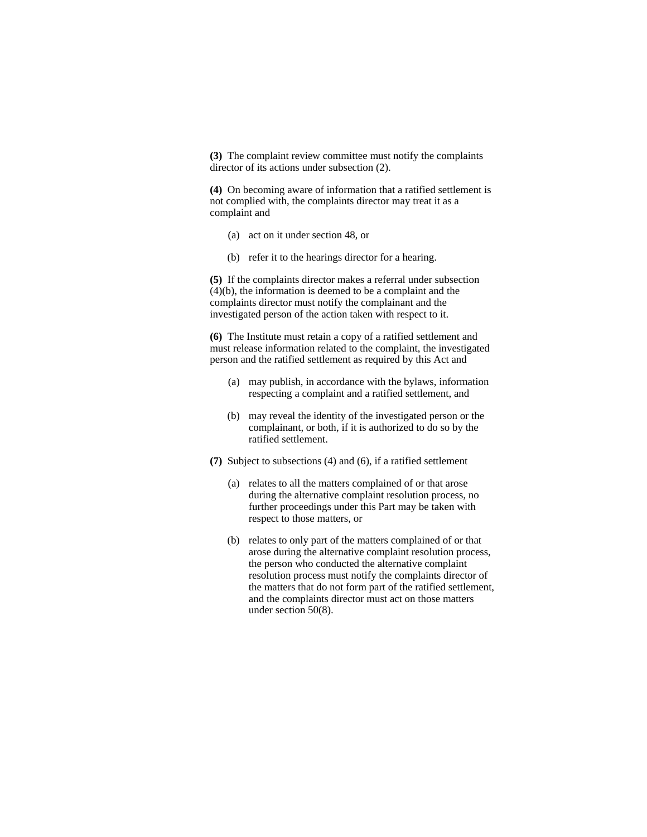**(3)** The complaint review committee must notify the complaints director of its actions under subsection (2).

**(4)** On becoming aware of information that a ratified settlement is not complied with, the complaints director may treat it as a complaint and

- (a) act on it under section 48, or
- (b) refer it to the hearings director for a hearing.

**(5)** If the complaints director makes a referral under subsection (4)(b), the information is deemed to be a complaint and the complaints director must notify the complainant and the investigated person of the action taken with respect to it.

**(6)** The Institute must retain a copy of a ratified settlement and must release information related to the complaint, the investigated person and the ratified settlement as required by this Act and

- (a) may publish, in accordance with the bylaws, information respecting a complaint and a ratified settlement, and
- (b) may reveal the identity of the investigated person or the complainant, or both, if it is authorized to do so by the ratified settlement.
- **(7)** Subject to subsections (4) and (6), if a ratified settlement
	- (a) relates to all the matters complained of or that arose during the alternative complaint resolution process, no further proceedings under this Part may be taken with respect to those matters, or
	- (b) relates to only part of the matters complained of or that arose during the alternative complaint resolution process, the person who conducted the alternative complaint resolution process must notify the complaints director of the matters that do not form part of the ratified settlement, and the complaints director must act on those matters under section 50(8).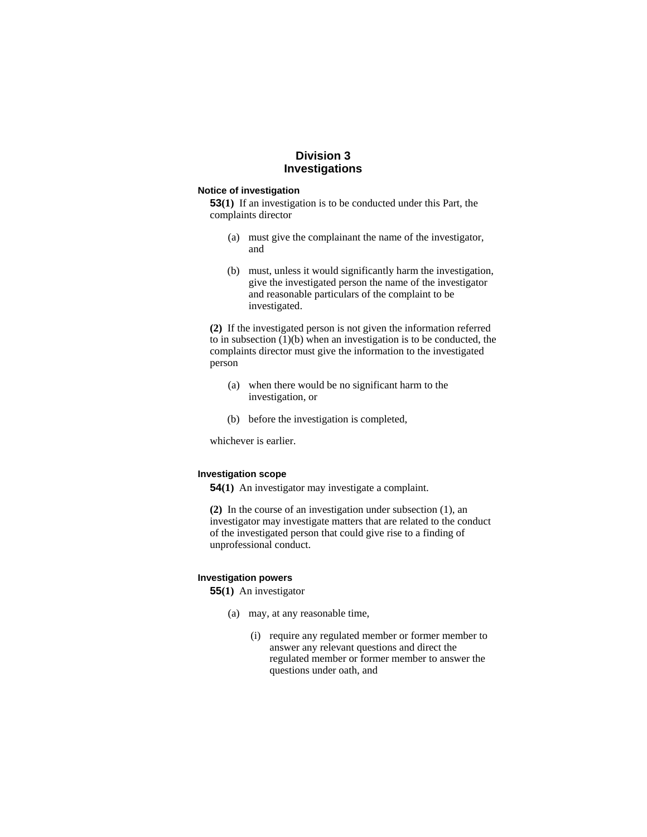# **Division 3 Investigations**

### **Notice of investigation**

**53(1)** If an investigation is to be conducted under this Part, the complaints director

- (a) must give the complainant the name of the investigator, and
- (b) must, unless it would significantly harm the investigation, give the investigated person the name of the investigator and reasonable particulars of the complaint to be investigated.

**(2)** If the investigated person is not given the information referred to in subsection (1)(b) when an investigation is to be conducted, the complaints director must give the information to the investigated person

- (a) when there would be no significant harm to the investigation, or
- (b) before the investigation is completed,

whichever is earlier.

### **Investigation scope**

**54(1)** An investigator may investigate a complaint.

**(2)** In the course of an investigation under subsection (1), an investigator may investigate matters that are related to the conduct of the investigated person that could give rise to a finding of unprofessional conduct.

#### **Investigation powers**

**55(1)** An investigator

- (a) may, at any reasonable time,
	- (i) require any regulated member or former member to answer any relevant questions and direct the regulated member or former member to answer the questions under oath, and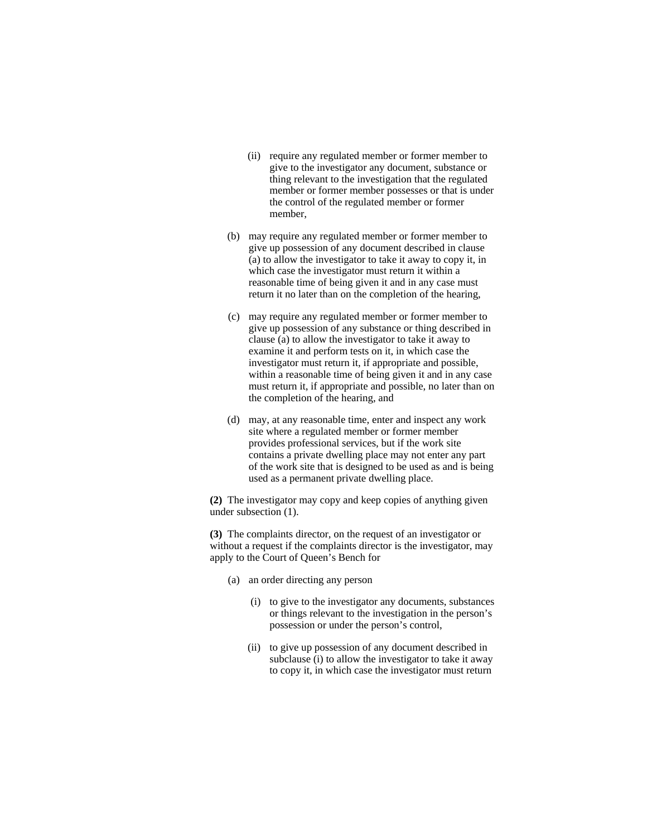- (ii) require any regulated member or former member to give to the investigator any document, substance or thing relevant to the investigation that the regulated member or former member possesses or that is under the control of the regulated member or former member,
- (b) may require any regulated member or former member to give up possession of any document described in clause (a) to allow the investigator to take it away to copy it, in which case the investigator must return it within a reasonable time of being given it and in any case must return it no later than on the completion of the hearing,
- (c) may require any regulated member or former member to give up possession of any substance or thing described in clause (a) to allow the investigator to take it away to examine it and perform tests on it, in which case the investigator must return it, if appropriate and possible, within a reasonable time of being given it and in any case must return it, if appropriate and possible, no later than on the completion of the hearing, and
- (d) may, at any reasonable time, enter and inspect any work site where a regulated member or former member provides professional services, but if the work site contains a private dwelling place may not enter any part of the work site that is designed to be used as and is being used as a permanent private dwelling place.

**(2)** The investigator may copy and keep copies of anything given under subsection (1).

**(3)** The complaints director, on the request of an investigator or without a request if the complaints director is the investigator, may apply to the Court of Queen's Bench for

- (a) an order directing any person
	- (i) to give to the investigator any documents, substances or things relevant to the investigation in the person's possession or under the person's control,
	- (ii) to give up possession of any document described in subclause (i) to allow the investigator to take it away to copy it, in which case the investigator must return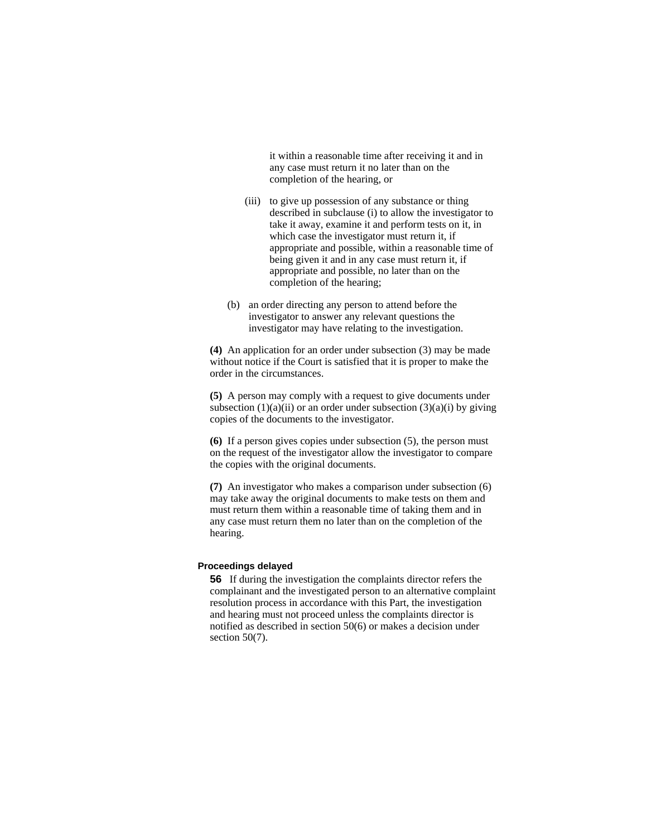it within a reasonable time after receiving it and in any case must return it no later than on the completion of the hearing, or

- (iii) to give up possession of any substance or thing described in subclause (i) to allow the investigator to take it away, examine it and perform tests on it, in which case the investigator must return it, if appropriate and possible, within a reasonable time of being given it and in any case must return it, if appropriate and possible, no later than on the completion of the hearing;
- (b) an order directing any person to attend before the investigator to answer any relevant questions the investigator may have relating to the investigation.

**(4)** An application for an order under subsection (3) may be made without notice if the Court is satisfied that it is proper to make the order in the circumstances.

**(5)** A person may comply with a request to give documents under subsection  $(1)(a)(ii)$  or an order under subsection  $(3)(a)(i)$  by giving copies of the documents to the investigator.

**(6)** If a person gives copies under subsection (5), the person must on the request of the investigator allow the investigator to compare the copies with the original documents.

**(7)** An investigator who makes a comparison under subsection (6) may take away the original documents to make tests on them and must return them within a reasonable time of taking them and in any case must return them no later than on the completion of the hearing.

# **Proceedings delayed**

**56** If during the investigation the complaints director refers the complainant and the investigated person to an alternative complaint resolution process in accordance with this Part, the investigation and hearing must not proceed unless the complaints director is notified as described in section 50(6) or makes a decision under section 50(7).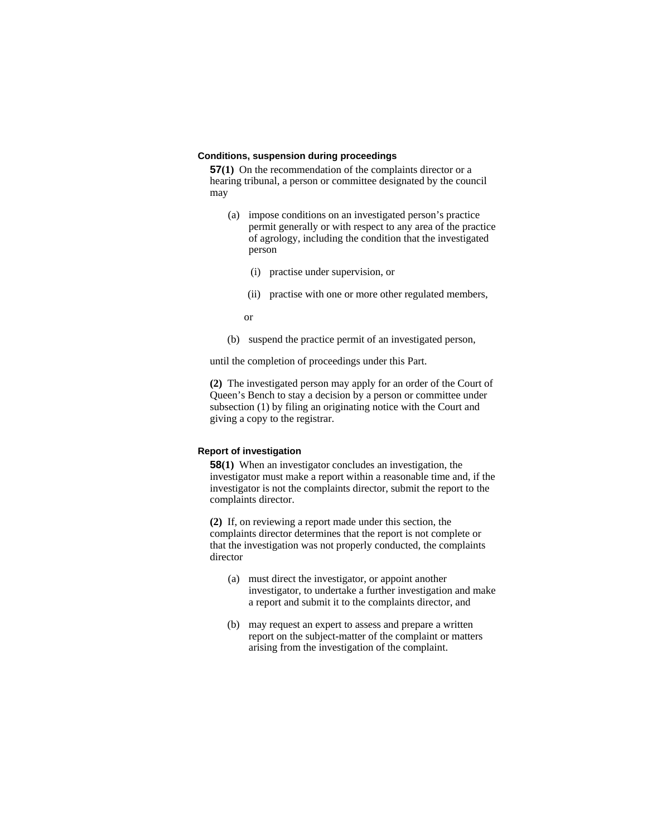### **Conditions, suspension during proceedings**

**57(1)** On the recommendation of the complaints director or a hearing tribunal, a person or committee designated by the council may

- (a) impose conditions on an investigated person's practice permit generally or with respect to any area of the practice of agrology, including the condition that the investigated person
	- (i) practise under supervision, or
	- (ii) practise with one or more other regulated members,

or

(b) suspend the practice permit of an investigated person,

until the completion of proceedings under this Part.

**(2)** The investigated person may apply for an order of the Court of Queen's Bench to stay a decision by a person or committee under subsection (1) by filing an originating notice with the Court and giving a copy to the registrar.

# **Report of investigation**

**58(1)** When an investigator concludes an investigation, the investigator must make a report within a reasonable time and, if the investigator is not the complaints director, submit the report to the complaints director.

**(2)** If, on reviewing a report made under this section, the complaints director determines that the report is not complete or that the investigation was not properly conducted, the complaints director

- (a) must direct the investigator, or appoint another investigator, to undertake a further investigation and make a report and submit it to the complaints director, and
- (b) may request an expert to assess and prepare a written report on the subject-matter of the complaint or matters arising from the investigation of the complaint.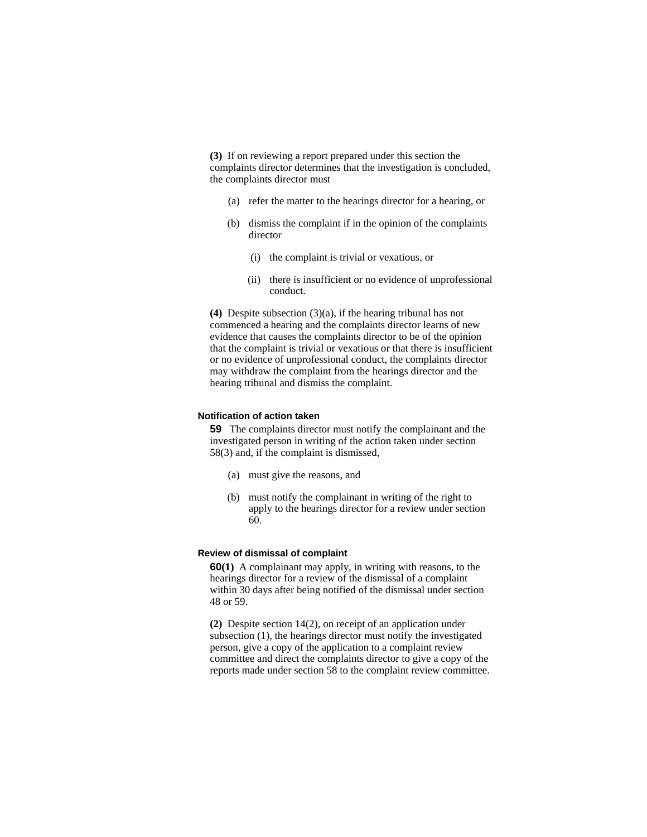**(3)** If on reviewing a report prepared under this section the complaints director determines that the investigation is concluded, the complaints director must

- (a) refer the matter to the hearings director for a hearing, or
- (b) dismiss the complaint if in the opinion of the complaints director
	- (i) the complaint is trivial or vexatious, or
	- (ii) there is insufficient or no evidence of unprofessional conduct.

**(4)** Despite subsection (3)(a), if the hearing tribunal has not commenced a hearing and the complaints director learns of new evidence that causes the complaints director to be of the opinion that the complaint is trivial or vexatious or that there is insufficient or no evidence of unprofessional conduct, the complaints director may withdraw the complaint from the hearings director and the hearing tribunal and dismiss the complaint.

### **Notification of action taken**

**59** The complaints director must notify the complainant and the investigated person in writing of the action taken under section 58(3) and, if the complaint is dismissed,

- (a) must give the reasons, and
- (b) must notify the complainant in writing of the right to apply to the hearings director for a review under section 60.

# **Review of dismissal of complaint**

**60(1)** A complainant may apply, in writing with reasons, to the hearings director for a review of the dismissal of a complaint within 30 days after being notified of the dismissal under section 48 or 59.

**(2)** Despite section 14(2), on receipt of an application under subsection (1), the hearings director must notify the investigated person, give a copy of the application to a complaint review committee and direct the complaints director to give a copy of the reports made under section 58 to the complaint review committee.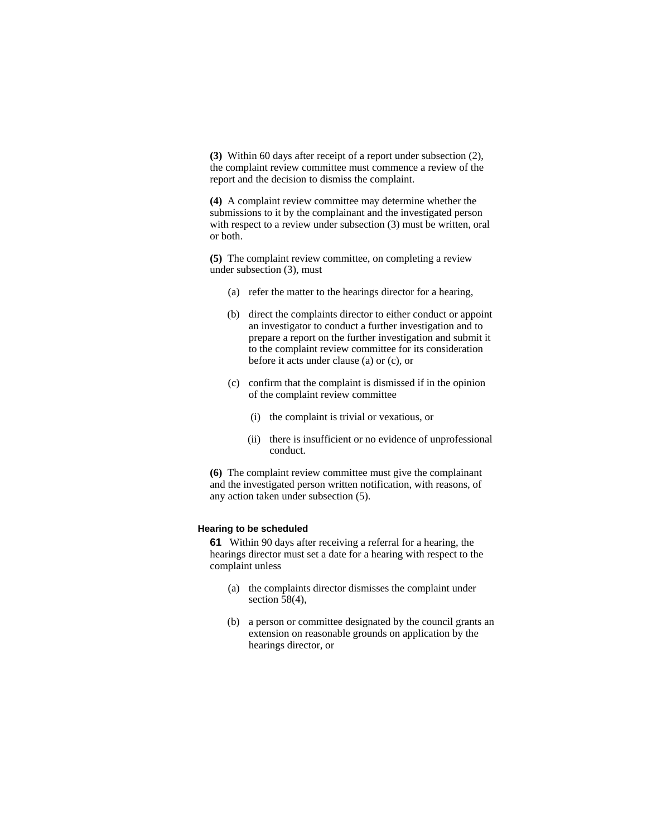**(3)** Within 60 days after receipt of a report under subsection (2), the complaint review committee must commence a review of the report and the decision to dismiss the complaint.

**(4)** A complaint review committee may determine whether the submissions to it by the complainant and the investigated person with respect to a review under subsection (3) must be written, oral or both.

**(5)** The complaint review committee, on completing a review under subsection (3), must

- (a) refer the matter to the hearings director for a hearing,
- (b) direct the complaints director to either conduct or appoint an investigator to conduct a further investigation and to prepare a report on the further investigation and submit it to the complaint review committee for its consideration before it acts under clause (a) or (c), or
- (c) confirm that the complaint is dismissed if in the opinion of the complaint review committee
	- (i) the complaint is trivial or vexatious, or
	- (ii) there is insufficient or no evidence of unprofessional conduct.

**(6)** The complaint review committee must give the complainant and the investigated person written notification, with reasons, of any action taken under subsection (5).

### **Hearing to be scheduled**

**61** Within 90 days after receiving a referral for a hearing, the hearings director must set a date for a hearing with respect to the complaint unless

- (a) the complaints director dismisses the complaint under section 58(4),
- (b) a person or committee designated by the council grants an extension on reasonable grounds on application by the hearings director, or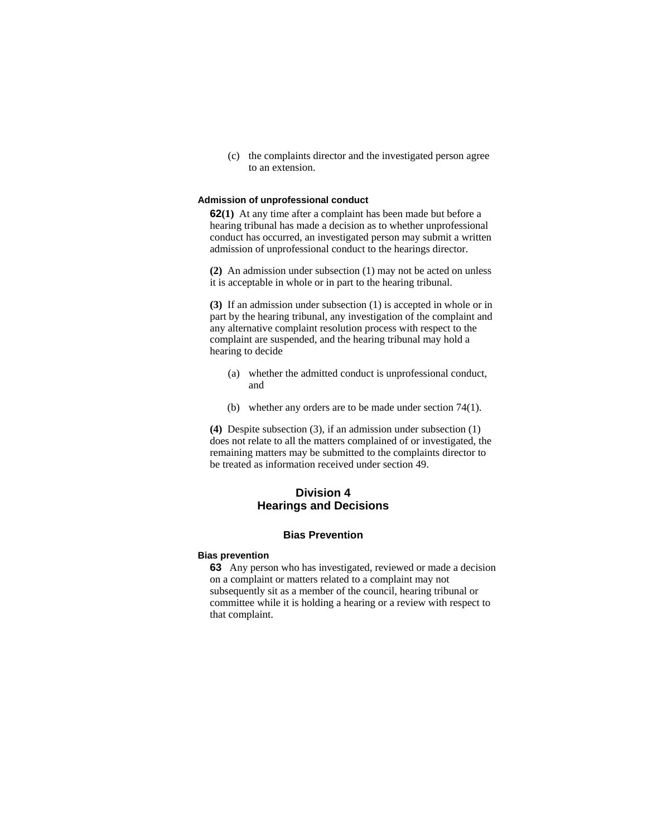(c) the complaints director and the investigated person agree to an extension.

#### **Admission of unprofessional conduct**

**62(1)** At any time after a complaint has been made but before a hearing tribunal has made a decision as to whether unprofessional conduct has occurred, an investigated person may submit a written admission of unprofessional conduct to the hearings director.

**(2)** An admission under subsection (1) may not be acted on unless it is acceptable in whole or in part to the hearing tribunal.

**(3)** If an admission under subsection (1) is accepted in whole or in part by the hearing tribunal, any investigation of the complaint and any alternative complaint resolution process with respect to the complaint are suspended, and the hearing tribunal may hold a hearing to decide

- (a) whether the admitted conduct is unprofessional conduct, and
- (b) whether any orders are to be made under section 74(1).

**(4)** Despite subsection (3), if an admission under subsection (1) does not relate to all the matters complained of or investigated, the remaining matters may be submitted to the complaints director to be treated as information received under section 49.

# **Division 4 Hearings and Decisions**

# **Bias Prevention**

#### **Bias prevention**

**63** Any person who has investigated, reviewed or made a decision on a complaint or matters related to a complaint may not subsequently sit as a member of the council, hearing tribunal or committee while it is holding a hearing or a review with respect to that complaint.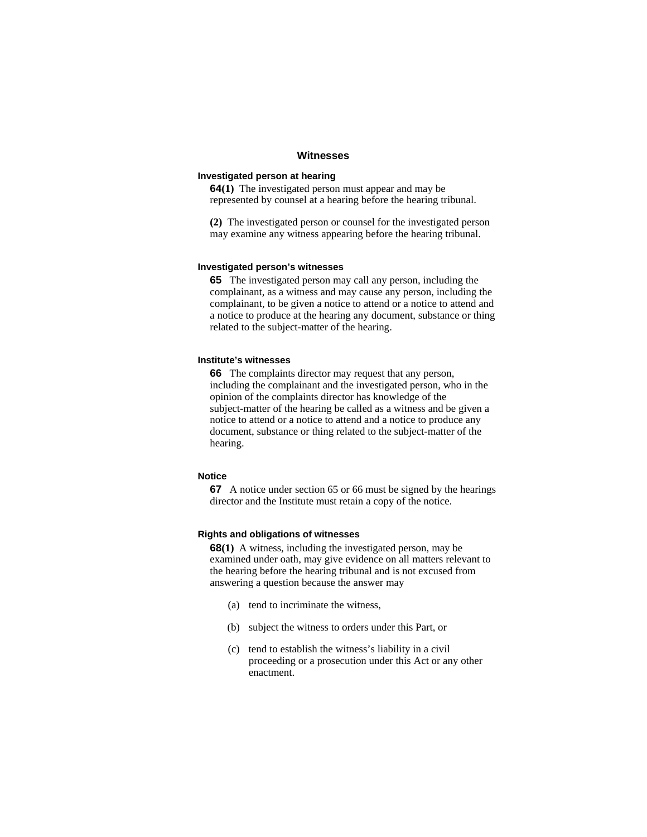### **Witnesses**

## **Investigated person at hearing**

**64(1)** The investigated person must appear and may be represented by counsel at a hearing before the hearing tribunal.

**(2)** The investigated person or counsel for the investigated person may examine any witness appearing before the hearing tribunal.

#### **Investigated person's witnesses**

**65** The investigated person may call any person, including the complainant, as a witness and may cause any person, including the complainant, to be given a notice to attend or a notice to attend and a notice to produce at the hearing any document, substance or thing related to the subject-matter of the hearing.

### **Institute's witnesses**

**66** The complaints director may request that any person, including the complainant and the investigated person, who in the opinion of the complaints director has knowledge of the subject-matter of the hearing be called as a witness and be given a notice to attend or a notice to attend and a notice to produce any document, substance or thing related to the subject-matter of the hearing.

## **Notice**

**67** A notice under section 65 or 66 must be signed by the hearings director and the Institute must retain a copy of the notice.

# **Rights and obligations of witnesses**

**68(1)** A witness, including the investigated person, may be examined under oath, may give evidence on all matters relevant to the hearing before the hearing tribunal and is not excused from answering a question because the answer may

- (a) tend to incriminate the witness,
- (b) subject the witness to orders under this Part, or
- (c) tend to establish the witness's liability in a civil proceeding or a prosecution under this Act or any other enactment.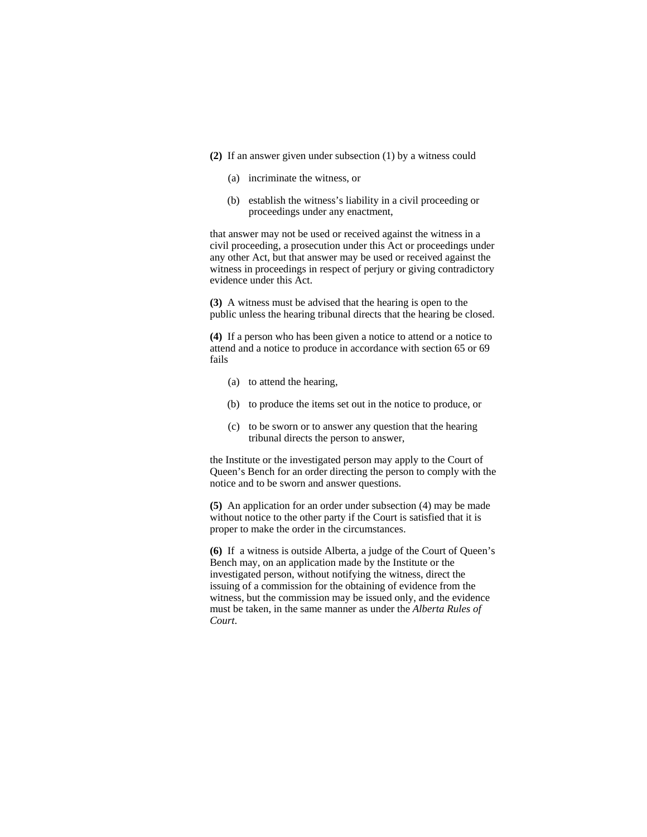- **(2)** If an answer given under subsection (1) by a witness could
	- (a) incriminate the witness, or
	- (b) establish the witness's liability in a civil proceeding or proceedings under any enactment,

that answer may not be used or received against the witness in a civil proceeding, a prosecution under this Act or proceedings under any other Act, but that answer may be used or received against the witness in proceedings in respect of perjury or giving contradictory evidence under this Act.

**(3)** A witness must be advised that the hearing is open to the public unless the hearing tribunal directs that the hearing be closed.

**(4)** If a person who has been given a notice to attend or a notice to attend and a notice to produce in accordance with section 65 or 69 fails

- (a) to attend the hearing,
- (b) to produce the items set out in the notice to produce, or
- (c) to be sworn or to answer any question that the hearing tribunal directs the person to answer,

the Institute or the investigated person may apply to the Court of Queen's Bench for an order directing the person to comply with the notice and to be sworn and answer questions.

**(5)** An application for an order under subsection (4) may be made without notice to the other party if the Court is satisfied that it is proper to make the order in the circumstances.

**(6)** If a witness is outside Alberta, a judge of the Court of Queen's Bench may, on an application made by the Institute or the investigated person, without notifying the witness, direct the issuing of a commission for the obtaining of evidence from the witness, but the commission may be issued only, and the evidence must be taken, in the same manner as under the *Alberta Rules of Court*.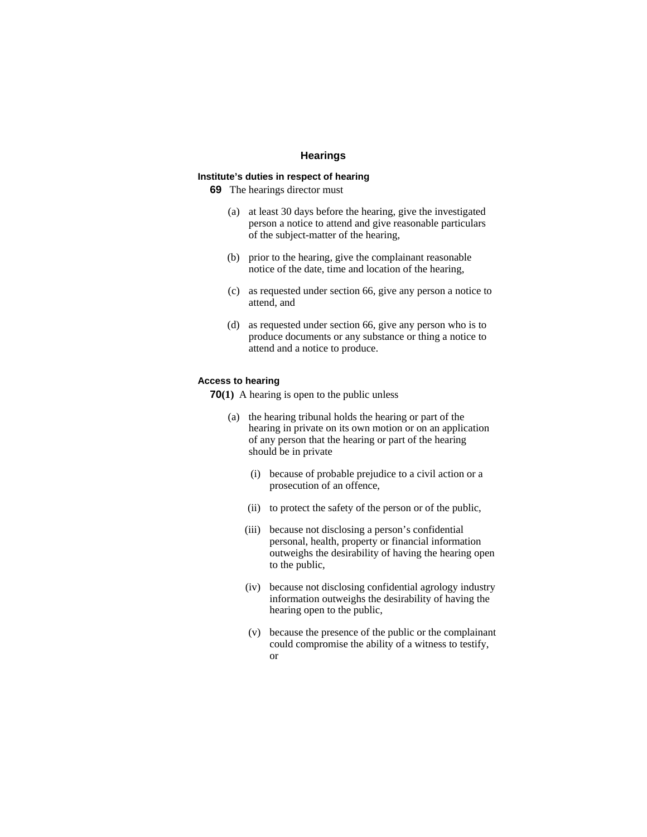## **Hearings**

# **Institute's duties in respect of hearing**

**69** The hearings director must

- (a) at least 30 days before the hearing, give the investigated person a notice to attend and give reasonable particulars of the subject-matter of the hearing,
- (b) prior to the hearing, give the complainant reasonable notice of the date, time and location of the hearing,
- (c) as requested under section 66, give any person a notice to attend, and
- (d) as requested under section 66, give any person who is to produce documents or any substance or thing a notice to attend and a notice to produce.

### **Access to hearing**

**70(1)** A hearing is open to the public unless

- (a) the hearing tribunal holds the hearing or part of the hearing in private on its own motion or on an application of any person that the hearing or part of the hearing should be in private
	- (i) because of probable prejudice to a civil action or a prosecution of an offence,
	- (ii) to protect the safety of the person or of the public,
	- (iii) because not disclosing a person's confidential personal, health, property or financial information outweighs the desirability of having the hearing open to the public,
	- (iv) because not disclosing confidential agrology industry information outweighs the desirability of having the hearing open to the public,
	- (v) because the presence of the public or the complainant could compromise the ability of a witness to testify, or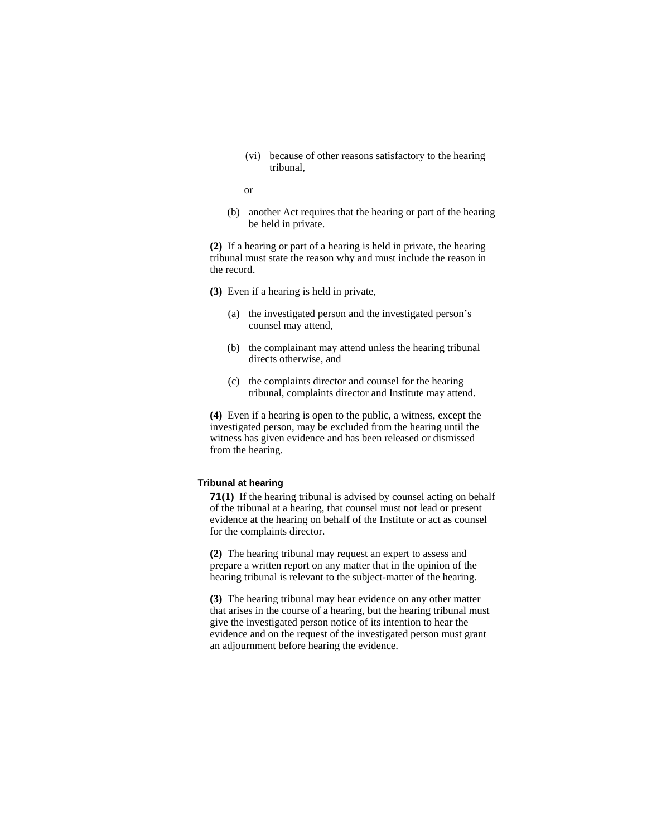(vi) because of other reasons satisfactory to the hearing tribunal,

or

(b) another Act requires that the hearing or part of the hearing be held in private.

**(2)** If a hearing or part of a hearing is held in private, the hearing tribunal must state the reason why and must include the reason in the record.

- **(3)** Even if a hearing is held in private,
	- (a) the investigated person and the investigated person's counsel may attend,
	- (b) the complainant may attend unless the hearing tribunal directs otherwise, and
	- (c) the complaints director and counsel for the hearing tribunal, complaints director and Institute may attend.

**(4)** Even if a hearing is open to the public, a witness, except the investigated person, may be excluded from the hearing until the witness has given evidence and has been released or dismissed from the hearing.

## **Tribunal at hearing**

**71(1)** If the hearing tribunal is advised by counsel acting on behalf of the tribunal at a hearing, that counsel must not lead or present evidence at the hearing on behalf of the Institute or act as counsel for the complaints director.

**(2)** The hearing tribunal may request an expert to assess and prepare a written report on any matter that in the opinion of the hearing tribunal is relevant to the subject-matter of the hearing.

**(3)** The hearing tribunal may hear evidence on any other matter that arises in the course of a hearing, but the hearing tribunal must give the investigated person notice of its intention to hear the evidence and on the request of the investigated person must grant an adjournment before hearing the evidence.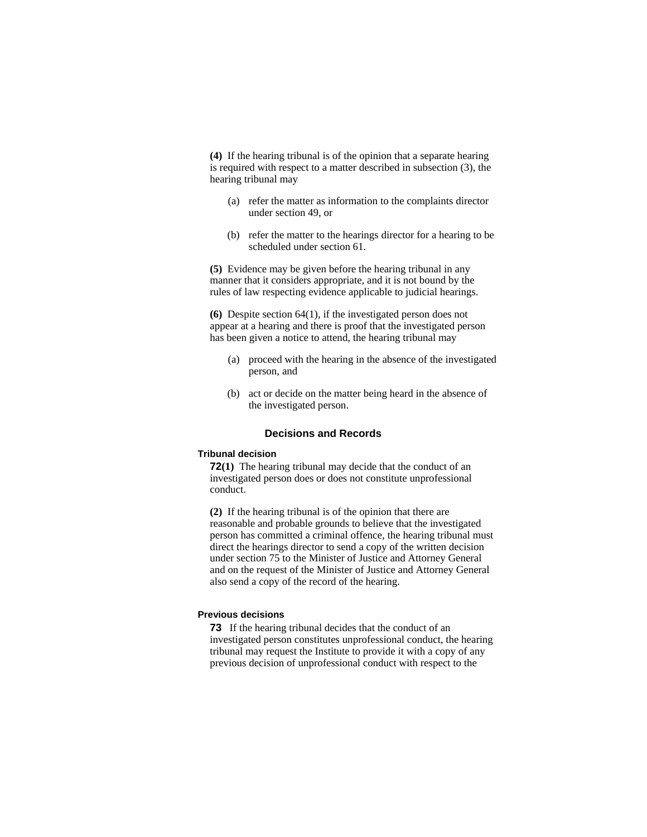**(4)** If the hearing tribunal is of the opinion that a separate hearing is required with respect to a matter described in subsection (3), the hearing tribunal may

- (a) refer the matter as information to the complaints director under section 49, or
- (b) refer the matter to the hearings director for a hearing to be scheduled under section 61.

**(5)** Evidence may be given before the hearing tribunal in any manner that it considers appropriate, and it is not bound by the rules of law respecting evidence applicable to judicial hearings.

**(6)** Despite section 64(1), if the investigated person does not appear at a hearing and there is proof that the investigated person has been given a notice to attend, the hearing tribunal may

- (a) proceed with the hearing in the absence of the investigated person, and
- (b) act or decide on the matter being heard in the absence of the investigated person.

## **Decisions and Records**

# **Tribunal decision**

**72(1)** The hearing tribunal may decide that the conduct of an investigated person does or does not constitute unprofessional conduct.

**(2)** If the hearing tribunal is of the opinion that there are reasonable and probable grounds to believe that the investigated person has committed a criminal offence, the hearing tribunal must direct the hearings director to send a copy of the written decision under section 75 to the Minister of Justice and Attorney General and on the request of the Minister of Justice and Attorney General also send a copy of the record of the hearing.

### **Previous decisions**

**73** If the hearing tribunal decides that the conduct of an investigated person constitutes unprofessional conduct, the hearing tribunal may request the Institute to provide it with a copy of any previous decision of unprofessional conduct with respect to the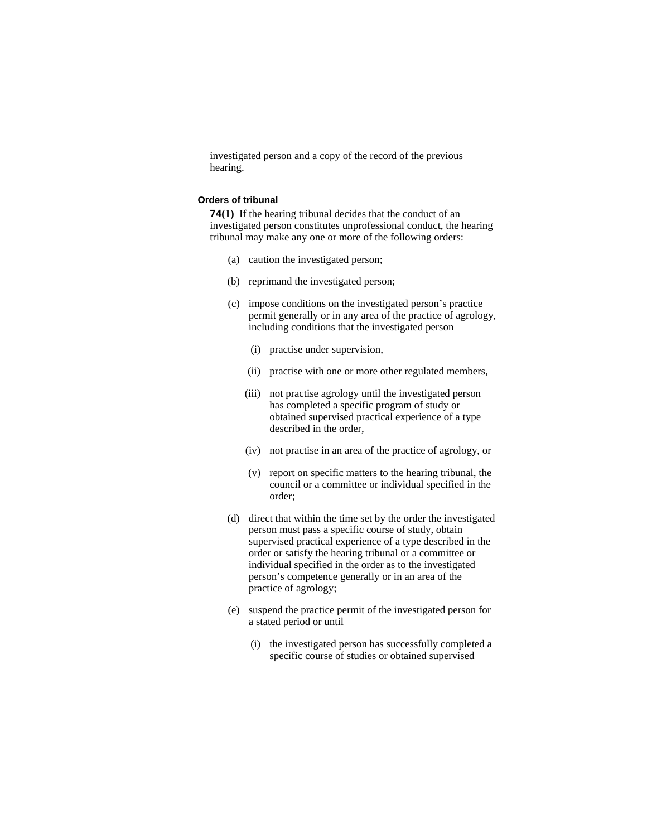investigated person and a copy of the record of the previous hearing.

#### **Orders of tribunal**

**74(1)** If the hearing tribunal decides that the conduct of an investigated person constitutes unprofessional conduct, the hearing tribunal may make any one or more of the following orders:

- (a) caution the investigated person;
- (b) reprimand the investigated person;
- (c) impose conditions on the investigated person's practice permit generally or in any area of the practice of agrology, including conditions that the investigated person
	- (i) practise under supervision,
	- (ii) practise with one or more other regulated members,
	- (iii) not practise agrology until the investigated person has completed a specific program of study or obtained supervised practical experience of a type described in the order,
	- (iv) not practise in an area of the practice of agrology, or
	- (v) report on specific matters to the hearing tribunal, the council or a committee or individual specified in the order;
- (d) direct that within the time set by the order the investigated person must pass a specific course of study, obtain supervised practical experience of a type described in the order or satisfy the hearing tribunal or a committee or individual specified in the order as to the investigated person's competence generally or in an area of the practice of agrology;
- (e) suspend the practice permit of the investigated person for a stated period or until
	- (i) the investigated person has successfully completed a specific course of studies or obtained supervised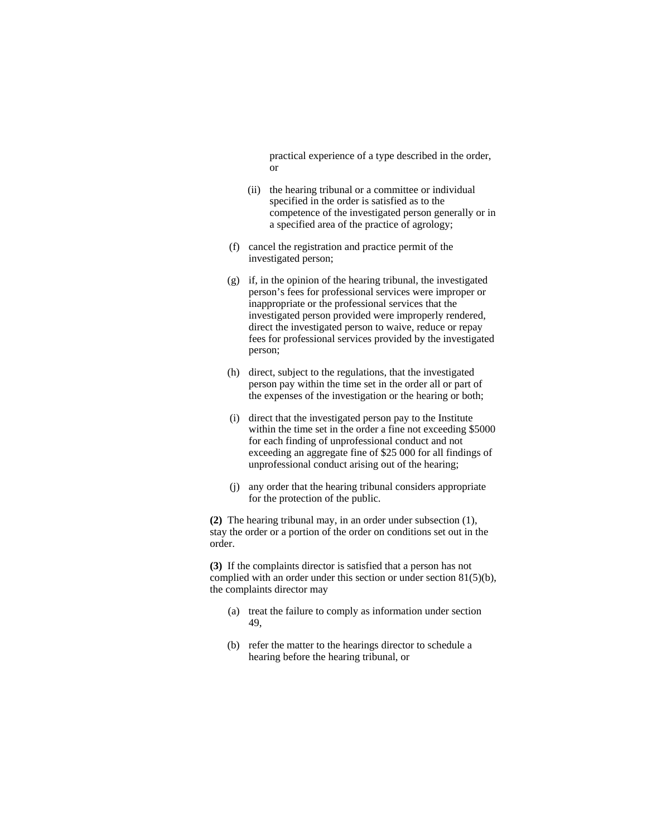practical experience of a type described in the order, or

- (ii) the hearing tribunal or a committee or individual specified in the order is satisfied as to the competence of the investigated person generally or in a specified area of the practice of agrology;
- (f) cancel the registration and practice permit of the investigated person;
- (g) if, in the opinion of the hearing tribunal, the investigated person's fees for professional services were improper or inappropriate or the professional services that the investigated person provided were improperly rendered, direct the investigated person to waive, reduce or repay fees for professional services provided by the investigated person;
- (h) direct, subject to the regulations, that the investigated person pay within the time set in the order all or part of the expenses of the investigation or the hearing or both;
- (i) direct that the investigated person pay to the Institute within the time set in the order a fine not exceeding \$5000 for each finding of unprofessional conduct and not exceeding an aggregate fine of \$25 000 for all findings of unprofessional conduct arising out of the hearing;
- (j) any order that the hearing tribunal considers appropriate for the protection of the public.

**(2)** The hearing tribunal may, in an order under subsection (1), stay the order or a portion of the order on conditions set out in the order.

**(3)** If the complaints director is satisfied that a person has not complied with an order under this section or under section 81(5)(b), the complaints director may

- (a) treat the failure to comply as information under section 49,
- (b) refer the matter to the hearings director to schedule a hearing before the hearing tribunal, or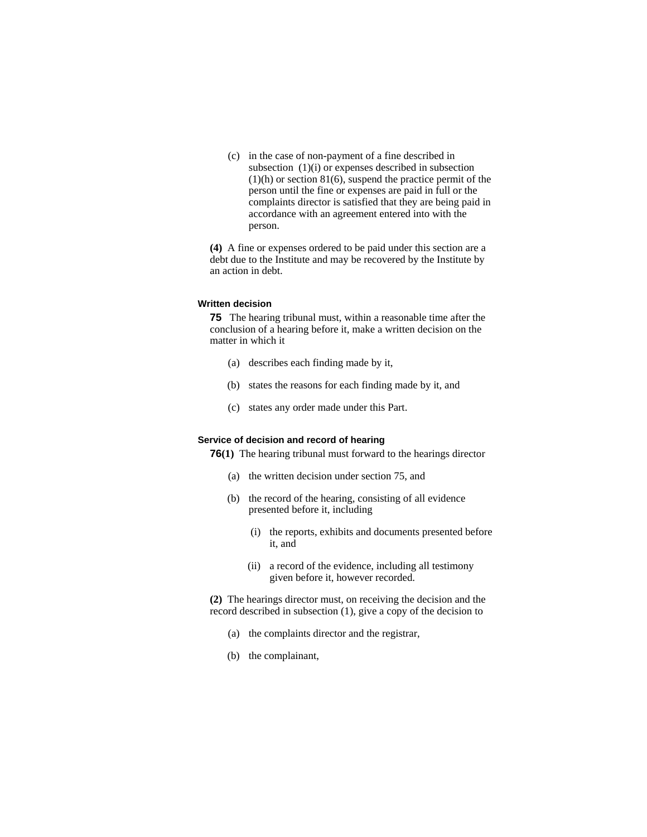(c) in the case of non-payment of a fine described in subsection (1)(i) or expenses described in subsection  $(1)(h)$  or section 81 $(6)$ , suspend the practice permit of the person until the fine or expenses are paid in full or the complaints director is satisfied that they are being paid in accordance with an agreement entered into with the person.

**(4)** A fine or expenses ordered to be paid under this section are a debt due to the Institute and may be recovered by the Institute by an action in debt.

#### **Written decision**

**75** The hearing tribunal must, within a reasonable time after the conclusion of a hearing before it, make a written decision on the matter in which it

- (a) describes each finding made by it,
- (b) states the reasons for each finding made by it, and
- (c) states any order made under this Part.

#### **Service of decision and record of hearing**

**76(1)** The hearing tribunal must forward to the hearings director

- (a) the written decision under section 75, and
- (b) the record of the hearing, consisting of all evidence presented before it, including
	- (i) the reports, exhibits and documents presented before it, and
	- (ii) a record of the evidence, including all testimony given before it, however recorded.

**(2)** The hearings director must, on receiving the decision and the record described in subsection (1), give a copy of the decision to

- (a) the complaints director and the registrar,
- (b) the complainant,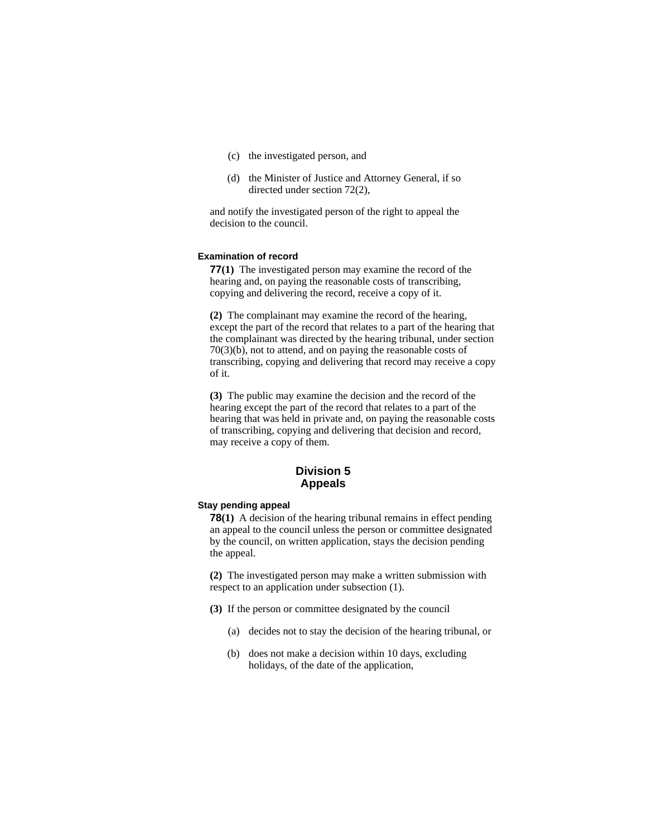- (c) the investigated person, and
- (d) the Minister of Justice and Attorney General, if so directed under section 72(2),

and notify the investigated person of the right to appeal the decision to the council.

### **Examination of record**

**77(1)** The investigated person may examine the record of the hearing and, on paying the reasonable costs of transcribing, copying and delivering the record, receive a copy of it.

**(2)** The complainant may examine the record of the hearing, except the part of the record that relates to a part of the hearing that the complainant was directed by the hearing tribunal, under section 70(3)(b), not to attend, and on paying the reasonable costs of transcribing, copying and delivering that record may receive a copy of it.

**(3)** The public may examine the decision and the record of the hearing except the part of the record that relates to a part of the hearing that was held in private and, on paying the reasonable costs of transcribing, copying and delivering that decision and record, may receive a copy of them.

# **Division 5 Appeals**

# **Stay pending appeal**

**78(1)** A decision of the hearing tribunal remains in effect pending an appeal to the council unless the person or committee designated by the council, on written application, stays the decision pending the appeal.

**(2)** The investigated person may make a written submission with respect to an application under subsection (1).

- **(3)** If the person or committee designated by the council
	- (a) decides not to stay the decision of the hearing tribunal, or
	- (b) does not make a decision within 10 days, excluding holidays, of the date of the application,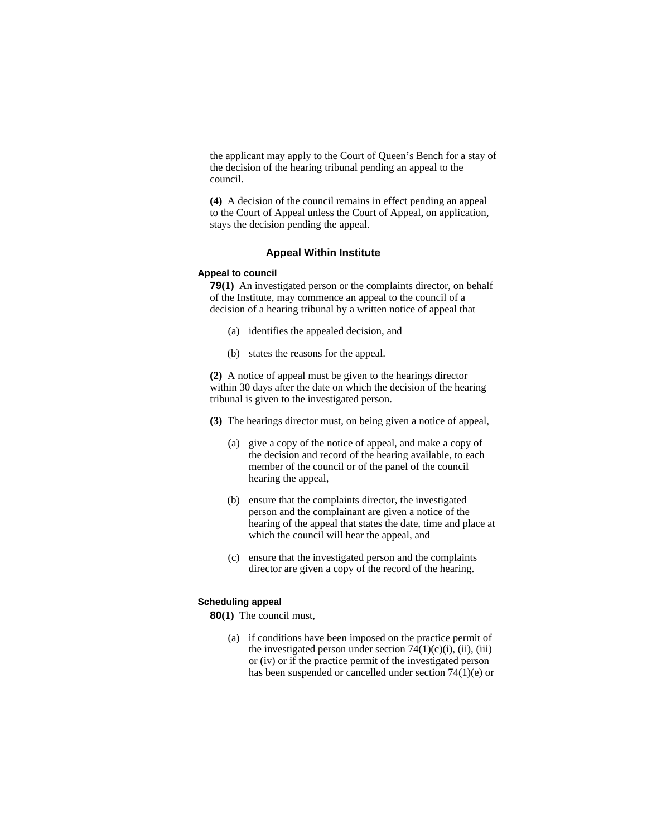the applicant may apply to the Court of Queen's Bench for a stay of the decision of the hearing tribunal pending an appeal to the council.

**(4)** A decision of the council remains in effect pending an appeal to the Court of Appeal unless the Court of Appeal, on application, stays the decision pending the appeal.

### **Appeal Within Institute**

### **Appeal to council**

**79(1)** An investigated person or the complaints director, on behalf of the Institute, may commence an appeal to the council of a decision of a hearing tribunal by a written notice of appeal that

- (a) identifies the appealed decision, and
- (b) states the reasons for the appeal.

**(2)** A notice of appeal must be given to the hearings director within 30 days after the date on which the decision of the hearing tribunal is given to the investigated person.

**(3)** The hearings director must, on being given a notice of appeal,

- (a) give a copy of the notice of appeal, and make a copy of the decision and record of the hearing available, to each member of the council or of the panel of the council hearing the appeal,
- (b) ensure that the complaints director, the investigated person and the complainant are given a notice of the hearing of the appeal that states the date, time and place at which the council will hear the appeal, and
- (c) ensure that the investigated person and the complaints director are given a copy of the record of the hearing.

### **Scheduling appeal**

**80(1)** The council must,

 (a) if conditions have been imposed on the practice permit of the investigated person under section  $74(1)(c)(i)$ , (ii), (iii) or (iv) or if the practice permit of the investigated person has been suspended or cancelled under section 74(1)(e) or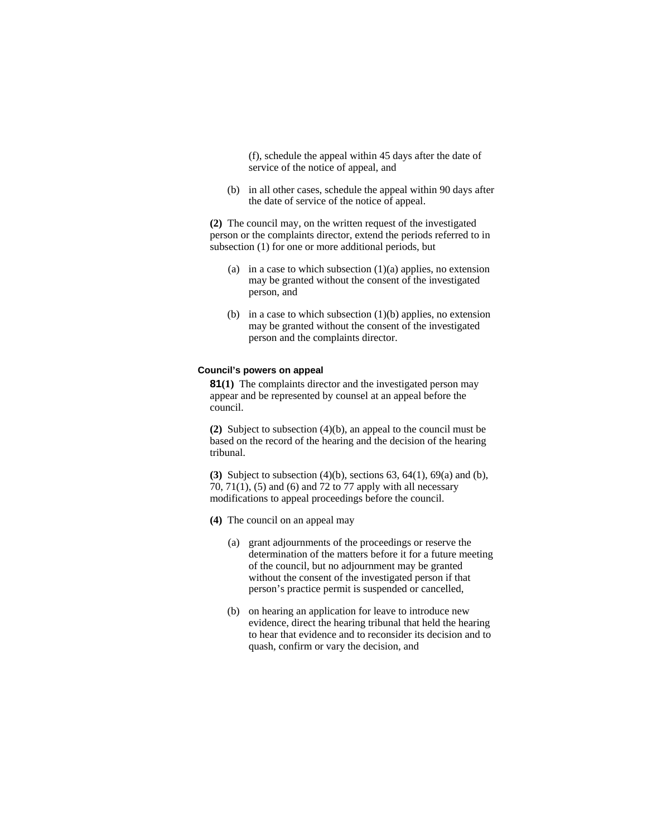(f), schedule the appeal within 45 days after the date of service of the notice of appeal, and

 (b) in all other cases, schedule the appeal within 90 days after the date of service of the notice of appeal.

**(2)** The council may, on the written request of the investigated person or the complaints director, extend the periods referred to in subsection (1) for one or more additional periods, but

- (a) in a case to which subsection  $(1)(a)$  applies, no extension may be granted without the consent of the investigated person, and
- (b) in a case to which subsection  $(1)(b)$  applies, no extension may be granted without the consent of the investigated person and the complaints director.

### **Council's powers on appeal**

**81(1)** The complaints director and the investigated person may appear and be represented by counsel at an appeal before the council.

**(2)** Subject to subsection (4)(b), an appeal to the council must be based on the record of the hearing and the decision of the hearing tribunal.

**(3)** Subject to subsection (4)(b), sections 63, 64(1), 69(a) and (b), 70, 71(1), (5) and (6) and 72 to 77 apply with all necessary modifications to appeal proceedings before the council.

- **(4)** The council on an appeal may
	- (a) grant adjournments of the proceedings or reserve the determination of the matters before it for a future meeting of the council, but no adjournment may be granted without the consent of the investigated person if that person's practice permit is suspended or cancelled,
	- (b) on hearing an application for leave to introduce new evidence, direct the hearing tribunal that held the hearing to hear that evidence and to reconsider its decision and to quash, confirm or vary the decision, and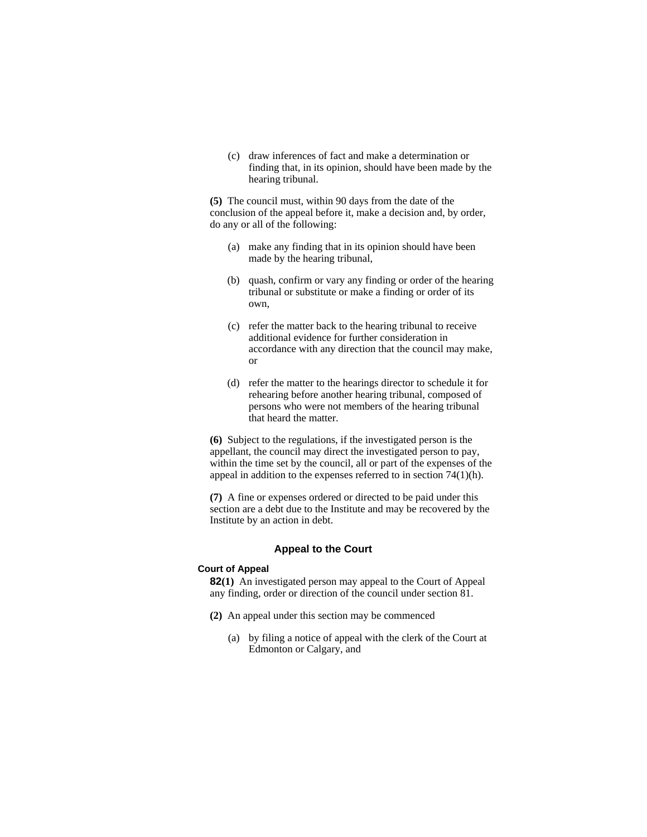(c) draw inferences of fact and make a determination or finding that, in its opinion, should have been made by the hearing tribunal.

**(5)** The council must, within 90 days from the date of the conclusion of the appeal before it, make a decision and, by order, do any or all of the following:

- (a) make any finding that in its opinion should have been made by the hearing tribunal,
- (b) quash, confirm or vary any finding or order of the hearing tribunal or substitute or make a finding or order of its own,
- (c) refer the matter back to the hearing tribunal to receive additional evidence for further consideration in accordance with any direction that the council may make, or
- (d) refer the matter to the hearings director to schedule it for rehearing before another hearing tribunal, composed of persons who were not members of the hearing tribunal that heard the matter.

**(6)** Subject to the regulations, if the investigated person is the appellant, the council may direct the investigated person to pay, within the time set by the council, all or part of the expenses of the appeal in addition to the expenses referred to in section 74(1)(h).

**(7)** A fine or expenses ordered or directed to be paid under this section are a debt due to the Institute and may be recovered by the Institute by an action in debt.

# **Appeal to the Court**

#### **Court of Appeal**

**82(1)** An investigated person may appeal to the Court of Appeal any finding, order or direction of the council under section 81.

- **(2)** An appeal under this section may be commenced
	- (a) by filing a notice of appeal with the clerk of the Court at Edmonton or Calgary, and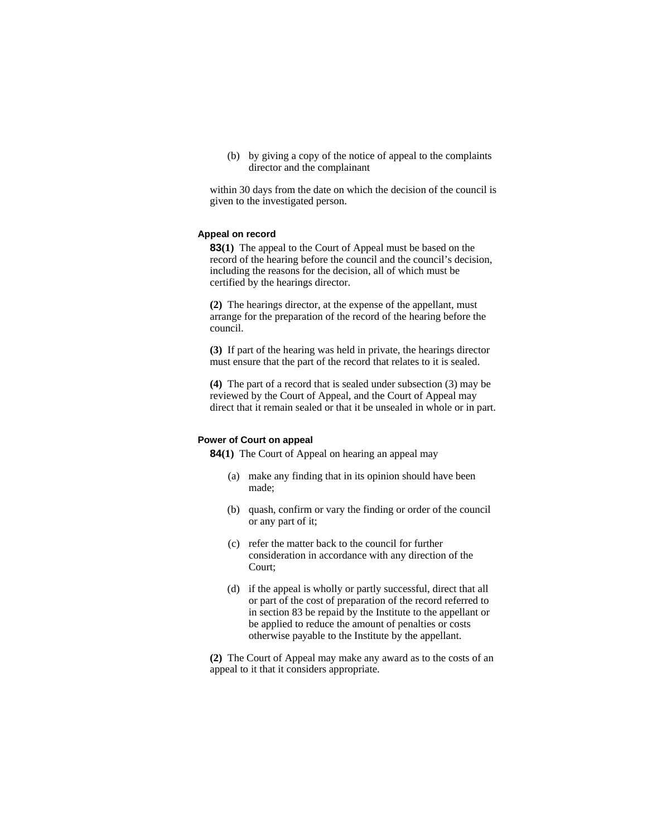(b) by giving a copy of the notice of appeal to the complaints director and the complainant

within 30 days from the date on which the decision of the council is given to the investigated person.

### **Appeal on record**

**83(1)** The appeal to the Court of Appeal must be based on the record of the hearing before the council and the council's decision, including the reasons for the decision, all of which must be certified by the hearings director.

**(2)** The hearings director, at the expense of the appellant, must arrange for the preparation of the record of the hearing before the council.

**(3)** If part of the hearing was held in private, the hearings director must ensure that the part of the record that relates to it is sealed.

**(4)** The part of a record that is sealed under subsection (3) may be reviewed by the Court of Appeal, and the Court of Appeal may direct that it remain sealed or that it be unsealed in whole or in part.

### **Power of Court on appeal**

**84(1)** The Court of Appeal on hearing an appeal may

- (a) make any finding that in its opinion should have been made;
- (b) quash, confirm or vary the finding or order of the council or any part of it;
- (c) refer the matter back to the council for further consideration in accordance with any direction of the Court;
- (d) if the appeal is wholly or partly successful, direct that all or part of the cost of preparation of the record referred to in section 83 be repaid by the Institute to the appellant or be applied to reduce the amount of penalties or costs otherwise payable to the Institute by the appellant.

**(2)** The Court of Appeal may make any award as to the costs of an appeal to it that it considers appropriate.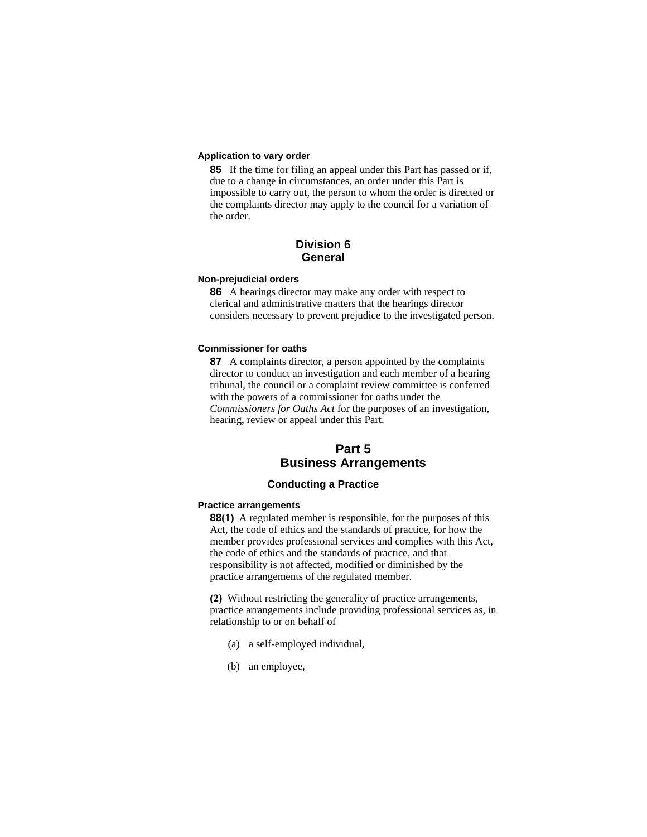## **Application to vary order**

**85** If the time for filing an appeal under this Part has passed or if, due to a change in circumstances, an order under this Part is impossible to carry out, the person to whom the order is directed or the complaints director may apply to the council for a variation of the order.

# **Division 6 General**

### **Non-prejudicial orders**

**86** A hearings director may make any order with respect to clerical and administrative matters that the hearings director considers necessary to prevent prejudice to the investigated person.

### **Commissioner for oaths**

**87** A complaints director, a person appointed by the complaints director to conduct an investigation and each member of a hearing tribunal, the council or a complaint review committee is conferred with the powers of a commissioner for oaths under the *Commissioners for Oaths Act* for the purposes of an investigation, hearing, review or appeal under this Part.

# **Part 5 Business Arrangements**

# **Conducting a Practice**

### **Practice arrangements**

**88(1)** A regulated member is responsible, for the purposes of this Act, the code of ethics and the standards of practice, for how the member provides professional services and complies with this Act, the code of ethics and the standards of practice, and that responsibility is not affected, modified or diminished by the practice arrangements of the regulated member.

**(2)** Without restricting the generality of practice arrangements, practice arrangements include providing professional services as, in relationship to or on behalf of

- (a) a self-employed individual,
- (b) an employee,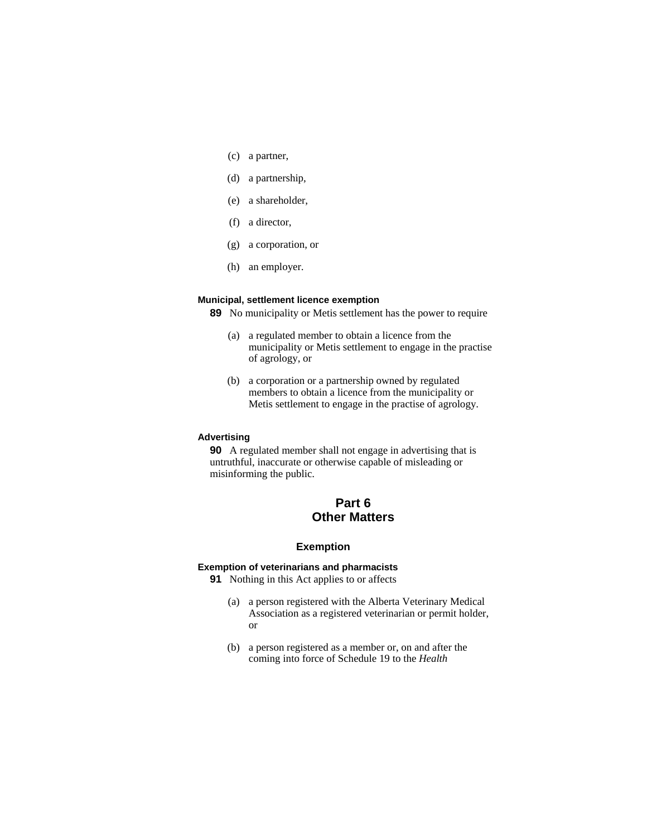- (c) a partner,
- (d) a partnership,
- (e) a shareholder,
- (f) a director,
- (g) a corporation, or
- (h) an employer.

# **Municipal, settlement licence exemption**

**89** No municipality or Metis settlement has the power to require

- (a) a regulated member to obtain a licence from the municipality or Metis settlement to engage in the practise of agrology, or
- (b) a corporation or a partnership owned by regulated members to obtain a licence from the municipality or Metis settlement to engage in the practise of agrology.

#### **Advertising**

**90** A regulated member shall not engage in advertising that is untruthful, inaccurate or otherwise capable of misleading or misinforming the public.

# **Part 6 Other Matters**

# **Exemption**

### **Exemption of veterinarians and pharmacists**

**91** Nothing in this Act applies to or affects

- (a) a person registered with the Alberta Veterinary Medical Association as a registered veterinarian or permit holder, or
- (b) a person registered as a member or, on and after the coming into force of Schedule 19 to the *Health*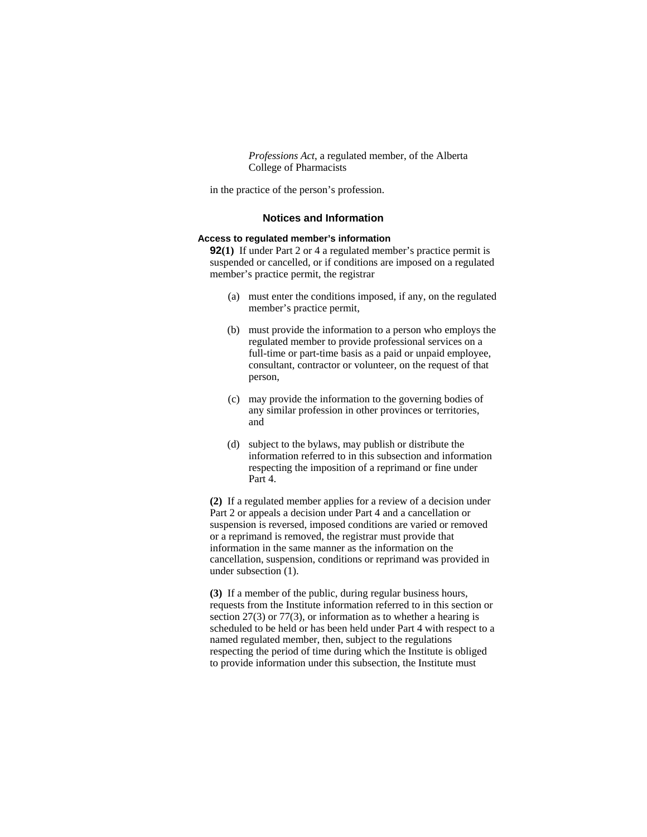*Professions Act*, a regulated member, of the Alberta College of Pharmacists

in the practice of the person's profession.

## **Notices and Information**

# **Access to regulated member's information**

**92(1)** If under Part 2 or 4 a regulated member's practice permit is suspended or cancelled, or if conditions are imposed on a regulated member's practice permit, the registrar

- (a) must enter the conditions imposed, if any, on the regulated member's practice permit,
- (b) must provide the information to a person who employs the regulated member to provide professional services on a full-time or part-time basis as a paid or unpaid employee, consultant, contractor or volunteer, on the request of that person,
- (c) may provide the information to the governing bodies of any similar profession in other provinces or territories, and
- (d) subject to the bylaws, may publish or distribute the information referred to in this subsection and information respecting the imposition of a reprimand or fine under Part 4.

**(2)** If a regulated member applies for a review of a decision under Part 2 or appeals a decision under Part 4 and a cancellation or suspension is reversed, imposed conditions are varied or removed or a reprimand is removed, the registrar must provide that information in the same manner as the information on the cancellation, suspension, conditions or reprimand was provided in under subsection (1).

**(3)** If a member of the public, during regular business hours, requests from the Institute information referred to in this section or section 27(3) or 77(3), or information as to whether a hearing is scheduled to be held or has been held under Part 4 with respect to a named regulated member, then, subject to the regulations respecting the period of time during which the Institute is obliged to provide information under this subsection, the Institute must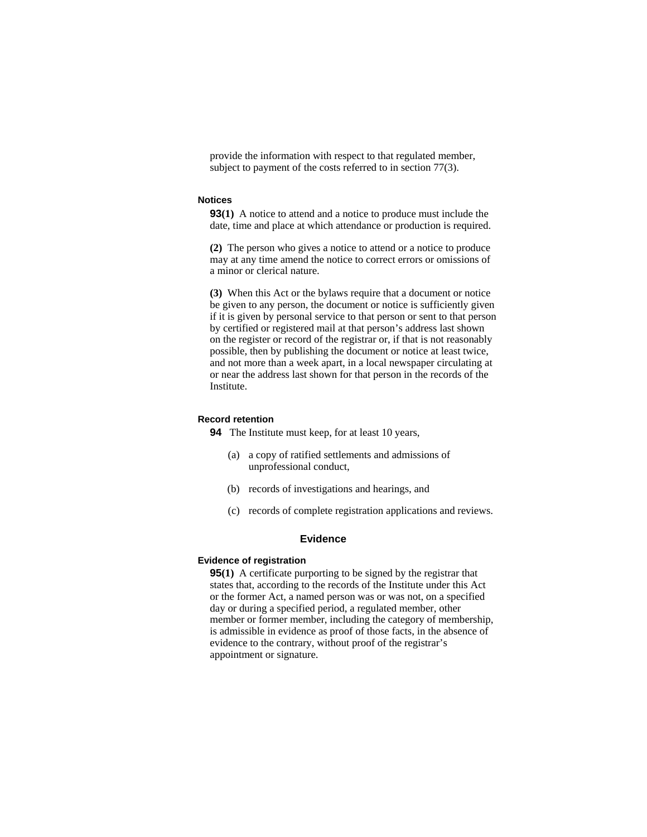provide the information with respect to that regulated member, subject to payment of the costs referred to in section 77(3).

#### **Notices**

**93(1)** A notice to attend and a notice to produce must include the date, time and place at which attendance or production is required.

**(2)** The person who gives a notice to attend or a notice to produce may at any time amend the notice to correct errors or omissions of a minor or clerical nature.

**(3)** When this Act or the bylaws require that a document or notice be given to any person, the document or notice is sufficiently given if it is given by personal service to that person or sent to that person by certified or registered mail at that person's address last shown on the register or record of the registrar or, if that is not reasonably possible, then by publishing the document or notice at least twice, and not more than a week apart, in a local newspaper circulating at or near the address last shown for that person in the records of the Institute.

# **Record retention**

**94** The Institute must keep, for at least 10 years,

- (a) a copy of ratified settlements and admissions of unprofessional conduct,
- (b) records of investigations and hearings, and
- (c) records of complete registration applications and reviews.

## **Evidence**

### **Evidence of registration**

**95(1)** A certificate purporting to be signed by the registrar that states that, according to the records of the Institute under this Act or the former Act, a named person was or was not, on a specified day or during a specified period, a regulated member, other member or former member, including the category of membership, is admissible in evidence as proof of those facts, in the absence of evidence to the contrary, without proof of the registrar's appointment or signature.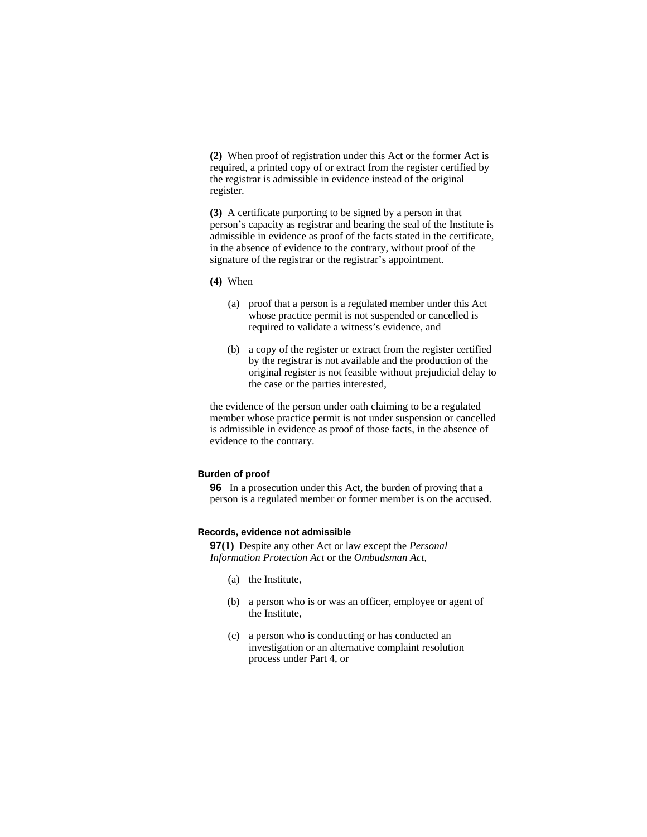**(2)** When proof of registration under this Act or the former Act is required, a printed copy of or extract from the register certified by the registrar is admissible in evidence instead of the original register.

**(3)** A certificate purporting to be signed by a person in that person's capacity as registrar and bearing the seal of the Institute is admissible in evidence as proof of the facts stated in the certificate, in the absence of evidence to the contrary, without proof of the signature of the registrar or the registrar's appointment.

**(4)** When

- (a) proof that a person is a regulated member under this Act whose practice permit is not suspended or cancelled is required to validate a witness's evidence, and
- (b) a copy of the register or extract from the register certified by the registrar is not available and the production of the original register is not feasible without prejudicial delay to the case or the parties interested,

the evidence of the person under oath claiming to be a regulated member whose practice permit is not under suspension or cancelled is admissible in evidence as proof of those facts, in the absence of evidence to the contrary.

### **Burden of proof**

**96** In a prosecution under this Act, the burden of proving that a person is a regulated member or former member is on the accused.

#### **Records, evidence not admissible**

**97(1)** Despite any other Act or law except the *Personal Information Protection Act* or the *Ombudsman Act*,

- (a) the Institute,
- (b) a person who is or was an officer, employee or agent of the Institute,
- (c) a person who is conducting or has conducted an investigation or an alternative complaint resolution process under Part 4, or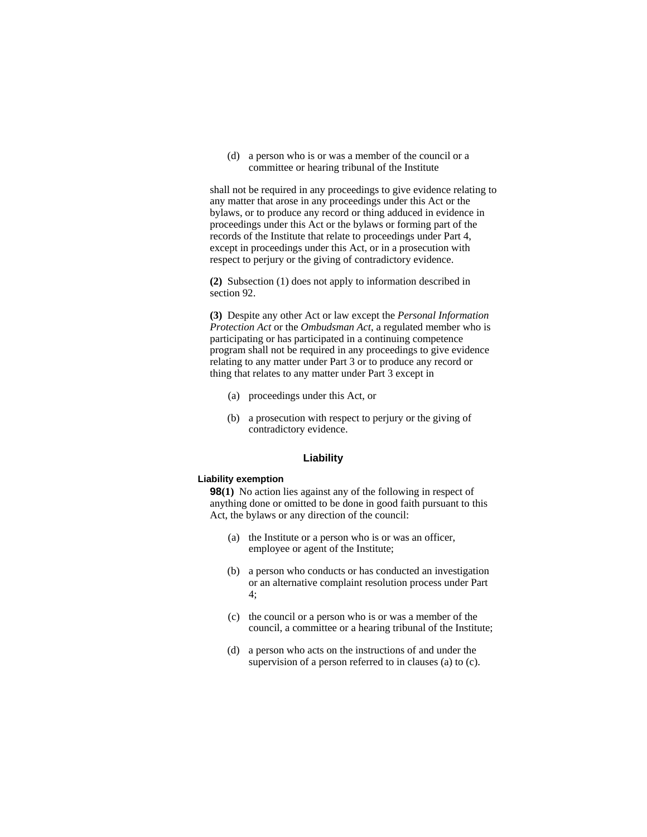(d) a person who is or was a member of the council or a committee or hearing tribunal of the Institute

shall not be required in any proceedings to give evidence relating to any matter that arose in any proceedings under this Act or the bylaws, or to produce any record or thing adduced in evidence in proceedings under this Act or the bylaws or forming part of the records of the Institute that relate to proceedings under Part 4, except in proceedings under this Act, or in a prosecution with respect to perjury or the giving of contradictory evidence.

**(2)** Subsection (1) does not apply to information described in section 92.

**(3)** Despite any other Act or law except the *Personal Information Protection Act* or the *Ombudsman Act*, a regulated member who is participating or has participated in a continuing competence program shall not be required in any proceedings to give evidence relating to any matter under Part 3 or to produce any record or thing that relates to any matter under Part 3 except in

- (a) proceedings under this Act, or
- (b) a prosecution with respect to perjury or the giving of contradictory evidence.

#### **Liability**

#### **Liability exemption**

**98(1)** No action lies against any of the following in respect of anything done or omitted to be done in good faith pursuant to this Act, the bylaws or any direction of the council:

- (a) the Institute or a person who is or was an officer, employee or agent of the Institute;
- (b) a person who conducts or has conducted an investigation or an alternative complaint resolution process under Part 4;
- (c) the council or a person who is or was a member of the council, a committee or a hearing tribunal of the Institute;
- (d) a person who acts on the instructions of and under the supervision of a person referred to in clauses (a) to (c).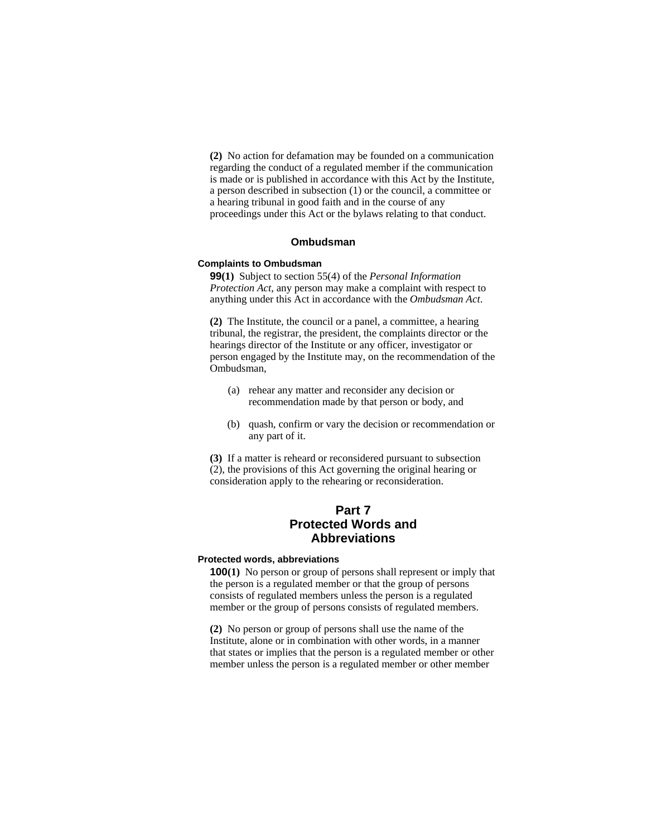**(2)** No action for defamation may be founded on a communication regarding the conduct of a regulated member if the communication is made or is published in accordance with this Act by the Institute, a person described in subsection (1) or the council, a committee or a hearing tribunal in good faith and in the course of any proceedings under this Act or the bylaws relating to that conduct.

### **Ombudsman**

### **Complaints to Ombudsman**

**99(1)** Subject to section 55(4) of the *Personal Information Protection Act*, any person may make a complaint with respect to anything under this Act in accordance with the *Ombudsman Act*.

**(2)** The Institute, the council or a panel, a committee, a hearing tribunal, the registrar, the president, the complaints director or the hearings director of the Institute or any officer, investigator or person engaged by the Institute may, on the recommendation of the Ombudsman,

- (a) rehear any matter and reconsider any decision or recommendation made by that person or body, and
- (b) quash, confirm or vary the decision or recommendation or any part of it.

**(3)** If a matter is reheard or reconsidered pursuant to subsection (2), the provisions of this Act governing the original hearing or consideration apply to the rehearing or reconsideration.

# **Part 7 Protected Words and Abbreviations**

# **Protected words, abbreviations**

**100(1)** No person or group of persons shall represent or imply that the person is a regulated member or that the group of persons consists of regulated members unless the person is a regulated member or the group of persons consists of regulated members.

**(2)** No person or group of persons shall use the name of the Institute, alone or in combination with other words, in a manner that states or implies that the person is a regulated member or other member unless the person is a regulated member or other member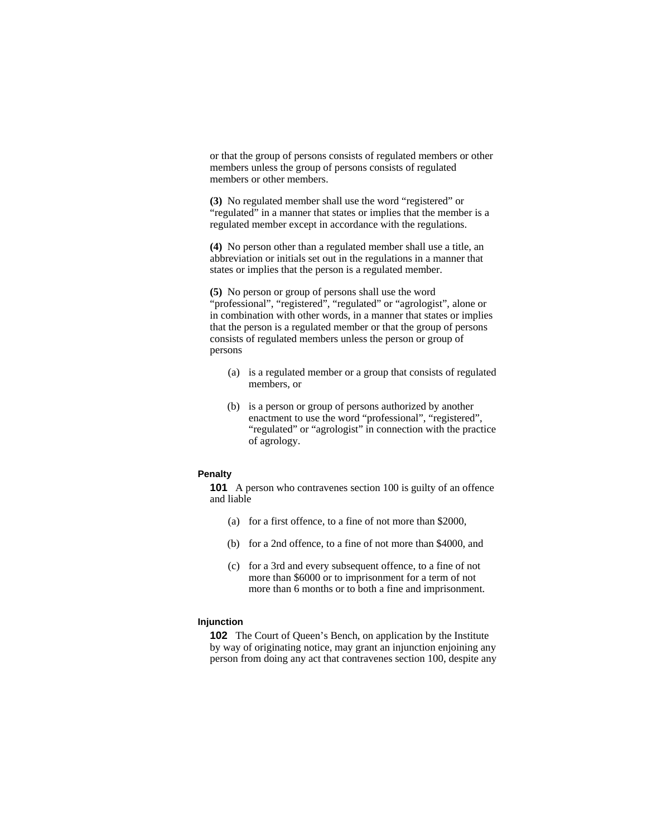or that the group of persons consists of regulated members or other members unless the group of persons consists of regulated members or other members.

**(3)** No regulated member shall use the word "registered" or "regulated" in a manner that states or implies that the member is a regulated member except in accordance with the regulations.

**(4)** No person other than a regulated member shall use a title, an abbreviation or initials set out in the regulations in a manner that states or implies that the person is a regulated member.

**(5)** No person or group of persons shall use the word "professional", "registered", "regulated" or "agrologist", alone or in combination with other words, in a manner that states or implies that the person is a regulated member or that the group of persons consists of regulated members unless the person or group of persons

- (a) is a regulated member or a group that consists of regulated members, or
- (b) is a person or group of persons authorized by another enactment to use the word "professional", "registered", "regulated" or "agrologist" in connection with the practice of agrology.

#### **Penalty**

**101** A person who contravenes section 100 is guilty of an offence and liable

- (a) for a first offence, to a fine of not more than \$2000,
- (b) for a 2nd offence, to a fine of not more than \$4000, and
- (c) for a 3rd and every subsequent offence, to a fine of not more than \$6000 or to imprisonment for a term of not more than 6 months or to both a fine and imprisonment.

### **Injunction**

**102** The Court of Queen's Bench, on application by the Institute by way of originating notice, may grant an injunction enjoining any person from doing any act that contravenes section 100, despite any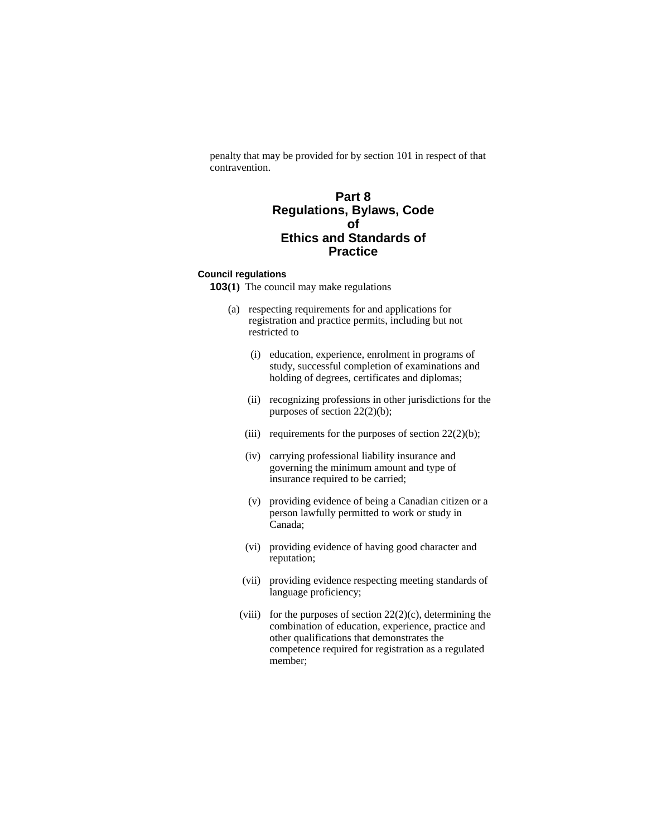penalty that may be provided for by section 101 in respect of that contravention.

# **Part 8 Regulations, Bylaws, Code of Ethics and Standards of Practice**

# **Council regulations**

- **103(1)** The council may make regulations
	- (a) respecting requirements for and applications for registration and practice permits, including but not restricted to
		- (i) education, experience, enrolment in programs of study, successful completion of examinations and holding of degrees, certificates and diplomas;
		- (ii) recognizing professions in other jurisdictions for the purposes of section 22(2)(b);
		- (iii) requirements for the purposes of section  $22(2)(b)$ ;
		- (iv) carrying professional liability insurance and governing the minimum amount and type of insurance required to be carried;
		- (v) providing evidence of being a Canadian citizen or a person lawfully permitted to work or study in Canada;
		- (vi) providing evidence of having good character and reputation;
		- (vii) providing evidence respecting meeting standards of language proficiency;
		- (viii) for the purposes of section  $22(2)(c)$ , determining the combination of education, experience, practice and other qualifications that demonstrates the competence required for registration as a regulated member;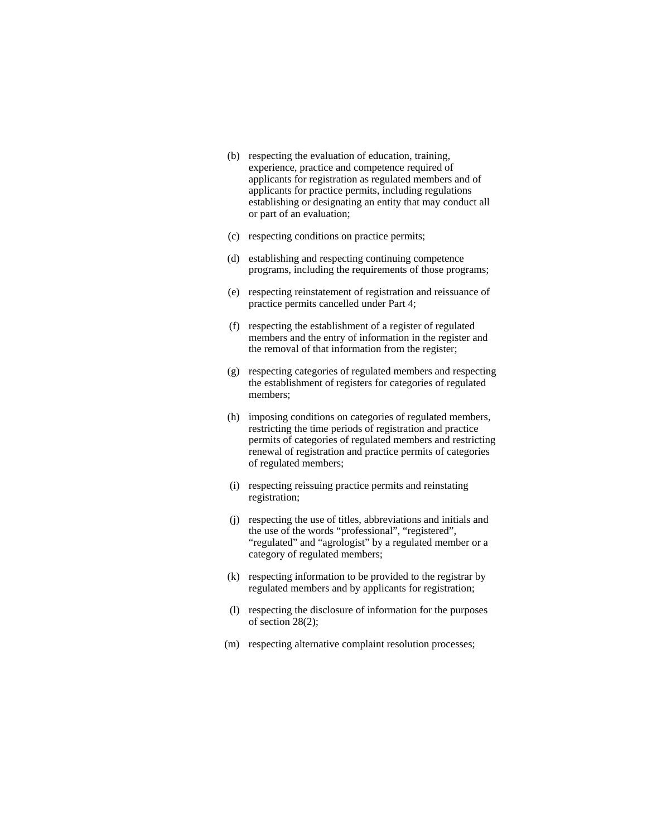- (b) respecting the evaluation of education, training, experience, practice and competence required of applicants for registration as regulated members and of applicants for practice permits, including regulations establishing or designating an entity that may conduct all or part of an evaluation;
- (c) respecting conditions on practice permits;
- (d) establishing and respecting continuing competence programs, including the requirements of those programs;
- (e) respecting reinstatement of registration and reissuance of practice permits cancelled under Part 4;
- (f) respecting the establishment of a register of regulated members and the entry of information in the register and the removal of that information from the register;
- (g) respecting categories of regulated members and respecting the establishment of registers for categories of regulated members;
- (h) imposing conditions on categories of regulated members, restricting the time periods of registration and practice permits of categories of regulated members and restricting renewal of registration and practice permits of categories of regulated members;
- (i) respecting reissuing practice permits and reinstating registration;
- (j) respecting the use of titles, abbreviations and initials and the use of the words "professional", "registered", "regulated" and "agrologist" by a regulated member or a category of regulated members;
- (k) respecting information to be provided to the registrar by regulated members and by applicants for registration;
- (l) respecting the disclosure of information for the purposes of section 28(2);
- (m) respecting alternative complaint resolution processes;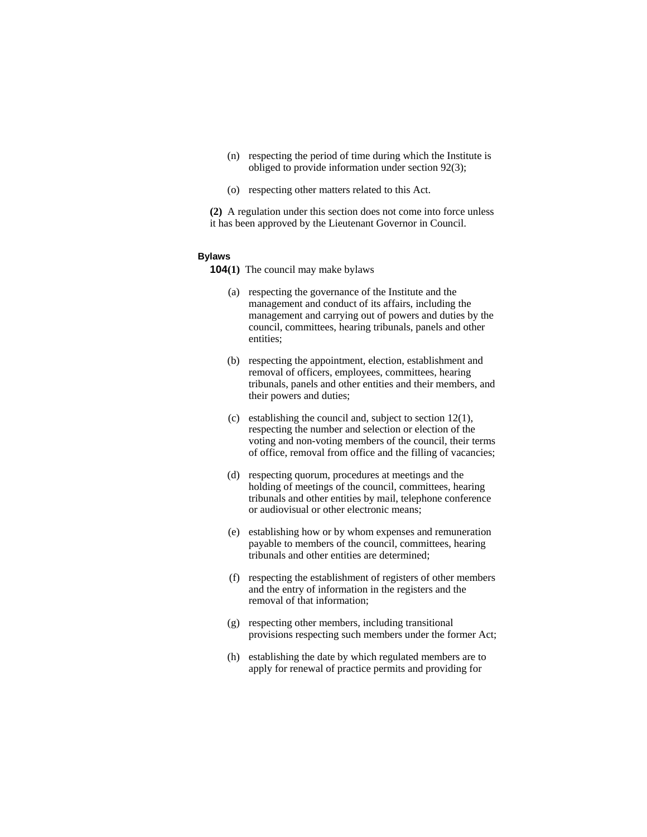- (n) respecting the period of time during which the Institute is obliged to provide information under section 92(3);
- (o) respecting other matters related to this Act.

**(2)** A regulation under this section does not come into force unless it has been approved by the Lieutenant Governor in Council.

#### **Bylaws**

**104(1)** The council may make bylaws

- (a) respecting the governance of the Institute and the management and conduct of its affairs, including the management and carrying out of powers and duties by the council, committees, hearing tribunals, panels and other entities;
- (b) respecting the appointment, election, establishment and removal of officers, employees, committees, hearing tribunals, panels and other entities and their members, and their powers and duties;
- (c) establishing the council and, subject to section 12(1), respecting the number and selection or election of the voting and non-voting members of the council, their terms of office, removal from office and the filling of vacancies;
- (d) respecting quorum, procedures at meetings and the holding of meetings of the council, committees, hearing tribunals and other entities by mail, telephone conference or audiovisual or other electronic means;
- (e) establishing how or by whom expenses and remuneration payable to members of the council, committees, hearing tribunals and other entities are determined;
- (f) respecting the establishment of registers of other members and the entry of information in the registers and the removal of that information;
- (g) respecting other members, including transitional provisions respecting such members under the former Act;
- (h) establishing the date by which regulated members are to apply for renewal of practice permits and providing for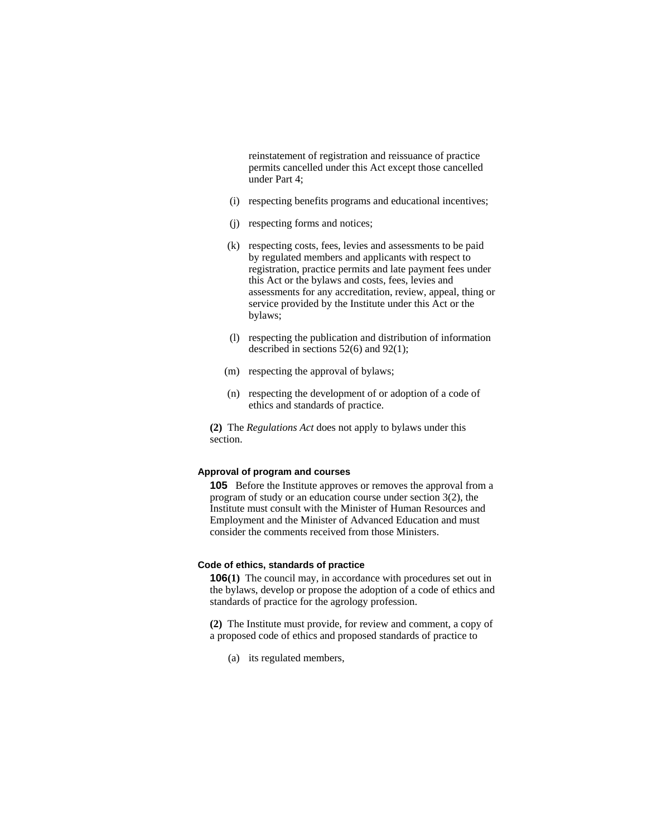reinstatement of registration and reissuance of practice permits cancelled under this Act except those cancelled under Part 4;

- (i) respecting benefits programs and educational incentives;
- (j) respecting forms and notices;
- (k) respecting costs, fees, levies and assessments to be paid by regulated members and applicants with respect to registration, practice permits and late payment fees under this Act or the bylaws and costs, fees, levies and assessments for any accreditation, review, appeal, thing or service provided by the Institute under this Act or the bylaws;
- (l) respecting the publication and distribution of information described in sections 52(6) and 92(1);
- (m) respecting the approval of bylaws;
- (n) respecting the development of or adoption of a code of ethics and standards of practice.

**(2)** The *Regulations Act* does not apply to bylaws under this section.

# **Approval of program and courses**

**105** Before the Institute approves or removes the approval from a program of study or an education course under section 3(2), the Institute must consult with the Minister of Human Resources and Employment and the Minister of Advanced Education and must consider the comments received from those Ministers.

# **Code of ethics, standards of practice**

**106**(1) The council may, in accordance with procedures set out in the bylaws, develop or propose the adoption of a code of ethics and standards of practice for the agrology profession.

**(2)** The Institute must provide, for review and comment, a copy of a proposed code of ethics and proposed standards of practice to

(a) its regulated members,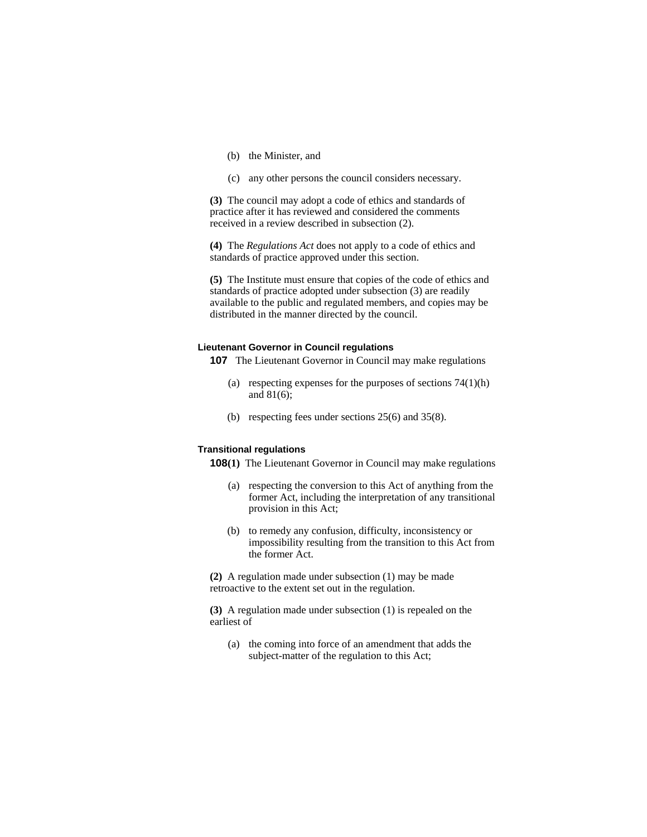- (b) the Minister, and
- (c) any other persons the council considers necessary.

**(3)** The council may adopt a code of ethics and standards of practice after it has reviewed and considered the comments received in a review described in subsection (2).

**(4)** The *Regulations Act* does not apply to a code of ethics and standards of practice approved under this section.

**(5)** The Institute must ensure that copies of the code of ethics and standards of practice adopted under subsection (3) are readily available to the public and regulated members, and copies may be distributed in the manner directed by the council.

#### **Lieutenant Governor in Council regulations**

**107** The Lieutenant Governor in Council may make regulations

- (a) respecting expenses for the purposes of sections  $74(1)(h)$ and  $81(6)$ ;
- (b) respecting fees under sections 25(6) and 35(8).

# **Transitional regulations**

- **108(1)** The Lieutenant Governor in Council may make regulations
	- (a) respecting the conversion to this Act of anything from the former Act, including the interpretation of any transitional provision in this Act;
	- (b) to remedy any confusion, difficulty, inconsistency or impossibility resulting from the transition to this Act from the former Act.

**(2)** A regulation made under subsection (1) may be made retroactive to the extent set out in the regulation.

**(3)** A regulation made under subsection (1) is repealed on the earliest of

 (a) the coming into force of an amendment that adds the subject-matter of the regulation to this Act;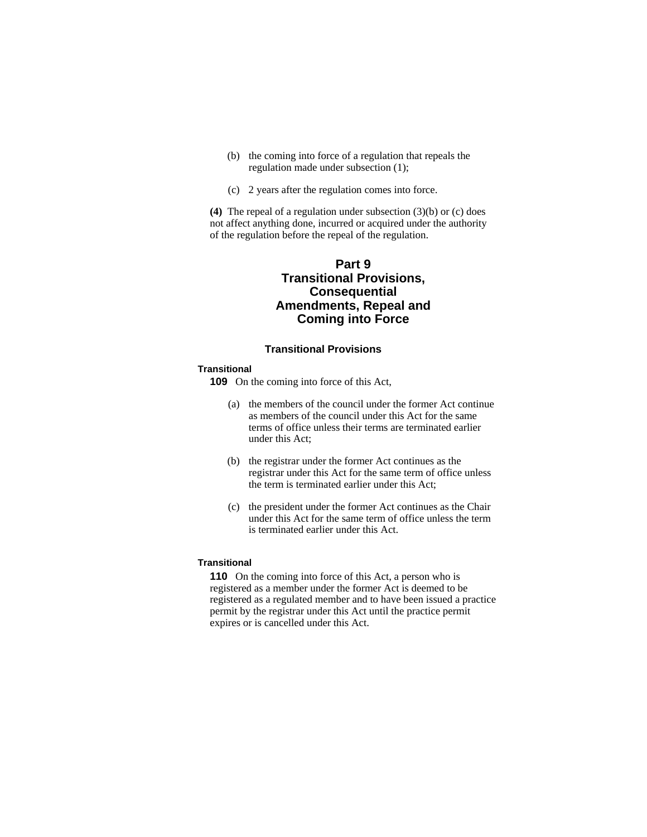- (b) the coming into force of a regulation that repeals the regulation made under subsection (1);
- (c) 2 years after the regulation comes into force.

**(4)** The repeal of a regulation under subsection (3)(b) or (c) does not affect anything done, incurred or acquired under the authority of the regulation before the repeal of the regulation.

# **Part 9 Transitional Provisions, Consequential Amendments, Repeal and Coming into Force**

## **Transitional Provisions**

#### **Transitional**

**109** On the coming into force of this Act,

- (a) the members of the council under the former Act continue as members of the council under this Act for the same terms of office unless their terms are terminated earlier under this Act;
- (b) the registrar under the former Act continues as the registrar under this Act for the same term of office unless the term is terminated earlier under this Act;
- (c) the president under the former Act continues as the Chair under this Act for the same term of office unless the term is terminated earlier under this Act.

#### **Transitional**

**110** On the coming into force of this Act, a person who is registered as a member under the former Act is deemed to be registered as a regulated member and to have been issued a practice permit by the registrar under this Act until the practice permit expires or is cancelled under this Act.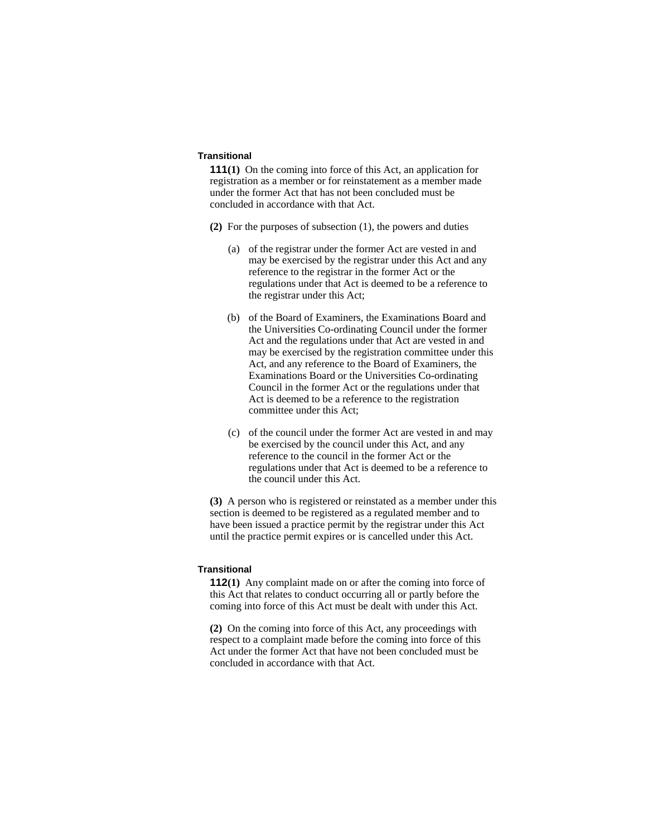## **Transitional**

**111(1)** On the coming into force of this Act, an application for registration as a member or for reinstatement as a member made under the former Act that has not been concluded must be concluded in accordance with that Act.

- **(2)** For the purposes of subsection (1), the powers and duties
	- (a) of the registrar under the former Act are vested in and may be exercised by the registrar under this Act and any reference to the registrar in the former Act or the regulations under that Act is deemed to be a reference to the registrar under this Act;
	- (b) of the Board of Examiners, the Examinations Board and the Universities Co-ordinating Council under the former Act and the regulations under that Act are vested in and may be exercised by the registration committee under this Act, and any reference to the Board of Examiners, the Examinations Board or the Universities Co-ordinating Council in the former Act or the regulations under that Act is deemed to be a reference to the registration committee under this Act;
	- (c) of the council under the former Act are vested in and may be exercised by the council under this Act, and any reference to the council in the former Act or the regulations under that Act is deemed to be a reference to the council under this Act.

**(3)** A person who is registered or reinstated as a member under this section is deemed to be registered as a regulated member and to have been issued a practice permit by the registrar under this Act until the practice permit expires or is cancelled under this Act.

# **Transitional**

**112(1)** Any complaint made on or after the coming into force of this Act that relates to conduct occurring all or partly before the coming into force of this Act must be dealt with under this Act.

**(2)** On the coming into force of this Act, any proceedings with respect to a complaint made before the coming into force of this Act under the former Act that have not been concluded must be concluded in accordance with that Act.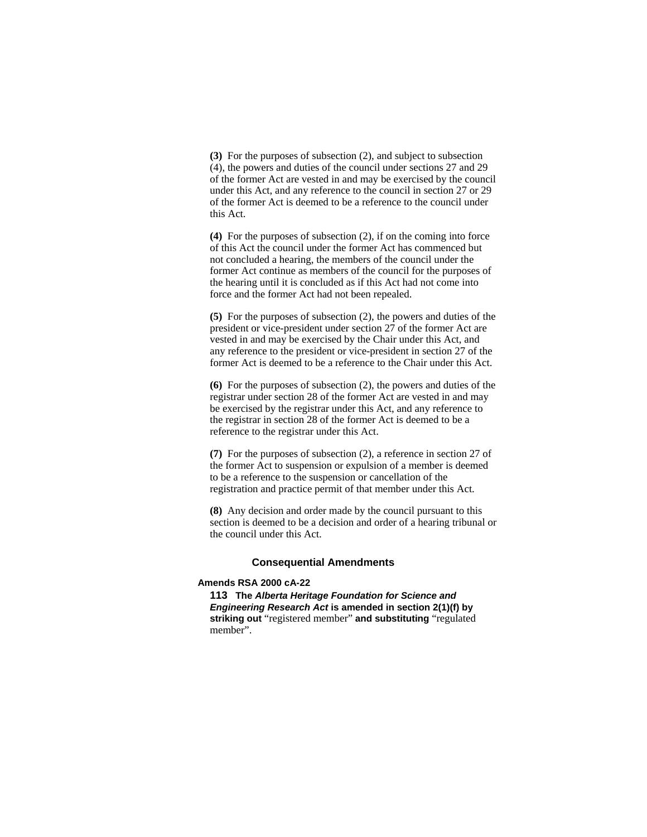**(3)** For the purposes of subsection (2), and subject to subsection (4), the powers and duties of the council under sections 27 and 29 of the former Act are vested in and may be exercised by the council under this Act, and any reference to the council in section 27 or 29 of the former Act is deemed to be a reference to the council under this Act.

**(4)** For the purposes of subsection (2), if on the coming into force of this Act the council under the former Act has commenced but not concluded a hearing, the members of the council under the former Act continue as members of the council for the purposes of the hearing until it is concluded as if this Act had not come into force and the former Act had not been repealed.

**(5)** For the purposes of subsection (2), the powers and duties of the president or vice-president under section 27 of the former Act are vested in and may be exercised by the Chair under this Act, and any reference to the president or vice-president in section 27 of the former Act is deemed to be a reference to the Chair under this Act.

**(6)** For the purposes of subsection (2), the powers and duties of the registrar under section 28 of the former Act are vested in and may be exercised by the registrar under this Act, and any reference to the registrar in section 28 of the former Act is deemed to be a reference to the registrar under this Act.

**(7)** For the purposes of subsection (2), a reference in section 27 of the former Act to suspension or expulsion of a member is deemed to be a reference to the suspension or cancellation of the registration and practice permit of that member under this Act.

**(8)** Any decision and order made by the council pursuant to this section is deemed to be a decision and order of a hearing tribunal or the council under this Act.

#### **Consequential Amendments**

#### **Amends RSA 2000 cA-22**

**113 The** *Alberta Heritage Foundation for Science and Engineering Research Act* **is amended in section 2(1)(f) by striking out** "registered member" **and substituting** "regulated member".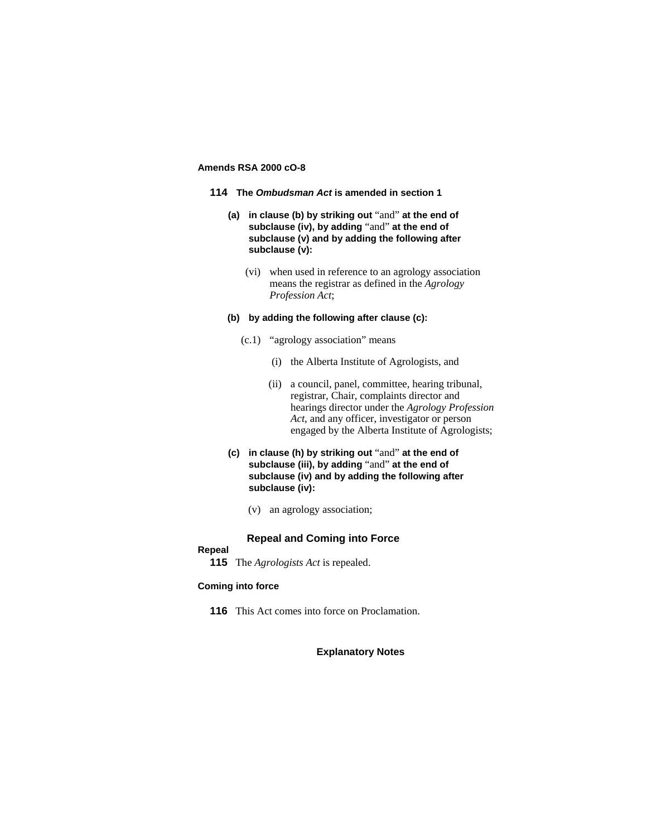# **Amends RSA 2000 cO-8**

- **114 The** *Ombudsman Act* **is amended in section 1**
	- **(a) in clause (b) by striking out** "and" **at the end of subclause (iv), by adding** "and" **at the end of subclause (v) and by adding the following after subclause (v):**
		- (vi) when used in reference to an agrology association means the registrar as defined in the *Agrology Profession Act*;

#### **(b) by adding the following after clause (c):**

- (c.1) "agrology association" means
	- (i) the Alberta Institute of Agrologists, and
	- (ii) a council, panel, committee, hearing tribunal, registrar, Chair, complaints director and hearings director under the *Agrology Profession Act*, and any officer, investigator or person engaged by the Alberta Institute of Agrologists;
- **(c) in clause (h) by striking out** "and" **at the end of subclause (iii), by adding** "and" **at the end of subclause (iv) and by adding the following after subclause (iv):**
	- (v) an agrology association;

## **Repeal and Coming into Force**

## **Repeal**

**115** The *Agrologists Act* is repealed.

# **Coming into force**

**116** This Act comes into force on Proclamation.

# **Explanatory Notes**